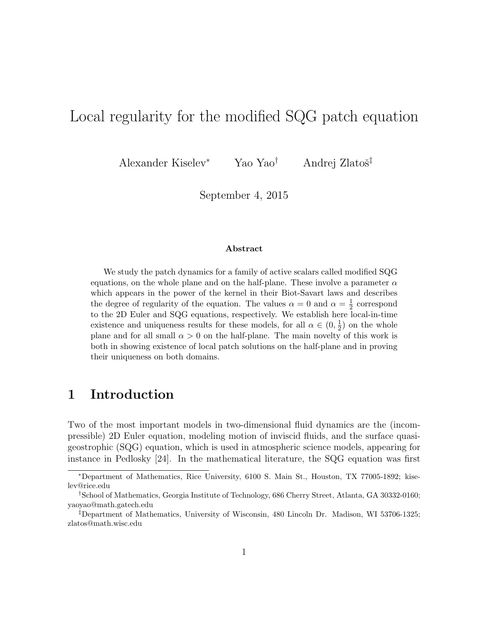# Local regularity for the modified SQG patch equation

Alexander Kiselev<sup>\*</sup> Yao Yao<sup>†</sup> Andrej Zlatoš<sup>‡</sup>

September 4, 2015

#### Abstract

We study the patch dynamics for a family of active scalars called modified SQG equations, on the whole plane and on the half-plane. These involve a parameter  $\alpha$ which appears in the power of the kernel in their Biot-Savart laws and describes the degree of regularity of the equation. The values  $\alpha = 0$  and  $\alpha = \frac{1}{2}$  $\frac{1}{2}$  correspond to the 2D Euler and SQG equations, respectively. We establish here local-in-time existence and uniqueness results for these models, for all  $\alpha \in (0, \frac{1}{2})$  $(\frac{1}{2})$  on the whole plane and for all small  $\alpha > 0$  on the half-plane. The main novelty of this work is both in showing existence of local patch solutions on the half-plane and in proving their uniqueness on both domains.

# 1 Introduction

Two of the most important models in two-dimensional fluid dynamics are the (incompressible) 2D Euler equation, modeling motion of inviscid fluids, and the surface quasigeostrophic (SQG) equation, which is used in atmospheric science models, appearing for instance in Pedlosky [24]. In the mathematical literature, the SQG equation was first

<sup>∗</sup>Department of Mathematics, Rice University, 6100 S. Main St., Houston, TX 77005-1892; kiselev@rice.edu

<sup>†</sup>School of Mathematics, Georgia Institute of Technology, 686 Cherry Street, Atlanta, GA 30332-0160; yaoyao@math.gatech.edu

<sup>‡</sup>Department of Mathematics, University of Wisconsin, 480 Lincoln Dr. Madison, WI 53706-1325; zlatos@math.wisc.edu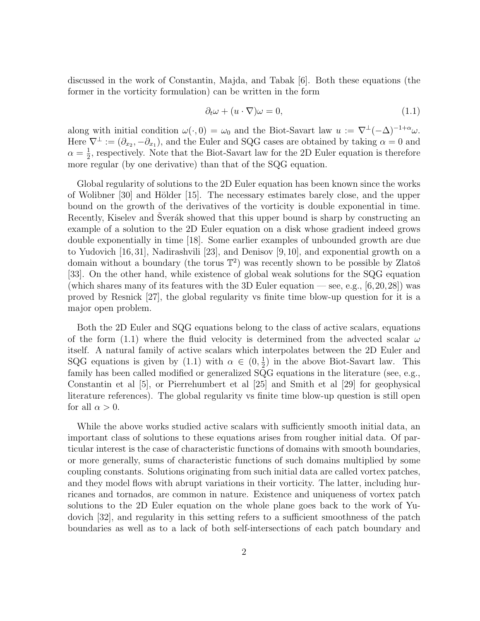discussed in the work of Constantin, Majda, and Tabak [6]. Both these equations (the former in the vorticity formulation) can be written in the form

$$
\partial_t \omega + (u \cdot \nabla)\omega = 0,\tag{1.1}
$$

along with initial condition  $\omega(\cdot, 0) = \omega_0$  and the Biot-Savart law  $u := \nabla^{\perp}(-\Delta)^{-1+\alpha}\omega$ . Here  $\nabla^{\perp} := (\partial_{x_2}, -\partial_{x_1})$ , and the Euler and SQG cases are obtained by taking  $\alpha = 0$  and  $\alpha = \frac{1}{2}$  $\frac{1}{2}$ , respectively. Note that the Biot-Savart law for the 2D Euler equation is therefore more regular (by one derivative) than that of the SQG equation.

Global regularity of solutions to the 2D Euler equation has been known since the works of Wolibner  $[30]$  and Hölder  $[15]$ . The necessary estimates barely close, and the upper bound on the growth of the derivatives of the vorticity is double exponential in time. Recently, Kiselev and Sverák showed that this upper bound is sharp by constructing an example of a solution to the 2D Euler equation on a disk whose gradient indeed grows double exponentially in time [18]. Some earlier examples of unbounded growth are due to Yudovich [16, 31], Nadirashvili [23], and Denisov [9, 10], and exponential growth on a domain without a boundary (the torus  $\mathbb{T}^2$ ) was recently shown to be possible by Zlatoš [33]. On the other hand, while existence of global weak solutions for the SQG equation (which shares many of its features with the 3D Euler equation — see, e.g.,  $[6,20,28]$ ) was proved by Resnick [27], the global regularity vs finite time blow-up question for it is a major open problem.

Both the 2D Euler and SQG equations belong to the class of active scalars, equations of the form (1.1) where the fluid velocity is determined from the advected scalar  $\omega$ itself. A natural family of active scalars which interpolates between the 2D Euler and SQG equations is given by (1.1) with  $\alpha \in (0, \frac{1}{2})$  $\frac{1}{2}$ ) in the above Biot-Savart law. This family has been called modified or generalized SQG equations in the literature (see, e.g., Constantin et al [5], or Pierrehumbert et al [25] and Smith et al [29] for geophysical literature references). The global regularity vs finite time blow-up question is still open for all  $\alpha > 0$ .

While the above works studied active scalars with sufficiently smooth initial data, an important class of solutions to these equations arises from rougher initial data. Of particular interest is the case of characteristic functions of domains with smooth boundaries, or more generally, sums of characteristic functions of such domains multiplied by some coupling constants. Solutions originating from such initial data are called vortex patches, and they model flows with abrupt variations in their vorticity. The latter, including hurricanes and tornados, are common in nature. Existence and uniqueness of vortex patch solutions to the 2D Euler equation on the whole plane goes back to the work of Yudovich [32], and regularity in this setting refers to a sufficient smoothness of the patch boundaries as well as to a lack of both self-intersections of each patch boundary and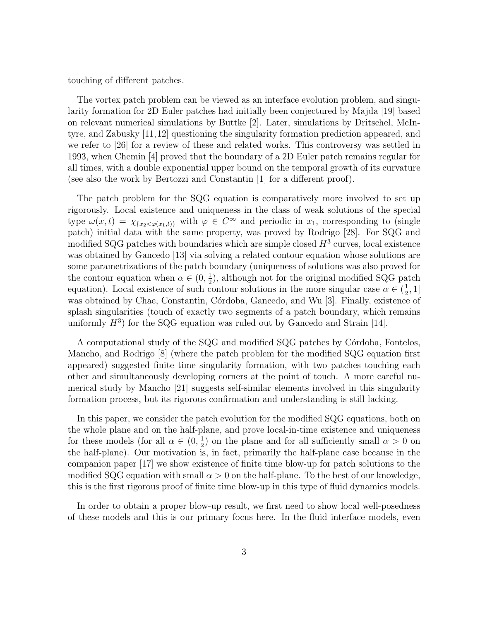touching of different patches.

The vortex patch problem can be viewed as an interface evolution problem, and singularity formation for 2D Euler patches had initially been conjectured by Majda [19] based on relevant numerical simulations by Buttke [2]. Later, simulations by Dritschel, McIntyre, and Zabusky [11,12] questioning the singularity formation prediction appeared, and we refer to [26] for a review of these and related works. This controversy was settled in 1993, when Chemin [4] proved that the boundary of a 2D Euler patch remains regular for all times, with a double exponential upper bound on the temporal growth of its curvature (see also the work by Bertozzi and Constantin [1] for a different proof).

The patch problem for the SQG equation is comparatively more involved to set up rigorously. Local existence and uniqueness in the class of weak solutions of the special type  $\omega(x,t) = \chi_{\{x_2 \leq \varphi(x_1,t)\}}$  with  $\varphi \in C^{\infty}$  and periodic in  $x_1$ , corresponding to (single patch) initial data with the same property, was proved by Rodrigo [28]. For SQG and modified SQG patches with boundaries which are simple closed  $H^3$  curves, local existence was obtained by Gancedo [13] via solving a related contour equation whose solutions are some parametrizations of the patch boundary (uniqueness of solutions was also proved for the contour equation when  $\alpha \in (0, \frac{1}{2})$  $\frac{1}{2}$ , although not for the original modified SQG patch equation). Local existence of such contour solutions in the more singular case  $\alpha \in (\frac{1}{2})$  $\frac{1}{2}, 1]$ was obtained by Chae, Constantin, Córdoba, Gancedo, and Wu [3]. Finally, existence of splash singularities (touch of exactly two segments of a patch boundary, which remains uniformly  $H^3$ ) for the SQG equation was ruled out by Gancedo and Strain [14].

A computational study of the SQG and modified SQG patches by Córdoba, Fontelos, Mancho, and Rodrigo [8] (where the patch problem for the modified SQG equation first appeared) suggested finite time singularity formation, with two patches touching each other and simultaneously developing corners at the point of touch. A more careful numerical study by Mancho [21] suggests self-similar elements involved in this singularity formation process, but its rigorous confirmation and understanding is still lacking.

In this paper, we consider the patch evolution for the modified SQG equations, both on the whole plane and on the half-plane, and prove local-in-time existence and uniqueness for these models (for all  $\alpha \in (0, \frac{1}{2})$  $\frac{1}{2}$ ) on the plane and for all sufficiently small  $\alpha > 0$  on the half-plane). Our motivation is, in fact, primarily the half-plane case because in the companion paper [17] we show existence of finite time blow-up for patch solutions to the modified SQG equation with small  $\alpha > 0$  on the half-plane. To the best of our knowledge, this is the first rigorous proof of finite time blow-up in this type of fluid dynamics models.

In order to obtain a proper blow-up result, we first need to show local well-posedness of these models and this is our primary focus here. In the fluid interface models, even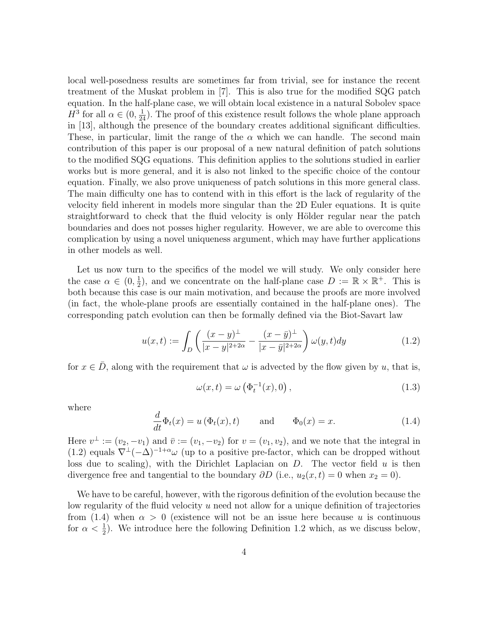local well-posedness results are sometimes far from trivial, see for instance the recent treatment of the Muskat problem in [7]. This is also true for the modified SQG patch equation. In the half-plane case, we will obtain local existence in a natural Sobolev space  $H^3$  for all  $\alpha \in (0, \frac{1}{24})$ . The proof of this existence result follows the whole plane approach in [13], although the presence of the boundary creates additional significant difficulties. These, in particular, limit the range of the  $\alpha$  which we can handle. The second main contribution of this paper is our proposal of a new natural definition of patch solutions to the modified SQG equations. This definition applies to the solutions studied in earlier works but is more general, and it is also not linked to the specific choice of the contour equation. Finally, we also prove uniqueness of patch solutions in this more general class. The main difficulty one has to contend with in this effort is the lack of regularity of the velocity field inherent in models more singular than the 2D Euler equations. It is quite straightforward to check that the fluid velocity is only Hölder regular near the patch boundaries and does not posses higher regularity. However, we are able to overcome this complication by using a novel uniqueness argument, which may have further applications in other models as well.

Let us now turn to the specifics of the model we will study. We only consider here the case  $\alpha \in (0, \frac{1}{2})$  $(\frac{1}{2})$ , and we concentrate on the half-plane case  $D := \mathbb{R} \times \mathbb{R}^+$ . This is both because this case is our main motivation, and because the proofs are more involved (in fact, the whole-plane proofs are essentially contained in the half-plane ones). The corresponding patch evolution can then be formally defined via the Biot-Savart law

$$
u(x,t) := \int_{D} \left( \frac{(x-y)^{\perp}}{|x-y|^{2+2\alpha}} - \frac{(x-\bar{y})^{\perp}}{|x-\bar{y}|^{2+2\alpha}} \right) \omega(y,t) dy \tag{1.2}
$$

for  $x \in \overline{D}$ , along with the requirement that  $\omega$  is advected by the flow given by u, that is,

$$
\omega(x,t) = \omega\left(\Phi_t^{-1}(x),0\right),\tag{1.3}
$$

where

$$
\frac{d}{dt}\Phi_t(x) = u\left(\Phi_t(x), t\right) \quad \text{and} \quad \Phi_0(x) = x. \tag{1.4}
$$

Here  $v^{\perp} := (v_2, -v_1)$  and  $\bar{v} := (v_1, -v_2)$  for  $v = (v_1, v_2)$ , and we note that the integral in (1.2) equals  $\nabla^{\perp}(-\Delta)^{-1+\alpha}\omega$  (up to a positive pre-factor, which can be dropped without loss due to scaling), with the Dirichlet Laplacian on  $D$ . The vector field  $u$  is then divergence free and tangential to the boundary  $\partial D$  (i.e.,  $u_2(x,t) = 0$  when  $x_2 = 0$ ).

We have to be careful, however, with the rigorous definition of the evolution because the low regularity of the fluid velocity  $u$  need not allow for a unique definition of trajectories from (1.4) when  $\alpha > 0$  (existence will not be an issue here because u is continuous for  $\alpha < \frac{1}{2}$ ). We introduce here the following Definition 1.2 which, as we discuss below,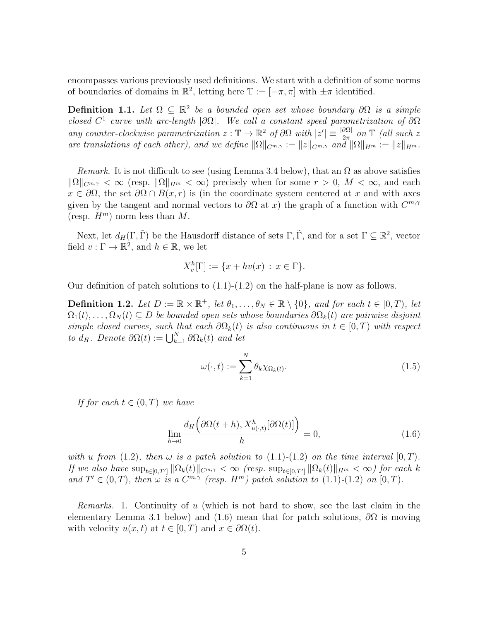encompasses various previously used definitions. We start with a definition of some norms of boundaries of domains in  $\mathbb{R}^2$ , letting here  $\mathbb{T} := [-\pi, \pi]$  with  $\pm \pi$  identified.

**Definition 1.1.** Let  $\Omega \subseteq \mathbb{R}^2$  be a bounded open set whose boundary  $\partial\Omega$  is a simple closed  $C^1$  curve with arc-length  $|\partial\Omega|$ . We call a constant speed parametrization of  $\partial\Omega$ any counter-clockwise parametrization  $z : \mathbb{T} \to \mathbb{R}^2$  of  $\partial\Omega$  with  $|z'| \equiv \frac{|\partial\Omega|}{2\pi}$  on  $\mathbb{T}$  (all such z are translations of each other), and we define  $\|\Omega\|_{C^{m,\gamma}} := \|z\|_{C^{m,\gamma}}$  and  $\|\Omega\|_{H^m} := \|z\|_{H^m}$ .

*Remark.* It is not difficult to see (using Lemma 3.4 below), that an  $\Omega$  as above satisfies  $\|\Omega\|_{C^{m,\gamma}} < \infty$  (resp.  $\|\Omega\|_{H^m} < \infty$ ) precisely when for some  $r > 0$ ,  $M < \infty$ , and each  $x \in \partial\Omega$ , the set  $\partial\Omega \cap B(x,r)$  is (in the coordinate system centered at x and with axes given by the tangent and normal vectors to  $\partial\Omega$  at x) the graph of a function with  $C^{m,\gamma}$ (resp.  $H^m$ ) norm less than M.

Next, let  $d_H(\Gamma, \tilde{\Gamma})$  be the Hausdorff distance of sets  $\Gamma, \tilde{\Gamma}$ , and for a set  $\Gamma \subseteq \mathbb{R}^2$ , vector field  $v : \Gamma \to \mathbb{R}^2$ , and  $h \in \mathbb{R}$ , we let

$$
X_v^h[\Gamma] := \{ x + hv(x) : x \in \Gamma \}.
$$

Our definition of patch solutions to  $(1.1)-(1.2)$  on the half-plane is now as follows.

**Definition 1.2.** Let  $D := \mathbb{R} \times \mathbb{R}^+$ , let  $\theta_1, \ldots, \theta_N \in \mathbb{R} \setminus \{0\}$ , and for each  $t \in [0, T)$ , let  $\Omega_1(t), \ldots, \Omega_N(t) \subseteq D$  be bounded open sets whose boundaries  $\partial \Omega_k(t)$  are pairwise disjoint simple closed curves, such that each  $\partial\Omega_k(t)$  is also continuous in  $t \in [0, T)$  with respect to  $d_H$ . Denote  $\partial \Omega(t) := \bigcup_{k=1}^N \partial \Omega_k(t)$  and let

$$
\omega(\cdot, t) := \sum_{k=1}^{N} \theta_k \chi_{\Omega_k(t)}.
$$
\n(1.5)

If for each  $t \in (0,T)$  we have

$$
\lim_{h \to 0} \frac{d_H\left(\partial \Omega(t+h), X_{u(\cdot,t)}^h[\partial \Omega(t)]\right)}{h} = 0,
$$
\n(1.6)

with u from (1.2), then  $\omega$  is a patch solution to (1.1)-(1.2) on the time interval  $[0, T)$ . If we also have  $\sup_{t\in[0,T']}\|\Omega_k(t)\|_{C^{m,\gamma}}<\infty$  (resp.  $\sup_{t\in[0,T']}\|\Omega_k(t)\|_{H^m}<\infty$ ) for each k and  $T' \in (0,T)$ , then  $\omega$  is a  $C^{m,\gamma}$  (resp.  $H^m$ ) patch solution to (1.1)-(1.2) on [0, T).

Remarks. 1. Continuity of u (which is not hard to show, see the last claim in the elementary Lemma 3.1 below) and (1.6) mean that for patch solutions,  $\partial\Omega$  is moving with velocity  $u(x, t)$  at  $t \in [0, T)$  and  $x \in \partial \Omega(t)$ .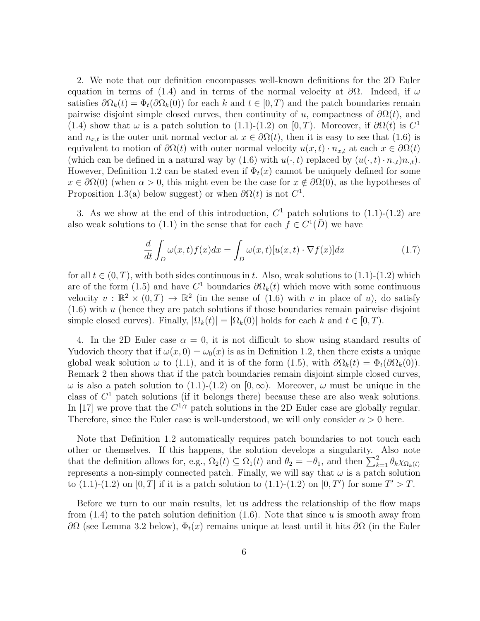2. We note that our definition encompasses well-known definitions for the 2D Euler equation in terms of (1.4) and in terms of the normal velocity at  $\partial\Omega$ . Indeed, if  $\omega$ satisfies  $\partial\Omega_k(t) = \Phi_t(\partial\Omega_k(0))$  for each k and  $t \in [0, T)$  and the patch boundaries remain pairwise disjoint simple closed curves, then continuity of u, compactness of  $\partial \Omega(t)$ , and (1.4) show that  $\omega$  is a patch solution to (1.1)-(1.2) on [0, T). Moreover, if  $\partial\Omega(t)$  is  $C^1$ and  $n_{x,t}$  is the outer unit normal vector at  $x \in \partial \Omega(t)$ , then it is easy to see that (1.6) is equivalent to motion of  $\partial\Omega(t)$  with outer normal velocity  $u(x, t) \cdot n_{x,t}$  at each  $x \in \partial\Omega(t)$ (which can be defined in a natural way by (1.6) with  $u(\cdot, t)$  replaced by  $(u(\cdot, t) \cdot n_{\cdot,t})n_{\cdot,t}).$ However, Definition 1.2 can be stated even if  $\Phi_t(x)$  cannot be uniquely defined for some  $x \in \partial\Omega(0)$  (when  $\alpha > 0$ , this might even be the case for  $x \notin \partial\Omega(0)$ , as the hypotheses of Proposition 1.3(a) below suggest) or when  $\partial \Omega(t)$  is not  $C^1$ .

3. As we show at the end of this introduction,  $C<sup>1</sup>$  patch solutions to (1.1)-(1.2) are also weak solutions to (1.1) in the sense that for each  $f \in C^1(\overline{D})$  we have

$$
\frac{d}{dt} \int_{D} \omega(x, t) f(x) dx = \int_{D} \omega(x, t) [u(x, t) \cdot \nabla f(x)] dx \qquad (1.7)
$$

for all  $t \in (0, T)$ , with both sides continuous in t. Also, weak solutions to  $(1.1)-(1.2)$  which are of the form (1.5) and have  $C^1$  boundaries  $\partial\Omega_k(t)$  which move with some continuous velocity  $v : \mathbb{R}^2 \times (0,T) \to \mathbb{R}^2$  (in the sense of (1.6) with v in place of u), do satisfy  $(1.6)$  with u (hence they are patch solutions if those boundaries remain pairwise disjoint simple closed curves). Finally,  $|\Omega_k(t)| = |\Omega_k(0)|$  holds for each k and  $t \in [0, T)$ .

4. In the 2D Euler case  $\alpha = 0$ , it is not difficult to show using standard results of Yudovich theory that if  $\omega(x, 0) = \omega_0(x)$  is as in Definition 1.2, then there exists a unique global weak solution  $\omega$  to (1.1), and it is of the form (1.5), with  $\partial\Omega_k(t) = \Phi_t(\partial\Omega_k(0))$ . Remark 2 then shows that if the patch boundaries remain disjoint simple closed curves,  $ω$  is also a patch solution to (1.1)-(1.2) on [0, ∞). Moreover,  $ω$  must be unique in the class of  $C<sup>1</sup>$  patch solutions (if it belongs there) because these are also weak solutions. In [17] we prove that the  $C^{1,\gamma}$  patch solutions in the 2D Euler case are globally regular. Therefore, since the Euler case is well-understood, we will only consider  $\alpha > 0$  here.

Note that Definition 1.2 automatically requires patch boundaries to not touch each other or themselves. If this happens, the solution develops a singularity. Also note that the definition allows for, e.g.,  $\Omega_2(t) \subseteq \Omega_1(t)$  and  $\theta_2 = -\theta_1$ , and then  $\sum_{k=1}^2 \theta_k \chi_{\Omega_k(t)}$ represents a non-simply connected patch. Finally, we will say that  $\omega$  is a patch solution to (1.1)-(1.2) on [0, T] if it is a patch solution to (1.1)-(1.2) on [0, T') for some  $T' > T$ .

Before we turn to our main results, let us address the relationship of the flow maps from  $(1.4)$  to the patch solution definition  $(1.6)$ . Note that since u is smooth away from  $\partial\Omega$  (see Lemma 3.2 below),  $\Phi_t(x)$  remains unique at least until it hits  $\partial\Omega$  (in the Euler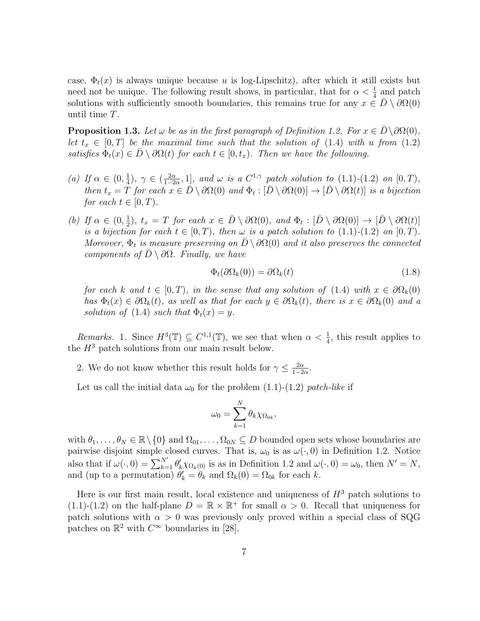case,  $\Phi_t(x)$  is always unique because u is log-Lipschitz), after which it still exists but need not be unique. The following result shows, in particular, that for  $\alpha < \frac{1}{4}$  and patch solutions with sufficiently smooth boundaries, this remains true for any  $x \in \overline{D} \setminus \partial \Omega(0)$ until time T.

**Proposition 1.3.** Let  $\omega$  be as in the first paragraph of Definition 1.2. For  $x \in \overline{D} \setminus \partial \Omega(0)$ , let  $t_x \in [0,T]$  be the maximal time such that the solution of (1.4) with u from (1.2) satisfies  $\Phi_t(x) \in \overline{D} \setminus \partial \Omega(t)$  for each  $t \in [0, t_x)$ . Then we have the following.

- (a) If  $\alpha \in (0, \frac{1}{4})$  $(\frac{1}{4}), \gamma \in (\frac{2\alpha}{1-2})$  $\frac{2\alpha}{1-2\alpha}$ , 1], and  $\omega$  is a  $C^{1,\gamma}$  patch solution to  $(1.1)-(1.2)$  on  $[0,T)$ , then  $t_x = \overline{T}$  for each  $x \in \overline{D} \setminus \partial \Omega(0)$  and  $\Phi_t : [\overline{D} \setminus \partial \Omega(0)] \to [\overline{D} \setminus \partial \Omega(t)]$  is a bijection for each  $t \in [0, T)$ .
- (b) If  $\alpha \in (0, \frac{1}{2})$  $(\frac{1}{2})$ ,  $t_x = T$  for each  $x \in \overline{D} \setminus \partial \Omega(0)$ , and  $\Phi_t : [\overline{D} \setminus \partial \Omega(0)] \to [\overline{D} \setminus \partial \Omega(t)]$ is a bijection for each  $t \in [0, T)$ , then  $\omega$  is a patch solution to  $(1.1)$ - $(1.2)$  on  $[0, T)$ . Moreover,  $\Phi_t$  is measure preserving on  $\overline{D} \setminus \partial \Omega(0)$  and it also preserves the connected components of  $\bar{D} \setminus \partial \Omega$ . Finally, we have

$$
\Phi_t(\partial \Omega_k(0)) = \partial \Omega_k(t) \tag{1.8}
$$

for each k and  $t \in [0, T)$ , in the sense that any solution of (1.4) with  $x \in \partial \Omega_k(0)$ has  $\Phi_t(x) \in \partial \Omega_k(t)$ , as well as that for each  $y \in \partial \Omega_k(t)$ , there is  $x \in \partial \Omega_k(0)$  and a solution of (1.4) such that  $\Phi_t(x) = y$ .

Remarks. 1. Since  $H^3(\mathbb{T}) \subseteq C^{1,1}(\mathbb{T})$ , we see that when  $\alpha < \frac{1}{4}$ , this result applies to the  $H^3$  patch solutions from our main result below.

2. We do not know whether this result holds for  $\gamma \leq \frac{2\alpha}{1-\beta}$  $\frac{2\alpha}{1-2\alpha}$ .

Let us call the initial data  $\omega_0$  for the problem (1.1)-(1.2) patch-like if

$$
\omega_0 = \sum_{k=1}^N \theta_k \chi_{\Omega_{0k}},
$$

with  $\theta_1, \ldots, \theta_N \in \mathbb{R} \setminus \{0\}$  and  $\Omega_{01}, \ldots, \Omega_{0N} \subseteq D$  bounded open sets whose boundaries are pairwise disjoint simple closed curves. That is,  $\omega_0$  is as  $\omega(\cdot, 0)$  in Definition 1.2. Notice also that if  $\omega(\cdot, 0) = \sum_{k=1}^{N'} \theta'_k \chi_{\Omega_k(0)}$  is as in Definition 1.2 and  $\omega(\cdot, 0) = \omega_0$ , then  $N' = N$ , and (up to a permutation)  $\theta'_k = \theta_k$  and  $\Omega_k(0) = \Omega_{0k}$  for each k.

Here is our first main result, local existence and uniqueness of  $H<sup>3</sup>$  patch solutions to (1.1)-(1.2) on the half-plane  $D = \mathbb{R} \times \mathbb{R}^+$  for small  $\alpha > 0$ . Recall that uniqueness for patch solutions with  $\alpha > 0$  was previously only proved within a special class of SQG patches on  $\mathbb{R}^2$  with  $C^{\infty}$  boundaries in [28].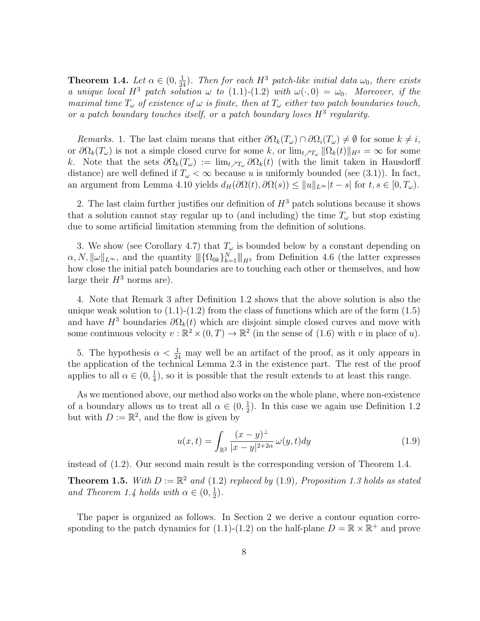**Theorem 1.4.** Let  $\alpha \in (0, \frac{1}{24})$ . Then for each  $H^3$  patch-like initial data  $\omega_0$ , there exists a unique local  $H^3$  patch solution  $\omega$  to (1.1)-(1.2) with  $\omega(\cdot,0) = \omega_0$ . Moreover, if the maximal time  $T_{\omega}$  of existence of  $\omega$  is finite, then at  $T_{\omega}$  either two patch boundaries touch, or a patch boundary touches itself, or a patch boundary loses  $H^3$  regularity.

Remarks. 1. The last claim means that either  $\partial\Omega_k(T_\omega)\cap\partial\Omega_i(T_\omega)\neq\emptyset$  for some  $k\neq i$ , or  $\partial\Omega_k(T_\omega)$  is not a simple closed curve for some k, or  $\lim_{t\nearrow T_\omega} ||\Omega_k(t)||_{H^3} = \infty$  for some k. Note that the sets  $\partial\Omega_k(T_\omega) := \lim_{t \nearrow T_\omega} \partial\Omega_k(t)$  (with the limit taken in Hausdorff distance) are well defined if  $T_{\omega} < \infty$  because u is uniformly bounded (see (3.1)). In fact, an argument from Lemma 4.10 yields  $d_H(\partial\Omega(t), \partial\Omega(s)) \leq ||u||_{L^\infty} |t-s|$  for  $t, s \in [0, T_\omega)$ .

2. The last claim further justifies our definition of  $H^3$  patch solutions because it shows that a solution cannot stay regular up to (and including) the time  $T_{\omega}$  but stop existing due to some artificial limitation stemming from the definition of solutions.

3. We show (see Corollary 4.7) that  $T_{\omega}$  is bounded below by a constant depending on  $\alpha, N, \|\omega\|_{L^{\infty}}$ , and the quantity  $\|\{\Omega_{0k}\}_{k=1}^N\|_{H^3}$  from Definition 4.6 (the latter expresses how close the initial patch boundaries are to touching each other or themselves, and how large their  $H^3$  norms are).

4. Note that Remark 3 after Definition 1.2 shows that the above solution is also the unique weak solution to  $(1.1)-(1.2)$  from the class of functions which are of the form  $(1.5)$ and have  $H^3$  boundaries  $\partial\Omega_k(t)$  which are disjoint simple closed curves and move with some continuous velocity  $v : \mathbb{R}^2 \times (0,T) \to \mathbb{R}^2$  (in the sense of (1.6) with v in place of u).

5. The hypothesis  $\alpha < \frac{1}{24}$  may well be an artifact of the proof, as it only appears in the application of the technical Lemma 2.3 in the existence part. The rest of the proof applies to all  $\alpha \in (0, \frac{1}{4})$  $\frac{1}{4}$ , so it is possible that the result extends to at least this range.

As we mentioned above, our method also works on the whole plane, where non-existence of a boundary allows us to treat all  $\alpha \in (0, \frac{1}{2})$  $\frac{1}{2}$ ). In this case we again use Definition 1.2 but with  $D := \mathbb{R}^2$ , and the flow is given by

$$
u(x,t) = \int_{\mathbb{R}^2} \frac{(x-y)^{\perp}}{|x-y|^{2+2\alpha}} \omega(y,t) dy
$$
 (1.9)

instead of (1.2). Our second main result is the corresponding version of Theorem 1.4.

**Theorem 1.5.** With  $D := \mathbb{R}^2$  and (1.2) replaced by (1.9), Proposition 1.3 holds as stated and Theorem 1.4 holds with  $\alpha \in (0, \frac{1}{2})$  $(\frac{1}{2})$ .

The paper is organized as follows. In Section 2 we derive a contour equation corresponding to the patch dynamics for (1.1)-(1.2) on the half-plane  $D = \mathbb{R} \times \mathbb{R}^+$  and prove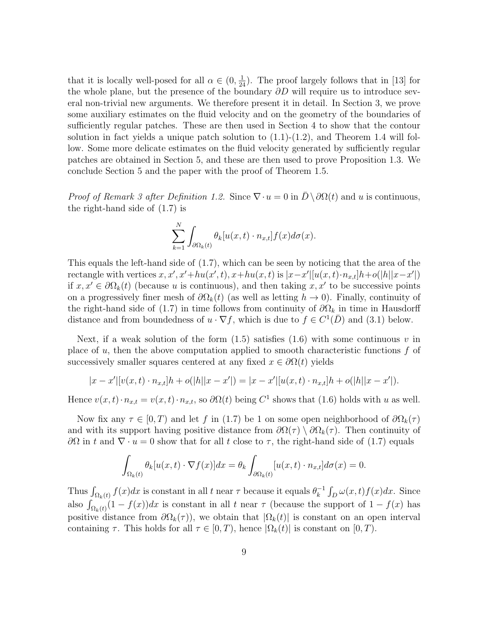that it is locally well-posed for all  $\alpha \in (0, \frac{1}{24})$ . The proof largely follows that in [13] for the whole plane, but the presence of the boundary  $\partial D$  will require us to introduce several non-trivial new arguments. We therefore present it in detail. In Section 3, we prove some auxiliary estimates on the fluid velocity and on the geometry of the boundaries of sufficiently regular patches. These are then used in Section 4 to show that the contour solution in fact yields a unique patch solution to  $(1.1)-(1.2)$ , and Theorem 1.4 will follow. Some more delicate estimates on the fluid velocity generated by sufficiently regular patches are obtained in Section 5, and these are then used to prove Proposition 1.3. We conclude Section 5 and the paper with the proof of Theorem 1.5.

*Proof of Remark 3 after Definition 1.2.* Since  $\nabla \cdot u = 0$  in  $\overline{D} \setminus \partial \Omega(t)$  and u is continuous, the right-hand side of (1.7) is

$$
\sum_{k=1}^{N} \int_{\partial \Omega_k(t)} \theta_k[u(x,t) \cdot n_{x,t}] f(x) d\sigma(x).
$$

This equals the left-hand side of (1.7), which can be seen by noticing that the area of the rectangle with vertices  $x, x', x'+hu(x', t), x+hu(x, t)$  is  $|x-x'||u(x, t) \cdot n_{x,t}]h+o(|h||x-x'|)$ if  $x, x' \in \partial \Omega_k(t)$  (because u is continuous), and then taking  $x, x'$  to be successive points on a progressively finer mesh of  $\partial\Omega_k(t)$  (as well as letting  $h \to 0$ ). Finally, continuity of the right-hand side of (1.7) in time follows from continuity of  $\partial\Omega_k$  in time in Hausdorff distance and from boundedness of  $u \cdot \nabla f$ , which is due to  $f \in C^1(\overline{D})$  and (3.1) below.

Next, if a weak solution of the form  $(1.5)$  satisfies  $(1.6)$  with some continuous v in place of  $u$ , then the above computation applied to smooth characteristic functions  $f$  of successively smaller squares centered at any fixed  $x \in \partial \Omega(t)$  yields

$$
|x - x'| [v(x, t) \cdot n_{x,t}]h + o(|h||x - x'|) = |x - x'| [u(x, t) \cdot n_{x,t}]h + o(|h||x - x'|).
$$

Hence  $v(x,t) \cdot n_{x,t} = v(x,t) \cdot n_{x,t}$ , so  $\partial \Omega(t)$  being  $C^1$  shows that (1.6) holds with u as well.

Now fix any  $\tau \in [0, T)$  and let f in (1.7) be 1 on some open neighborhood of  $\partial \Omega_k(\tau)$ and with its support having positive distance from  $\partial\Omega(\tau) \setminus \partial\Omega_k(\tau)$ . Then continuity of  $\partial\Omega$  in t and  $\nabla\cdot u=0$  show that for all t close to τ, the right-hand side of (1.7) equals

$$
\int_{\Omega_k(t)} \theta_k[u(x,t)\cdot \nabla f(x)]dx = \theta_k \int_{\partial\Omega_k(t)} [u(x,t)\cdot n_{x,t}]d\sigma(x) = 0.
$$

Thus  $\int_{\Omega_k(t)} f(x) dx$  is constant in all t near  $\tau$  because it equals  $\theta_k^{-1}$  $\int_{k}^{-1} \int_{D} \omega(x, t) f(x) dx$ . Since also  $\int_{\Omega_k(t)} (1 - f(x)) dx$  is constant in all t near  $\tau$  (because the support of  $1 - f(x)$  has positive distance from  $\partial\Omega_k(\tau)$ , we obtain that  $|\Omega_k(t)|$  is constant on an open interval containing  $\tau$ . This holds for all  $\tau \in [0, T)$ , hence  $|\Omega_k(t)|$  is constant on  $[0, T)$ .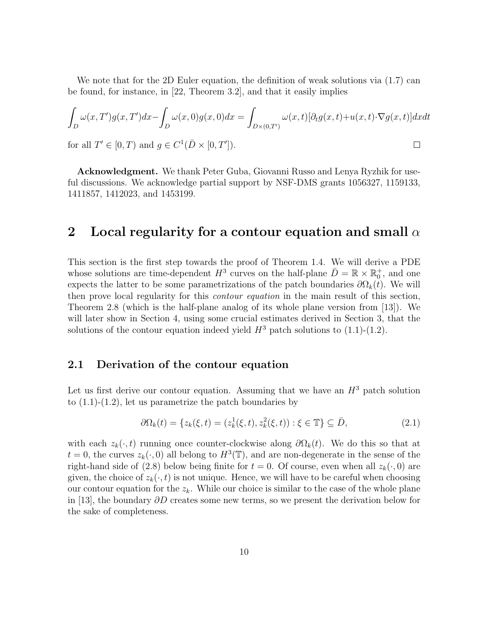We note that for the 2D Euler equation, the definition of weak solutions via  $(1.7)$  can be found, for instance, in [22, Theorem 3.2], and that it easily implies

$$
\int_{D} \omega(x, T')g(x, T')dx - \int_{D} \omega(x, 0)g(x, 0)dx = \int_{D \times (0, T')} \omega(x, t)[\partial_t g(x, t) + u(x, t) \cdot \nabla g(x, t)]dxdt
$$
  
for all  $T' \in [0, T)$  and  $g \in C^1(\bar{D} \times [0, T'])$ .

for all  $T' \in [0, T)$  and  $g \in C^1(\overline{D} \times [0, T'])$ .

Acknowledgment. We thank Peter Guba, Giovanni Russo and Lenya Ryzhik for useful discussions. We acknowledge partial support by NSF-DMS grants 1056327, 1159133, 1411857, 1412023, and 1453199.

## 2 Local regularity for a contour equation and small  $\alpha$

This section is the first step towards the proof of Theorem 1.4. We will derive a PDE whose solutions are time-dependent  $H^3$  curves on the half-plane  $\bar{D} = \mathbb{R} \times \mathbb{R}_0^+$ , and one expects the latter to be some parametrizations of the patch boundaries  $\partial\Omega_k(t)$ . We will then prove local regularity for this contour equation in the main result of this section, Theorem 2.8 (which is the half-plane analog of its whole plane version from [13]). We will later show in Section 4, using some crucial estimates derived in Section 3, that the solutions of the contour equation indeed yield  $H^3$  patch solutions to (1.1)-(1.2).

### 2.1 Derivation of the contour equation

Let us first derive our contour equation. Assuming that we have an  $H^3$  patch solution to  $(1.1)-(1.2)$ , let us parametrize the patch boundaries by

$$
\partial \Omega_k(t) = \{ z_k(\xi, t) = (z_k^1(\xi, t), z_k^2(\xi, t)) : \xi \in \mathbb{T} \} \subseteq \bar{D},
$$
\n(2.1)

with each  $z_k(\cdot, t)$  running once counter-clockwise along  $\partial \Omega_k(t)$ . We do this so that at  $t = 0$ , the curves  $z_k(\cdot, 0)$  all belong to  $H^3(\mathbb{T})$ , and are non-degenerate in the sense of the right-hand side of (2.8) below being finite for  $t = 0$ . Of course, even when all  $z_k(\cdot, 0)$  are given, the choice of  $z_k(\cdot, t)$  is not unique. Hence, we will have to be careful when choosing our contour equation for the  $z_k$ . While our choice is similar to the case of the whole plane in [13], the boundary ∂D creates some new terms, so we present the derivation below for the sake of completeness.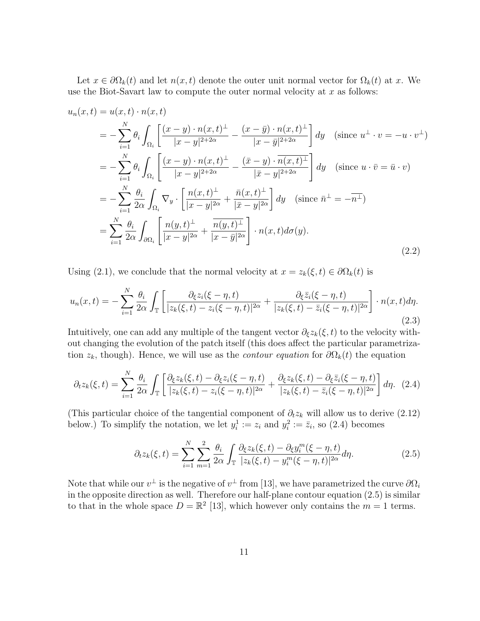Let  $x \in \partial \Omega_k(t)$  and let  $n(x,t)$  denote the outer unit normal vector for  $\Omega_k(t)$  at x. We use the Biot-Savart law to compute the outer normal velocity at  $x$  as follows:

$$
u_n(x,t) = u(x,t) \cdot n(x,t)
$$
  
\n
$$
= -\sum_{i=1}^N \theta_i \int_{\Omega_i} \left[ \frac{(x-y) \cdot n(x,t)^{\perp}}{|x-y|^{2+2\alpha}} - \frac{(x-\bar{y}) \cdot n(x,t)^{\perp}}{|x-\bar{y}|^{2+2\alpha}} \right] dy \quad \text{(since } u^{\perp} \cdot v = -u \cdot v^{\perp}\text{)}
$$
  
\n
$$
= -\sum_{i=1}^N \theta_i \int_{\Omega_i} \left[ \frac{(x-y) \cdot n(x,t)^{\perp}}{|x-y|^{2+2\alpha}} - \frac{(\bar{x}-y) \cdot \overline{n(x,t)^{\perp}}}{|\bar{x}-y|^{2+2\alpha}} \right] dy \quad \text{(since } u \cdot \bar{v} = \bar{u} \cdot v\text{)}
$$
  
\n
$$
= -\sum_{i=1}^N \frac{\theta_i}{2\alpha} \int_{\Omega_i} \nabla_y \cdot \left[ \frac{n(x,t)^{\perp}}{|x-y|^{2\alpha}} + \frac{\bar{n}(x,t)^{\perp}}{|\bar{x}-y|^{2\alpha}} \right] dy \quad \text{(since } \bar{n}^{\perp} = -\overline{n^{\perp}}\text{)}
$$
  
\n
$$
= \sum_{i=1}^N \frac{\theta_i}{2\alpha} \int_{\partial\Omega_i} \left[ \frac{n(y,t)^{\perp}}{|x-y|^{2\alpha}} + \frac{\overline{n(y,t)^{\perp}}}{|x-\bar{y}|^{2\alpha}} \right] \cdot n(x,t) d\sigma(y).
$$
  
\n(2.2)

Using (2.1), we conclude that the normal velocity at  $x = z_k(\xi, t) \in \partial \Omega_k(t)$  is

$$
u_n(x,t) = -\sum_{i=1}^N \frac{\theta_i}{2\alpha} \int_{\mathbb{T}} \left[ \frac{\partial_\xi z_i(\xi-\eta,t)}{|z_k(\xi,t)-z_i(\xi-\eta,t)|^{2\alpha}} + \frac{\partial_\xi \bar{z}_i(\xi-\eta,t)}{|z_k(\xi,t)-\bar{z}_i(\xi-\eta,t)|^{2\alpha}} \right] \cdot n(x,t) d\eta. \tag{2.3}
$$

Intuitively, one can add any multiple of the tangent vector  $\partial_{\xi}z_k(\xi, t)$  to the velocity without changing the evolution of the patch itself (this does affect the particular parametrization  $z_k$ , though). Hence, we will use as the *contour equation* for  $\partial \Omega_k(t)$  the equation

$$
\partial_t z_k(\xi, t) = \sum_{i=1}^N \frac{\theta_i}{2\alpha} \int_{\mathbb{T}} \left[ \frac{\partial_{\xi} z_k(\xi, t) - \partial_{\xi} z_i(\xi - \eta, t)}{|z_k(\xi, t) - z_i(\xi - \eta, t)|^{2\alpha}} + \frac{\partial_{\xi} z_k(\xi, t) - \partial_{\xi} \bar{z}_i(\xi - \eta, t)}{|z_k(\xi, t) - \bar{z}_i(\xi - \eta, t)|^{2\alpha}} \right] d\eta. \tag{2.4}
$$

(This particular choice of the tangential component of  $\partial_t z_k$  will allow us to derive (2.12) below.) To simplify the notation, we let  $y_i^1 := z_i$  and  $y_i^2 := \overline{z}_i$ , so (2.4) becomes

$$
\partial_t z_k(\xi, t) = \sum_{i=1}^N \sum_{m=1}^2 \frac{\theta_i}{2\alpha} \int_{\mathbb{T}} \frac{\partial_{\xi} z_k(\xi, t) - \partial_{\xi} y_i^m(\xi - \eta, t)}{|z_k(\xi, t) - y_i^m(\xi - \eta, t)|^{2\alpha}} d\eta.
$$
 (2.5)

Note that while our  $v^{\perp}$  is the negative of  $v^{\perp}$  from [13], we have parametrized the curve  $\partial\Omega_i$ in the opposite direction as well. Therefore our half-plane contour equation (2.5) is similar to that in the whole space  $D = \mathbb{R}^2$  [13], which however only contains the  $m = 1$  terms.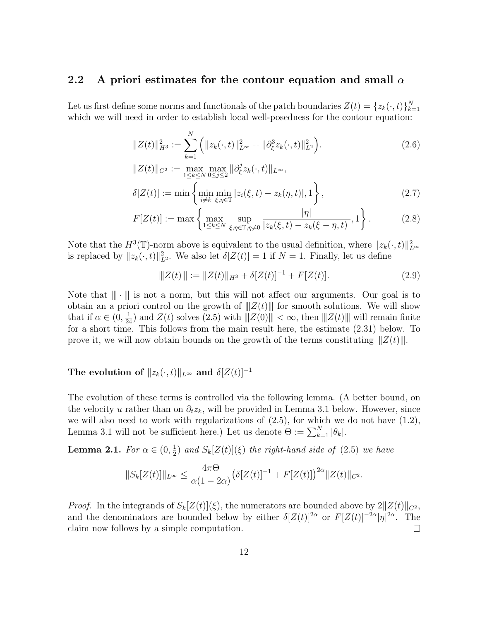### 2.2 A priori estimates for the contour equation and small  $\alpha$

Let us first define some norms and functionals of the patch boundaries  $Z(t) = \{z_k(\cdot, t)\}_{k=1}^N$ which we will need in order to establish local well-posedness for the contour equation:

$$
||Z(t)||_{H^3}^2 := \sum_{k=1}^N \left( ||z_k(\cdot, t)||_{L^\infty}^2 + ||\partial_{\xi}^3 z_k(\cdot, t)||_{L^2}^2 \right).
$$
 (2.6)

$$
||Z(t)||_{C^2} := \max_{1 \le k \le N} \max_{0 \le j \le 2} ||\partial_{\xi}^{j} z_k(\cdot, t)||_{L^{\infty}},
$$
  
\n
$$
\delta[Z(t)] := \min \left\{ \min_{i \ne k} \min_{\xi, \eta \in \mathbb{T}} |z_i(\xi, t) - z_k(\eta, t)|, 1 \right\},
$$
\n(2.7)

$$
F[Z(t)] := \max \left\{ \max_{1 \le k \le N} \sup_{\xi, \eta \in \mathbb{T}, \eta \neq 0} \frac{|\eta|}{|z_k(\xi, t) - z_k(\xi - \eta, t)|}, 1 \right\}.
$$
 (2.8)

Note that the  $H^3(\mathbb{T})$ -norm above is equivalent to the usual definition, where  $||z_k(\cdot, t)||_{L^{\infty}}^2$ is replaced by  $||z_k(\cdot, t)||_{L^2}^2$ . We also let  $\delta[Z(t)] = 1$  if  $N = 1$ . Finally, let us define

$$
||Z(t)|| := ||Z(t)||_{H^3} + \delta [Z(t)]^{-1} + F[Z(t)]. \qquad (2.9)
$$

Note that  $\|\cdot\|$  is not a norm, but this will not affect our arguments. Our goal is to obtain an a priori control on the growth of  $||Z(t)||$  for smooth solutions. We will show that if  $\alpha \in (0, \frac{1}{24})$  and  $Z(t)$  solves  $(2.5)$  with  $||Z(0)|| < \infty$ , then  $||Z(t)||$  will remain finite for a short time. This follows from the main result here, the estimate (2.31) below. To prove it, we will now obtain bounds on the growth of the terms constituting  $||Z(t)||$ .

## The evolution of  $||z_k(\cdot, t)||_{L^{\infty}}$  and  $\delta |Z(t)|^{-1}$

The evolution of these terms is controlled via the following lemma. (A better bound, on the velocity u rather than on  $\partial_t z_k$ , will be provided in Lemma 3.1 below. However, since we will also need to work with regularizations of  $(2.5)$ , for which we do not have  $(1.2)$ , Lemma 3.1 will not be sufficient here.) Let us denote  $\Theta := \sum_{k=1}^{N} |\theta_k|$ .

**Lemma 2.1.** For  $\alpha \in (0, \frac{1}{2})$  $\frac{1}{2}$ ) and  $S_k[Z(t)](\xi)$  the right-hand side of (2.5) we have

$$
||S_k[Z(t)]||_{L^{\infty}} \leq \frac{4\pi\Theta}{\alpha(1-2\alpha)} \big(\delta[Z(t)]^{-1} + F[Z(t)]\big)^{2\alpha} ||Z(t)||_{C^2}.
$$

*Proof.* In the integrands of  $S_k[Z(t)](\xi)$ , the numerators are bounded above by  $2||Z(t)||_{C^2}$ , and the denominators are bounded below by either  $\delta [Z(t)]^{2\alpha}$  or  $F[Z(t)]^{-2\alpha}|\eta|^{2\alpha}$ . The claim now follows by a simple computation.  $\Box$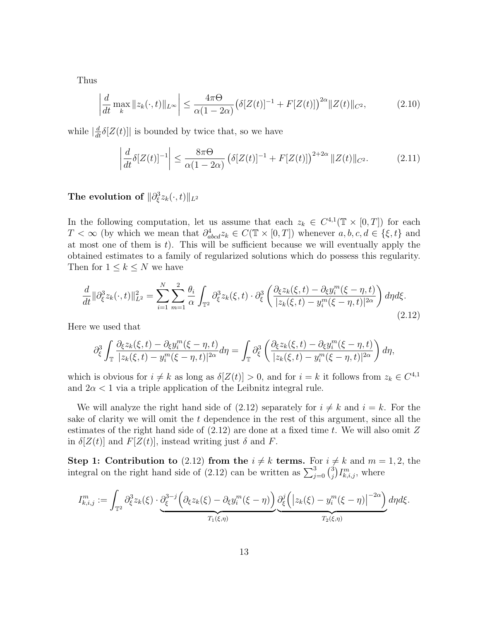Thus

$$
\left| \frac{d}{dt} \max_{k} \|z_{k}(\cdot, t)\|_{L^{\infty}} \right| \leq \frac{4\pi \Theta}{\alpha (1 - 2\alpha)} \big( \delta [Z(t)]^{-1} + F[Z(t)] \big)^{2\alpha} \|Z(t)\|_{C^{2}}, \tag{2.10}
$$

while  $\left|\frac{d}{dt}\delta[Z(t)]\right|$  is bounded by twice that, so we have

$$
\left| \frac{d}{dt} \delta [Z(t)]^{-1} \right| \le \frac{8\pi \Theta}{\alpha (1 - 2\alpha)} \left( \delta [Z(t)]^{-1} + F[Z(t)] \right)^{2 + 2\alpha} ||Z(t)||_{C^2}.
$$
 (2.11)

## The evolution of  $\|\partial_\xi^3 z_k(\cdot,t)\|_{L^2}$

In the following computation, let us assume that each  $z_k \in C^{4,1}(\mathbb{T} \times [0,T])$  for each  $T < \infty$  (by which we mean that  $\partial^4_{abcd} z_k \in C(\mathbb{T} \times [0,T])$  whenever  $a, b, c, d \in {\{\xi, t\}}$  and at most one of them is  $t$ ). This will be sufficient because we will eventually apply the obtained estimates to a family of regularized solutions which do possess this regularity. Then for  $1 \leq k \leq N$  we have

$$
\frac{d}{dt} \|\partial_{\xi}^{3} z_{k}(\cdot, t)\|_{L^{2}}^{2} = \sum_{i=1}^{N} \sum_{m=1}^{2} \frac{\theta_{i}}{\alpha} \int_{\mathbb{T}^{2}} \partial_{\xi}^{3} z_{k}(\xi, t) \cdot \partial_{\xi}^{3} \left( \frac{\partial_{\xi} z_{k}(\xi, t) - \partial_{\xi} y_{i}^{m}(\xi - \eta, t)}{|z_{k}(\xi, t) - y_{i}^{m}(\xi - \eta, t)|^{2\alpha}} \right) d\eta d\xi.
$$
\n(2.12)

Here we used that

$$
\partial_{\xi}^{3} \int_{\mathbb{T}} \frac{\partial_{\xi} z_k(\xi, t) - \partial_{\xi} y_i^m(\xi - \eta, t)}{|z_k(\xi, t) - y_i^m(\xi - \eta, t)|^{2\alpha}} d\eta = \int_{\mathbb{T}} \partial_{\xi}^{3} \left( \frac{\partial_{\xi} z_k(\xi, t) - \partial_{\xi} y_i^m(\xi - \eta, t)}{|z_k(\xi, t) - y_i^m(\xi - \eta, t)|^{2\alpha}} \right) d\eta,
$$

which is obvious for  $i \neq k$  as long as  $\delta[Z(t)] > 0$ , and for  $i = k$  it follows from  $z_k \in C^{4,1}$ and  $2\alpha < 1$  via a triple application of the Leibnitz integral rule.

We will analyze the right hand side of  $(2.12)$  separately for  $i \neq k$  and  $i = k$ . For the sake of clarity we will omit the t dependence in the rest of this argument, since all the estimates of the right hand side of  $(2.12)$  are done at a fixed time t. We will also omit Z in  $\delta[Z(t)]$  and  $F[Z(t)]$ , instead writing just  $\delta$  and F.

Step 1: Contribution to (2.12) from the  $i \neq k$  terms. For  $i \neq k$  and  $m = 1, 2$ , the integral on the right hand side of (2.12) can be written as  $\sum_{j=0}^{3} {3 \choose j}$  $_{j}^{3}\big)I_{k,i,j}^{m},\,\mathrm{where}% \,\,\left\vert \left( l_{0}\right) \right\rangle \left\langle l_{0}\right\vert \left\langle l_{0}\right\rangle \left\langle l_{0}\right\vert \left\langle l_{0}\right\rangle \left\langle l_{0}\right\vert \left\langle l_{0}\right\rangle \left\langle l_{0}\right\vert \left\langle l_{0}\right\vert \left\langle l_{0}\right\vert \left\langle l_{0}\right\vert \left\langle l_{0}\right\vert \left\langle l_{0}\right\vert \left\langle l_{0}\right\vert \left\langle l_{0}\right\vert \left\langle l_{0}\right\vert \left\langle l_{0}\right\vert \left$ 

$$
I_{k,i,j}^m := \int_{\mathbb{T}^2} \partial_{\xi}^3 z_k(\xi) \cdot \underbrace{\partial_{\xi}^{3-j} \left( \partial_{\xi} z_k(\xi) - \partial_{\xi} y_i^m(\xi - \eta) \right)}_{T_1(\xi,\eta)} \underbrace{\partial_{\xi}^j \left( \left| z_k(\xi) - y_i^m(\xi - \eta) \right|^{-2\alpha} \right)}_{T_2(\xi,\eta)} d\eta d\xi.
$$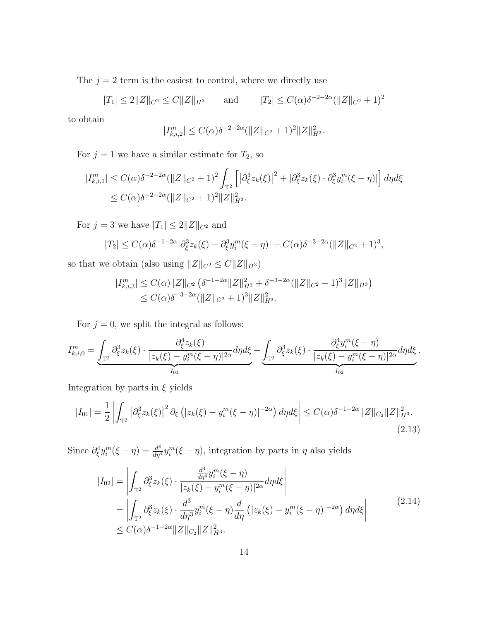The  $j = 2$  term is the easiest to control, where we directly use

$$
|T_1| \le 2||Z||_{C^2} \le C||Z||_{H^3}
$$
 and  $|T_2| \le C(\alpha)\delta^{-2-2\alpha} (||Z||_{C^2} + 1)^2$ 

to obtain

$$
|I_{k,i,2}^m| \le C(\alpha)\delta^{-2-2\alpha} (||Z||_{C^2}+1)^2 ||Z||_{H^3}^2.
$$

For  $j = 1$  we have a similar estimate for  $T_2$ , so

$$
\begin{aligned} |I_{k,i,1}^m| &\le C(\alpha)\delta^{-2-2\alpha}(\|Z\|_{C^2}+1)^2 \int_{\mathbb{T}^2} \left[ \left|\partial_\xi^3 z_k(\xi)\right|^2 + \left|\partial_\xi^3 z_k(\xi)\cdot \partial_\xi^3 y_i^m(\xi-\eta)\right| \right] d\eta d\xi \\ &\le C(\alpha)\delta^{-2-2\alpha}(\|Z\|_{C^2}+1)^2 \|Z\|_{H^3}^2. \end{aligned}
$$

For  $j = 3$  we have  $|T_1| \leq 2||Z||_{C^2}$  and

$$
|T_2| \leq C(\alpha)\delta^{-1-2\alpha}|\partial_{\xi}^3 z_k(\xi) - \partial_{\xi}^3 y_i^m(\xi - \eta)| + C(\alpha)\delta^{-3-2\alpha}(\|Z\|_{C^2} + 1)^3,
$$

so that we obtain (also using  $||Z||_{C^2} \leq C||Z||_{H^3}$ )

$$
\begin{aligned} |I_{k,i,3}^m| &\le C(\alpha) \|Z\|_{C^2} \left(\delta^{-1-2\alpha} \|Z\|_{H^3}^2 + \delta^{-3-2\alpha} (\|Z\|_{C^2} + 1)^3 \|Z\|_{H^3}\right) \\ &\le C(\alpha) \delta^{-3-2\alpha} (\|Z\|_{C^2} + 1)^3 \|Z\|_{H^3}^2. \end{aligned}
$$

For  $j = 0$ , we split the integral as follows:

$$
I_{k,i,0}^{m} = \underbrace{\int_{\mathbb{T}^2} \partial_{\xi}^3 z_k(\xi) \cdot \frac{\partial_{\xi}^4 z_k(\xi)}{|z_k(\xi) - y_i^m(\xi - \eta)|^{2\alpha}} d\eta d\xi}_{I_{01}} - \underbrace{\int_{\mathbb{T}^2} \partial_{\xi}^3 z_k(\xi) \cdot \frac{\partial_{\xi}^4 y_i^m(\xi - \eta)}{|z_k(\xi) - y_i^m(\xi - \eta)|^{2\alpha}} d\eta d\xi}_{I_{02}}.
$$

Integration by parts in  $\xi$  yields

$$
|I_{01}| = \frac{1}{2} \left| \int_{\mathbb{T}^2} \left| \partial_{\xi}^3 z_k(\xi) \right|^2 \partial_{\xi} \left( |z_k(\xi) - y_i^m(\xi - \eta)|^{-2\alpha} \right) d\eta d\xi \right| \le C(\alpha) \delta^{-1-2\alpha} \|Z\|_{C_2} \|Z\|_{H^3}^2.
$$
\n(2.13)

Since  $\partial_{\xi}^{4} y_i^m (\xi - \eta) = \frac{d^4}{d\eta^4} y_i^m (\xi - \eta)$ , integration by parts in  $\eta$  also yields

$$
|I_{02}| = \left| \int_{\mathbb{T}^2} \partial_{\xi}^3 z_k(\xi) \cdot \frac{\frac{d^4}{d\eta^4} y_i^m(\xi - \eta)}{|z_k(\xi) - y_i^m(\xi - \eta)|^{2\alpha}} d\eta d\xi \right|
$$
  
= 
$$
\left| \int_{\mathbb{T}^2} \partial_{\xi}^3 z_k(\xi) \cdot \frac{d^3}{d\eta^3} y_i^m(\xi - \eta) \frac{d}{d\eta} \left( |z_k(\xi) - y_i^m(\xi - \eta)|^{-2\alpha} \right) d\eta d\xi \right|
$$
  
\$\leq C(\alpha)\delta^{-1-2\alpha} ||Z||\_{C\_2} ||Z||\_{H^3}^2.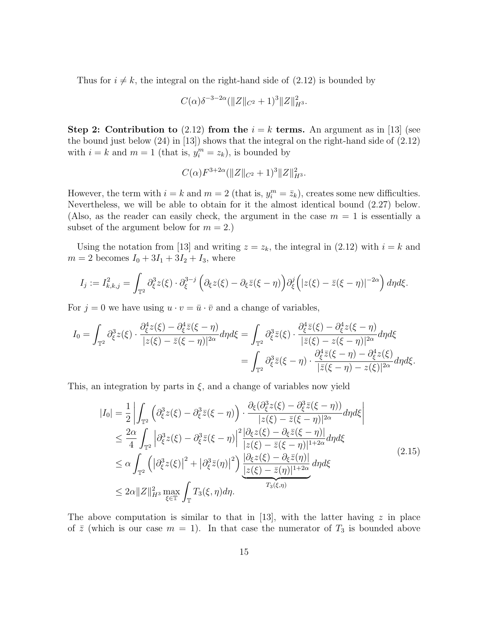Thus for  $i \neq k$ , the integral on the right-hand side of (2.12) is bounded by

$$
C(\alpha)\delta^{-3-2\alpha}(\|Z\|_{C^2}+1)^3\|Z\|_{H^3}^2.
$$

Step 2: Contribution to (2.12) from the  $i = k$  terms. An argument as in [13] (see the bound just below (24) in [13]) shows that the integral on the right-hand side of (2.12) with  $i = k$  and  $m = 1$  (that is,  $y_i^m = z_k$ ), is bounded by

$$
C(\alpha)F^{3+2\alpha}(\|Z\|_{C^2}+1)^3\|Z\|_{H^3}^2.
$$

However, the term with  $i = k$  and  $m = 2$  (that is,  $y_i^m = \bar{z}_k$ ), creates some new difficulties. Nevertheless, we will be able to obtain for it the almost identical bound (2.27) below. (Also, as the reader can easily check, the argument in the case  $m = 1$  is essentially a subset of the argument below for  $m = 2$ .)

Using the notation from [13] and writing  $z = z_k$ , the integral in (2.12) with  $i = k$  and  $m = 2$  becomes  $I_0 + 3I_1 + 3I_2 + I_3$ , where

$$
I_j := I_{k,k,j}^2 = \int_{\mathbb{T}^2} \partial_{\xi}^3 z(\xi) \cdot \partial_{\xi}^{3-j} \left( \partial_{\xi} z(\xi) - \partial_{\xi} \bar{z}(\xi - \eta) \right) \partial_{\xi}^j \left( |z(\xi) - \bar{z}(\xi - \eta)|^{-2\alpha} \right) d\eta d\xi.
$$

For  $j = 0$  we have using  $u \cdot v = \bar{u} \cdot \bar{v}$  and a change of variables,

$$
I_0 = \int_{\mathbb{T}^2} \partial_{\xi}^3 z(\xi) \cdot \frac{\partial_{\xi}^4 z(\xi) - \partial_{\xi}^4 \bar{z}(\xi - \eta)}{|z(\xi) - \bar{z}(\xi - \eta)|^{2\alpha}} d\eta d\xi = \int_{\mathbb{T}^2} \partial_{\xi}^3 \bar{z}(\xi) \cdot \frac{\partial_{\xi}^4 \bar{z}(\xi) - \partial_{\xi}^4 z(\xi - \eta)}{|\bar{z}(\xi) - z(\xi - \eta)|^{2\alpha}} d\eta d\xi
$$
  
= 
$$
\int_{\mathbb{T}^2} \partial_{\xi}^3 \bar{z}(\xi - \eta) \cdot \frac{\partial_{\xi}^4 z(\xi - \eta) - \partial_{\xi}^4 z(\xi)}{|\bar{z}(\xi - \eta) - z(\xi)|^{2\alpha}} d\eta d\xi.
$$

This, an integration by parts in  $\xi$ , and a change of variables now yield

$$
|I_{0}| = \frac{1}{2} \left| \int_{\mathbb{T}^{2}} \left( \partial_{\xi}^{3} z(\xi) - \partial_{\xi}^{3} \overline{z}(\xi - \eta) \right) \cdot \frac{\partial_{\xi} (\partial_{\xi}^{3} z(\xi) - \partial_{\xi}^{3} \overline{z}(\xi - \eta))}{|z(\xi) - \overline{z}(\xi - \eta)|^{2\alpha}} d\eta d\xi \right|
$$
  
\n
$$
\leq \frac{2\alpha}{4} \int_{\mathbb{T}^{2}} \left| \partial_{\xi}^{3} z(\xi) - \partial_{\xi}^{3} \overline{z}(\xi - \eta) \right|^{2} \frac{|\partial_{\xi} z(\xi) - \partial_{\xi} \overline{z}(\xi - \eta)|}{|z(\xi) - \overline{z}(\xi - \eta)|^{1+2\alpha}} d\eta d\xi
$$
  
\n
$$
\leq \alpha \int_{\mathbb{T}^{2}} \left( \left| \partial_{\xi}^{3} z(\xi) \right|^{2} + \left| \partial_{\xi}^{3} \overline{z}(\eta) \right|^{2} \right) \underbrace{\frac{|\partial_{\xi} z(\xi) - \partial_{\xi} \overline{z}(\eta)|}{|z(\xi) - \overline{z}(\eta)|^{1+2\alpha}}}_{T_{3}(\xi, \eta) d\eta} d\eta d\xi
$$
\n
$$
\leq 2\alpha \|Z\|_{H^{3}}^{2} \max_{\xi \in \mathbb{T}} \int_{\mathbb{T}} T_{3}(\xi, \eta) d\eta.
$$
\n(2.15)

The above computation is similar to that in [13], with the latter having  $z$  in place of  $\bar{z}$  (which is our case  $m = 1$ ). In that case the numerator of  $T_3$  is bounded above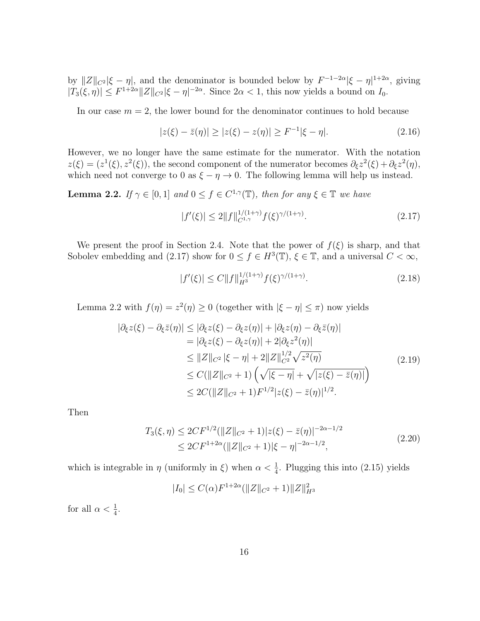by  $||Z||_{C^2} |\xi - \eta|$ , and the denominator is bounded below by  $F^{-1-2\alpha} |\xi - \eta|^{1+2\alpha}$ , giving  $|T_3(\xi, \eta)| \leq F^{1+2\alpha} ||Z||_{C^2} |\xi - \eta|^{-2\alpha}$ . Since  $2\alpha < 1$ , this now yields a bound on  $I_0$ .

In our case  $m = 2$ , the lower bound for the denominator continues to hold because

$$
|z(\xi) - \bar{z}(\eta)| \ge |z(\xi) - z(\eta)| \ge F^{-1}|\xi - \eta|. \tag{2.16}
$$

However, we no longer have the same estimate for the numerator. With the notation  $z(\xi) = (z^1(\xi), z^2(\xi))$ , the second component of the numerator becomes  $\partial_{\xi} z^2(\xi) + \partial_{\xi} z^2(\eta)$ , which need not converge to 0 as  $\xi - \eta \rightarrow 0$ . The following lemma will help us instead.

**Lemma 2.2.** If  $\gamma \in [0, 1]$  and  $0 \leq f \in C^{1, \gamma}(\mathbb{T})$ , then for any  $\xi \in \mathbb{T}$  we have

$$
|f'(\xi)| \le 2||f||_{C^{1,\gamma}}^{1/(1+\gamma)} f(\xi)^{\gamma/(1+\gamma)}.
$$
\n(2.17)

We present the proof in Section 2.4. Note that the power of  $f(\xi)$  is sharp, and that Sobolev embedding and (2.17) show for  $0 \le f \in H^3(\mathbb{T})$ ,  $\xi \in \mathbb{T}$ , and a universal  $C < \infty$ ,

$$
|f'(\xi)| \le C \|f\|_{H^3}^{1/(1+\gamma)} f(\xi)^{\gamma/(1+\gamma)}.
$$
\n(2.18)

Lemma 2.2 with  $f(\eta) = z^2(\eta) \ge 0$  (together with  $|\xi - \eta| \le \pi$ ) now yields

$$
|\partial_{\xi} z(\xi) - \partial_{\xi} \bar{z}(\eta)| \leq |\partial_{\xi} z(\xi) - \partial_{\xi} z(\eta)| + |\partial_{\xi} z(\eta) - \partial_{\xi} \bar{z}(\eta)|
$$
  
\n
$$
= |\partial_{\xi} z(\xi) - \partial_{\xi} z(\eta)| + 2|\partial_{\xi} z^{2}(\eta)|
$$
  
\n
$$
\leq ||Z||_{C^{2}} |\xi - \eta| + 2||Z||_{C^{2}}^{1/2} \sqrt{z^{2}(\eta)}
$$
  
\n
$$
\leq C(||Z||_{C^{2}} + 1) \left( \sqrt{|\xi - \eta|} + \sqrt{|z(\xi) - \bar{z}(\eta)|} \right)
$$
  
\n
$$
\leq 2C(||Z||_{C^{2}} + 1)F^{1/2}|z(\xi) - \bar{z}(\eta)|^{1/2}.
$$
\n(2.19)

Then

$$
T_3(\xi, \eta) \le 2CF^{1/2}(\|Z\|_{C^2} + 1)|z(\xi) - \bar{z}(\eta)|^{-2\alpha - 1/2}
$$
  
\n
$$
\le 2CF^{1+2\alpha}(\|Z\|_{C^2} + 1)|\xi - \eta|^{-2\alpha - 1/2},
$$
\n(2.20)

which is integrable in  $\eta$  (uniformly in  $\xi$ ) when  $\alpha < \frac{1}{4}$ . Plugging this into (2.15) yields

$$
|I_0| \le C(\alpha) F^{1+2\alpha} (\|Z\|_{C^2} + 1) \|Z\|_{H^3}^2
$$

for all  $\alpha < \frac{1}{4}$ .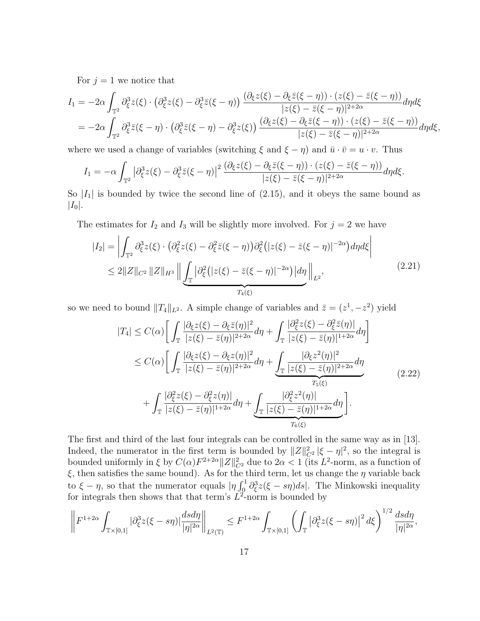For  $j = 1$  we notice that

$$
I_1 = -2\alpha \int_{\mathbb{T}^2} \partial_{\xi}^3 z(\xi) \cdot \left(\partial_{\xi}^3 z(\xi) - \partial_{\xi}^3 \overline{z}(\xi - \eta)\right) \frac{(\partial_{\xi} z(\xi) - \partial_{\xi} \overline{z}(\xi - \eta)) \cdot (z(\xi) - \overline{z}(\xi - \eta))}{|z(\xi) - \overline{z}(\xi - \eta)|^{2+2\alpha}} d\eta d\xi
$$
  
= 
$$
-2\alpha \int_{\mathbb{T}^2} \partial_{\xi}^3 \overline{z}(\xi - \eta) \cdot \left(\partial_{\xi}^3 \overline{z}(\xi - \eta) - \partial_{\xi}^3 z(\xi)\right) \frac{(\partial_{\xi} z(\xi) - \partial_{\xi} \overline{z}(\xi - \eta)) \cdot (z(\xi) - \overline{z}(\xi - \eta))}{|z(\xi) - \overline{z}(\xi - \eta)|^{2+2\alpha}} d\eta d\xi,
$$

where we used a change of variables (switching  $\xi$  and  $\xi - \eta$ ) and  $\bar{u} \cdot \bar{v} = u \cdot v$ . Thus

$$
I_1 = -\alpha \int_{\mathbb{T}^2} \left| \partial_{\xi}^3 z(\xi) - \partial_{\xi}^3 \overline{z}(\xi - \eta) \right|^2 \frac{\left( \partial_{\xi} z(\xi) - \partial_{\xi} \overline{z}(\xi - \eta) \right) \cdot \left( z(\xi) - \overline{z}(\xi - \eta) \right)}{|z(\xi) - \overline{z}(\xi - \eta)|^{2+2\alpha}} d\eta d\xi.
$$

So  $|I_1|$  is bounded by twice the second line of  $(2.15)$ , and it obeys the same bound as  $|I_0|.$ 

The estimates for  $I_2$  and  $I_3$  will be slightly more involved. For  $j = 2$  we have

$$
|I_2| = \left| \int_{\mathbb{T}^2} \partial_{\xi}^3 z(\xi) \cdot \left( \partial_{\xi}^2 z(\xi) - \partial_{\xi}^2 \overline{z}(\xi - \eta) \right) \partial_{\xi}^2 \left( |z(\xi) - \overline{z}(\xi - \eta)|^{-2\alpha} \right) d\eta d\xi \right|
$$
  

$$
\leq 2 \|Z\|_{C^2} \|Z\|_{H^3} \left\| \underbrace{\int_{\mathbb{T}} \left| \partial_{\xi}^2 \left( |z(\xi) - \overline{z}(\xi - \eta)|^{-2\alpha} \right) \right| d\eta}_{T_4(\xi)} \right\|_{L^2},
$$
\n(2.21)

so we need to bound  $||T_4||_{L^2}$ . A simple change of variables and  $\bar{z} = (z^1, -z^2)$  yield

$$
|T_4| \leq C(\alpha) \Bigg[ \int_{\mathbb{T}} \frac{|\partial_{\xi} z(\xi) - \partial_{\xi} \bar{z}(\eta)|^2}{|z(\xi) - \bar{z}(\eta)|^{2+2\alpha}} d\eta + \int_{\mathbb{T}} \frac{|\partial_{\xi}^2 z(\xi) - \partial_{\xi}^2 \bar{z}(\eta)|}{|z(\xi) - \bar{z}(\eta)|^{1+2\alpha}} d\eta \Bigg] \leq C(\alpha) \Bigg[ \int_{\mathbb{T}} \frac{|\partial_{\xi} z(\xi) - \partial_{\xi} z(\eta)|^2}{|z(\xi) - \bar{z}(\eta)|^{2+2\alpha}} d\eta + \int_{\mathbb{T}} \frac{|\partial_{\xi} z^2(\eta)|^2}{|z(\xi) - \bar{z}(\eta)|^{2+2\alpha}} d\eta \Bigg] + \int_{\mathbb{T}} \frac{|\partial_{\xi}^2 z(\xi) - \partial_{\xi}^2 z(\eta)|}{|z(\xi) - \bar{z}(\eta)|^{1+2\alpha}} d\eta + \underbrace{\int_{\mathbb{T}} \frac{|\partial_{\xi}^2 z^2(\eta)|}{|z(\xi) - \bar{z}(\eta)|^{1+2\alpha}} d\eta}_{T_6(\xi)} \Bigg]. \tag{2.22}
$$

The first and third of the last four integrals can be controlled in the same way as in [13]. Indeed, the numerator in the first term is bounded by  $||Z||_{C^2}^2 |\xi - \eta|^2$ , so the integral is bounded uniformly in  $\xi$  by  $C(\alpha)F^{2+2\alpha}||Z||_{C^2}^2$  due to  $2\alpha < 1$  (its  $L^2$ -norm, as a function of  $\xi$ , then satisfies the same bound). As for the third term, let us change the  $\eta$  variable back to  $\xi - \eta$ , so that the numerator equals  $|\eta \int_0^1 \partial_{\xi}^3 z(\xi - s\eta) ds|$ . The Minkowski inequality for integrals then shows that that term's  $L^2$ -norm is bounded by

$$
\left\| F^{1+2\alpha} \int_{\mathbb{T} \times [0,1]} |\partial_{\xi}^3 z(\xi - s\eta)| \frac{dsd\eta}{|\eta|^{2\alpha}} \right\|_{L^2(\mathbb{T})} \leq F^{1+2\alpha} \int_{\mathbb{T} \times [0,1]} \left( \int_{\mathbb{T}} |\partial_{\xi}^3 z(\xi - s\eta)|^2 d\xi \right)^{1/2} \frac{dsd\eta}{|\eta|^{2\alpha}},
$$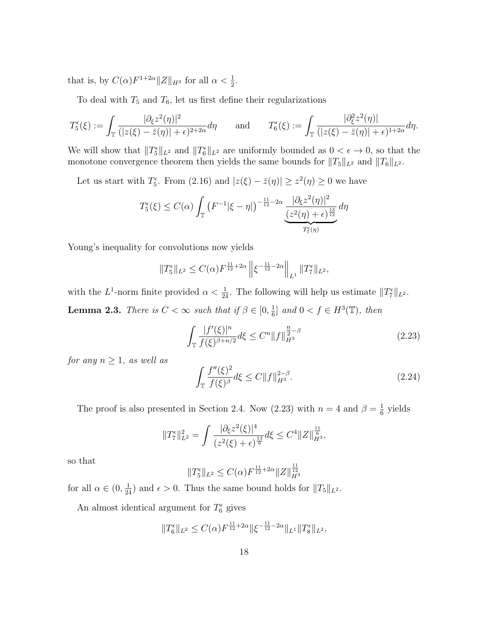that is, by  $C(\alpha) F^{1+2\alpha} ||Z||_{H^3}$  for all  $\alpha < \frac{1}{2}$ .

To deal with  $T_5$  and  $T_6$ , let us first define their regularizations

$$
T_5^{\epsilon}(\xi) := \int_{\mathbb{T}} \frac{|\partial_{\xi} z^2(\eta)|^2}{(|z(\xi) - \bar{z}(\eta)| + \epsilon)^{2+2\alpha}} d\eta \quad \text{and} \quad T_6^{\epsilon}(\xi) := \int_{\mathbb{T}} \frac{|\partial_{\xi}^2 z^2(\eta)|}{(|z(\xi) - \bar{z}(\eta)| + \epsilon)^{1+2\alpha}} d\eta.
$$

We will show that  $||T_5^{\epsilon}||_{L^2}$  and  $||T_6^{\epsilon}||_{L^2}$  are uniformly bounded as  $0 < \epsilon \to 0$ , so that the monotone convergence theorem then yields the same bounds for  $||T_5||_{L^2}$  and  $||T_6||_{L^2}$ .

Let us start with  $T_5^{\epsilon}$ . From  $(2.16)$  and  $|z(\xi) - \overline{z}(\eta)| \geq z^2(\eta) \geq 0$  we have

$$
T_5^{\epsilon}(\xi) \le C(\alpha) \int_{\mathbb{T}} \left( F^{-1}|\xi - \eta| \right)^{-\frac{11}{12} - 2\alpha} \underbrace{\frac{|\partial_{\xi} z^2(\eta)|^2}{(z^2(\eta) + \epsilon)^{\frac{13}{12}}} d\eta}_{T_7^{\epsilon}(\eta)}
$$

Young's inequality for convolutions now yields

$$
||T_5^{\epsilon}||_{L^2} \leq C(\alpha) F^{\frac{11}{12} + 2\alpha} ||\xi^{-\frac{11}{12} - 2\alpha}||_{L^1} ||T_7^{\epsilon}||_{L^2},
$$

with the L<sup>1</sup>-norm finite provided  $\alpha < \frac{1}{24}$ . The following will help us estimate  $||T_7^{\epsilon}||_{L^2}$ . **Lemma 2.3.** There is  $C < \infty$  such that if  $\beta \in [0, \frac{1}{6}]$  $\frac{1}{6}$  and  $0 < f \in H^3(\mathbb{T})$ , then

$$
\int_{\mathbb{T}} \frac{|f'(\xi)|^n}{f(\xi)^{\beta + n/2}} d\xi \le C^n \|f\|_{H^3}^{\frac{n}{2} - \beta} \tag{2.23}
$$

for any  $n \geq 1$ , as well as

$$
\int_{\mathbb{T}} \frac{f''(\xi)^2}{f(\xi)^{\beta}} d\xi \le C \|f\|_{H^3}^{2-\beta}.
$$
\n(2.24)

The proof is also presented in Section 2.4. Now (2.23) with  $n = 4$  and  $\beta = \frac{1}{6}$  $\frac{1}{6}$  yields

$$
||T_7^{\epsilon}||_{L^2}^2 = \int \frac{|\partial_{\xi} z^2(\xi)|^4}{(z^2(\xi) + \epsilon)^{\frac{13}{6}}} d\xi \le C^4 ||Z||_{H^3}^{\frac{11}{6}},
$$

so that

$$
||T_5^{\epsilon}||_{L^2} \le C(\alpha) F^{\frac{11}{12} + 2\alpha} ||Z||_{H^3}^{\frac{11}{12}}
$$

for all  $\alpha \in (0, \frac{1}{24})$  and  $\epsilon > 0$ . Thus the same bound holds for  $||T_5||_{L^2}$ .

An almost identical argument for  $T_6^{\epsilon}$  gives

$$
||T_6^{\epsilon}||_{L^2} \leq C(\alpha) F^{\frac{11}{12} + 2\alpha} ||\xi^{-\frac{11}{12} - 2\alpha}||_{L^1} ||T_8^{\epsilon}||_{L^2},
$$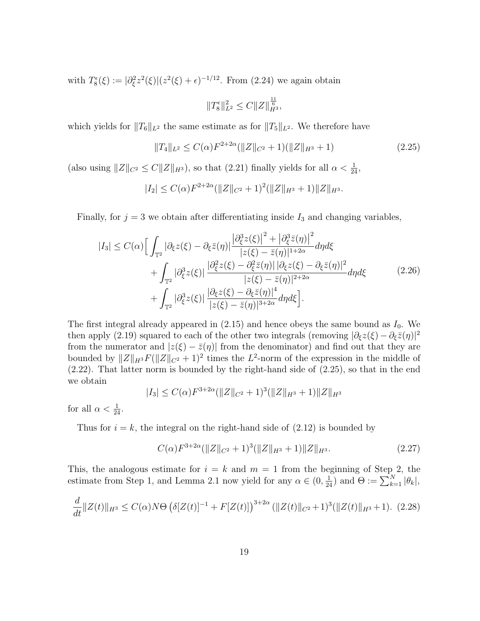with  $T_8^{\epsilon}(\xi) := |\partial_{\xi}^2 z^2(\xi)| (z^2(\xi) + \epsilon)^{-1/12}$ . From (2.24) we again obtain

$$
||T_8^{\epsilon}||^2_{L^2} \leq C||Z||^{\frac{11}{6}}_{H^3},
$$

which yields for  $||T_6||_{L^2}$  the same estimate as for  $||T_5||_{L^2}$ . We therefore have

$$
||T_4||_{L^2} \le C(\alpha)F^{2+2\alpha}(||Z||_{C^2}+1)(||Z||_{H^3}+1)
$$
\n(2.25)

(also using  $||Z||_{C^2} \leq C||Z||_{H^3}$ ), so that (2.21) finally yields for all  $\alpha < \frac{1}{24}$ ,

$$
|I_2| \leq C(\alpha) F^{2+2\alpha} (\|Z\|_{C^2} + 1)^2 (\|Z\|_{H^3} + 1) \|Z\|_{H^3}.
$$

Finally, for  $j = 3$  we obtain after differentiating inside  $I_3$  and changing variables,

$$
|I_3| \leq C(\alpha) \Big[ \int_{\mathbb{T}^2} |\partial_{\xi} z(\xi) - \partial_{\xi} \overline{z}(\eta)| \frac{|\partial_{\xi}^3 z(\xi)|^2 + |\partial_{\xi}^3 \overline{z}(\eta)|^2}{|z(\xi) - \overline{z}(\eta)|^{1+2\alpha}} d\eta d\xi + \int_{\mathbb{T}^2} |\partial_{\xi}^3 z(\xi)| \frac{|\partial_{\xi}^2 z(\xi) - \partial_{\xi}^2 \overline{z}(\eta)| |\partial_{\xi} z(\xi) - \partial_{\xi} \overline{z}(\eta)|^2}{|z(\xi) - \overline{z}(\eta)|^{2+2\alpha}} d\eta d\xi + \int_{\mathbb{T}^2} |\partial_{\xi}^3 z(\xi)| \frac{|\partial_{\xi} z(\xi) - \partial_{\xi} \overline{z}(\eta)|^4}{|z(\xi) - \overline{z}(\eta)|^{3+2\alpha}} d\eta d\xi \Big].
$$
\n(2.26)

The first integral already appeared in  $(2.15)$  and hence obeys the same bound as  $I_0$ . We then apply (2.19) squared to each of the other two integrals (removing  $|\partial_{\xi} z(\xi) - \partial_{\xi} \overline{z}(\eta)|^2$ from the numerator and  $|z(\xi) - \overline{z}(\eta)|$  from the denominator) and find out that they are bounded by  $||Z||_{H^3}F(||Z||_{C^2} + 1)^2$  times the L<sup>2</sup>-norm of the expression in the middle of (2.22). That latter norm is bounded by the right-hand side of (2.25), so that in the end we obtain

$$
|I_3| \leq C(\alpha) F^{3+2\alpha} (\|Z\|_{C^2} + 1)^3 (\|Z\|_{H^3} + 1) \|Z\|_{H^3}
$$

for all  $\alpha < \frac{1}{24}$ .

Thus for  $i = k$ , the integral on the right-hand side of  $(2.12)$  is bounded by

$$
C(\alpha)F^{3+2\alpha}(\|Z\|_{C^2}+1)^3(\|Z\|_{H^3}+1)\|Z\|_{H^3}.\tag{2.27}
$$

This, the analogous estimate for  $i = k$  and  $m = 1$  from the beginning of Step 2, the estimate from Step 1, and Lemma 2.1 now yield for any  $\alpha \in (0, \frac{1}{24})$  and  $\Theta := \sum_{k=1}^{N} |\theta_k|$ ,

$$
\frac{d}{dt}||Z(t)||_{H^3} \leq C(\alpha)N\Theta \left(\delta[Z(t)]^{-1} + F[Z(t)]\right)^{3+2\alpha} (||Z(t)||_{C^2} + 1)^3 (||Z(t)||_{H^3} + 1). \tag{2.28}
$$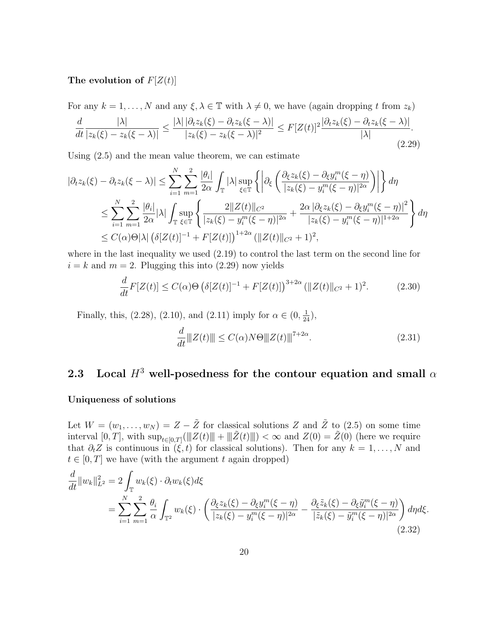### The evolution of  $F[Z(t)]$

For any  $k = 1, ..., N$  and any  $\xi, \lambda \in \mathbb{T}$  with  $\lambda \neq 0$ , we have (again dropping t from  $z_k$ )

$$
\frac{d}{dt}\frac{|\lambda|}{|z_k(\xi)-z_k(\xi-\lambda)|} \le \frac{|\lambda| \left|\partial_t z_k(\xi)-\partial_t z_k(\xi-\lambda)\right|}{|z_k(\xi)-z_k(\xi-\lambda)|^2} \le F[Z(t)]^2 \frac{|\partial_t z_k(\xi)-\partial_t z_k(\xi-\lambda)|}{|\lambda|}.\tag{2.29}
$$

Using (2.5) and the mean value theorem, we can estimate

$$
\begin{split} |\partial_t z_k(\xi) - \partial_t z_k(\xi - \lambda)| &\leq \sum_{i=1}^N \sum_{m=1}^2 \frac{|\theta_i|}{2\alpha} \int_{\mathbb{T}} |\lambda| \sup_{\xi \in \mathbb{T}} \left\{ \left| \partial_{\xi} \left( \frac{\partial_{\xi} z_k(\xi) - \partial_{\xi} y_i^m(\xi - \eta)}{|z_k(\xi) - y_i^m(\xi - \eta)|^{2\alpha}} \right) \right| \right\} d\eta \\ &\leq \sum_{i=1}^N \sum_{m=1}^2 \frac{|\theta_i|}{2\alpha} |\lambda| \int_{\mathbb{T}} \sup_{\xi \in \mathbb{T}} \left\{ \frac{2||Z(t)||_{C^2}}{|z_k(\xi) - y_i^m(\xi - \eta)|^{2\alpha}} + \frac{2\alpha |\partial_{\xi} z_k(\xi) - \partial_{\xi} y_i^m(\xi - \eta)|^2}{|z_k(\xi) - y_i^m(\xi - \eta)|^{1+2\alpha}} \right\} d\eta \\ &\leq C(\alpha) \Theta |\lambda| \left( \delta [Z(t)]^{-1} + F[Z(t)] \right)^{1+2\alpha} (||Z(t)||_{C^2} + 1)^2, \end{split}
$$

where in the last inequality we used (2.19) to control the last term on the second line for  $i = k$  and  $m = 2$ . Plugging this into (2.29) now yields

$$
\frac{d}{dt}F[Z(t)] \le C(\alpha)\Theta \left(\delta[Z(t)]^{-1} + F[Z(t)]\right)^{3+2\alpha} (\|Z(t)\|_{C^2} + 1)^2. \tag{2.30}
$$

Finally, this, (2.28), (2.10), and (2.11) imply for  $\alpha \in (0, \frac{1}{24})$ ,

$$
\frac{d}{dt} \|Z(t)\| \le C(\alpha) N\Theta \|Z(t)\|^{7+2\alpha}.
$$
\n(2.31)

# 2.3 Local  $H^3$  well-posedness for the contour equation and small  $\alpha$

#### Uniqueness of solutions

Let  $W = (w_1, \ldots, w_N) = Z - \tilde{Z}$  for classical solutions Z and  $\tilde{Z}$  to (2.5) on some time interval  $[0,T]$ , with  $\sup_{t\in[0,T]}(\|Z(t)\|+\|\tilde{Z}(t)\|)<\infty$  and  $Z(0)=\tilde{Z}(0)$  (here we require that  $\partial_t Z$  is continuous in  $(\xi, t)$  for classical solutions). Then for any  $k = 1, \ldots, N$  and  $t \in [0, T]$  we have (with the argument t again dropped)

$$
\frac{d}{dt}||w_k||_{L^2}^2 = 2\int_{\mathbb{T}} w_k(\xi) \cdot \partial_t w_k(\xi) d\xi
$$
\n
$$
= \sum_{i=1}^N \sum_{m=1}^2 \frac{\theta_i}{\alpha} \int_{\mathbb{T}^2} w_k(\xi) \cdot \left( \frac{\partial_{\xi} z_k(\xi) - \partial_{\xi} y_i^m(\xi - \eta)}{|z_k(\xi) - y_i^m(\xi - \eta)|^{2\alpha}} - \frac{\partial_{\xi} \tilde{z}_k(\xi) - \partial_{\xi} \tilde{y}_i^m(\xi - \eta)}{|\tilde{z}_k(\xi) - \tilde{y}_i^m(\xi - \eta)|^{2\alpha}} \right) d\eta d\xi.
$$
\n(2.32)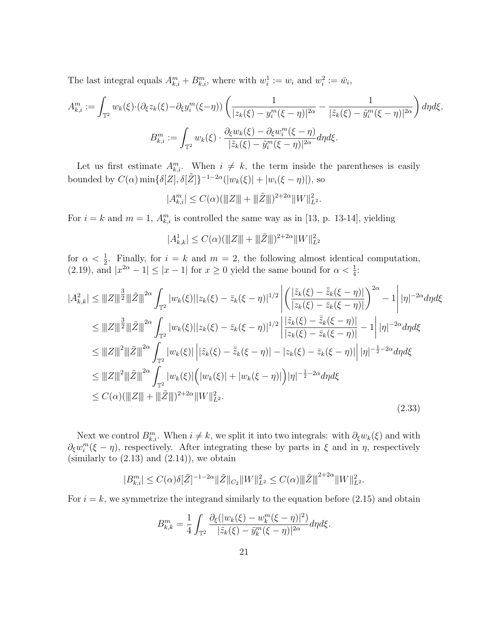The last integral equals  $A_{k,i}^m + B_{k,i}^m$ , where with  $w_i^1 := w_i$  and  $w_i^2 := \bar{w}_i$ ,

$$
A_{k,i}^m := \int_{\mathbb{T}^2} w_k(\xi) \cdot (\partial_{\xi} z_k(\xi) - \partial_{\xi} y_i^m(\xi - \eta)) \left( \frac{1}{|z_k(\xi) - y_i^m(\xi - \eta)|^{2\alpha}} - \frac{1}{|\tilde{z}_k(\xi) - \tilde{y}_i^m(\xi - \eta)|^{2\alpha}} \right) d\eta d\xi,
$$
  

$$
B_{k,i}^m := \int_{\mathbb{T}^2} w_k(\xi) \cdot \frac{\partial_{\xi} w_k(\xi) - \partial_{\xi} w_i^m(\xi - \eta)}{|\tilde{z}_k(\xi) - \tilde{y}_i^m(\xi - \eta)|^{2\alpha}} d\eta d\xi.
$$

Let us first estimate  $A_{k,i}^m$ . When  $i \neq k$ , the term inside the parentheses is easily bounded by  $C(\alpha)$  min $\{\delta[\tilde{Z}], \delta[\tilde{Z}]\}^{-1-2\alpha}(|w_k(\xi)| + |w_i(\xi - \eta)|)$ , so

$$
|A_{k,i}^m| \le C(\alpha) (\|Z\| + \|\tilde{Z}\|)^{2+2\alpha} \|W\|_{L^2}^2.
$$

For  $i = k$  and  $m = 1$ ,  $A_{k,i}^m$  is controlled the same way as in [13, p. 13-14], yielding

$$
|A_{k,k}^1| \le C(\alpha) (\|Z\| + \|\tilde{Z}\|)^{2+2\alpha} \|W\|_{L^2}^2
$$

for  $\alpha < \frac{1}{2}$ . Finally, for  $i = k$  and  $m = 2$ , the following almost identical computation, (2.19), and  $|x^{2\alpha} - 1| \le |x - 1|$  for  $x \ge 0$  yield the same bound for  $\alpha < \frac{1}{4}$ :

$$
|A_{k,k}^2| \le ||Z||^{\frac{3}{2}}||\tilde{Z}||^{2\alpha} \int_{\mathbb{T}^2} |w_k(\xi)||z_k(\xi) - \bar{z}_k(\xi - \eta)|^{1/2} \left| \left( \frac{|\tilde{z}_k(\xi) - \bar{\tilde{z}}_k(\xi - \eta)|}{|z_k(\xi) - \bar{z}_k(\xi - \eta)|} \right)^{2\alpha} - 1 \right| |\eta|^{-2\alpha} d\eta d\xi
$$
  
\n
$$
\le ||Z||^{\frac{3}{2}}||\tilde{Z}||^{2\alpha} \int_{\mathbb{T}^2} |w_k(\xi)||z_k(\xi) - \bar{z}_k(\xi - \eta)|^{1/2} \left| \frac{|\tilde{z}_k(\xi) - \bar{z}_k(\xi - \eta)|}{|z_k(\xi) - \bar{z}_k(\xi - \eta)|} - 1 \right| |\eta|^{-2\alpha} d\eta d\xi
$$
  
\n
$$
\le ||Z||^2||\tilde{Z}||^{2\alpha} \int_{\mathbb{T}^2} |w_k(\xi)||\left| \tilde{z}_k(\xi) - \bar{\tilde{z}}_k(\xi - \eta)| - |z_k(\xi) - \bar{z}_k(\xi - \eta)| \right| |\eta|^{-\frac{1}{2} - 2\alpha} d\eta d\xi
$$
  
\n
$$
\le ||Z||^2||\tilde{Z}||^{2\alpha} \int_{\mathbb{T}^2} |w_k(\xi)| \left( |w_k(\xi)| + |w_k(\xi - \eta)| \right) |\eta|^{-\frac{1}{2} - 2\alpha} d\eta d\xi
$$
  
\n
$$
\le C(\alpha)(||Z|| + ||\tilde{Z}||)^{2 + 2\alpha} ||W||_{L^2}^2.
$$
\n(2.33)

Next we control  $B_{k,i}^m$ . When  $i \neq k$ , we split it into two integrals: with  $\partial_{\xi}w_k(\xi)$  and with  $\partial_{\xi}w_i^m(\xi-\eta)$ , respectively. After integrating these by parts in  $\xi$  and in  $\eta$ , respectively (similarly to  $(2.13)$  and  $(2.14)$ ), we obtain

$$
|B_{k,i}^m| \le C(\alpha)\delta[\tilde{Z}]^{-1-2\alpha} \|\tilde{Z}\|_{C_2} \|W\|_{L^2}^2 \le C(\alpha) \|\tilde{Z}\|^{2+2\alpha} \|W\|_{L^2}^2.
$$

For  $i = k$ , we symmetrize the integrand similarly to the equation before (2.15) and obtain

$$
B_{k,k}^m = \frac{1}{4} \int_{\mathbb{T}^2} \frac{\partial_{\xi}(|w_k(\xi) - w_k^m(\xi - \eta)|^2)}{|\tilde{z}_k(\xi) - \tilde{y}_k^m(\xi - \eta)|^{2\alpha}} d\eta d\xi.
$$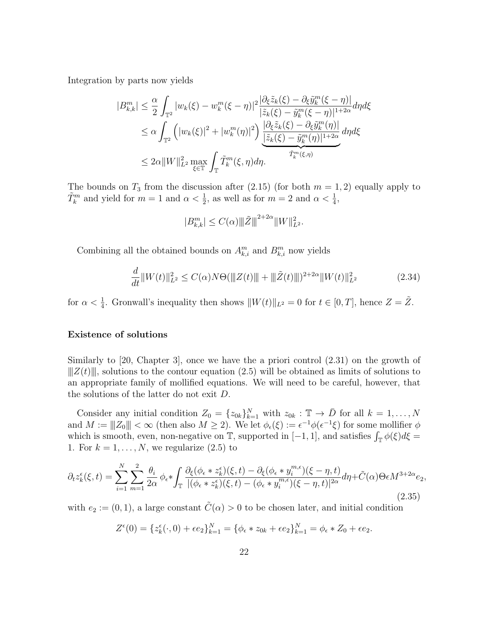Integration by parts now yields

$$
|B_{k,k}^m| \leq \frac{\alpha}{2} \int_{\mathbb{T}^2} |w_k(\xi) - w_k^m(\xi - \eta)|^2 \frac{|\partial_{\xi} \tilde{z}_k(\xi) - \partial_{\xi} \tilde{y}_k^m(\xi - \eta)|}{|\tilde{z}_k(\xi) - \tilde{y}_k^m(\xi - \eta)|^{1+2\alpha}} d\eta d\xi
$$
  
\n
$$
\leq \alpha \int_{\mathbb{T}^2} \left( |w_k(\xi)|^2 + |w_k^m(\eta)|^2 \right) \frac{|\partial_{\xi} \tilde{z}_k(\xi) - \partial_{\xi} \tilde{y}_k^m(\eta)|}{|\tilde{z}_k(\xi) - \tilde{y}_k^m(\eta)|^{1+2\alpha}} d\eta d\xi
$$
  
\n
$$
\leq 2\alpha \|W\|_{L^2}^2 \max_{\xi \in \mathbb{T}} \int_{\mathbb{T}} \tilde{T}_k^m(\xi, \eta) d\eta.
$$

The bounds on  $T_3$  from the discussion after (2.15) (for both  $m = 1, 2$ ) equally apply to  $\tilde{T}_k^m$  and yield for  $m = 1$  and  $\alpha < \frac{1}{2}$ , as well as for  $m = 2$  and  $\alpha < \frac{1}{4}$ ,

$$
|B_{k,k}^m| \le C(\alpha) ||| \tilde{Z} |||^{2+2\alpha} ||W||_{L^2}^2.
$$

Combining all the obtained bounds on  $A^m_{k,i}$  and  $B^m_{k,i}$  now yields

$$
\frac{d}{dt} \|W(t)\|_{L^2}^2 \le C(\alpha)N\Theta(\|Z(t)\| + \|\tilde{Z}(t)\|)^{2+2\alpha} \|W(t)\|_{L^2}^2 \tag{2.34}
$$

for  $\alpha < \frac{1}{4}$ . Gronwall's inequality then shows  $||W(t)||_{L^2} = 0$  for  $t \in [0, T]$ , hence  $Z = \tilde{Z}$ .

#### Existence of solutions

Similarly to [20, Chapter 3], once we have the a priori control (2.31) on the growth of  $||Z(t)||$ , solutions to the contour equation (2.5) will be obtained as limits of solutions to an appropriate family of mollified equations. We will need to be careful, however, that the solutions of the latter do not exit D.

Consider any initial condition  $Z_0 = \{z_{0k}\}_{k=1}^N$  with  $z_{0k} : \mathbb{T} \to \overline{D}$  for all  $k = 1, ..., N$ and  $M := \|Z_0\| < \infty$  (then also  $M \ge 2$ ). We let  $\phi_{\epsilon}(\xi) := \epsilon^{-1} \phi(\epsilon^{-1} \xi)$  for some mollifier  $\phi$ which is smooth, even, non-negative on  $\mathbb{T}$ , supported in [-1, 1], and satisfies  $\int_{\mathbb{T}} \phi(\xi) d\xi =$ 1. For  $k = 1, \ldots, N$ , we regularize  $(2.5)$  to

$$
\partial_t z_k^{\epsilon}(\xi, t) = \sum_{i=1}^N \sum_{m=1}^2 \frac{\theta_i}{2\alpha} \phi_{\epsilon} * \int_{\mathbb{T}} \frac{\partial_{\xi} (\phi_{\epsilon} * z_k^{\epsilon}) (\xi, t) - \partial_{\xi} (\phi_{\epsilon} * y_i^{m, \epsilon}) (\xi - \eta, t)}{|(\phi_{\epsilon} * z_k^{\epsilon}) (\xi, t) - (\phi_{\epsilon} * y_i^{m, \epsilon}) (\xi - \eta, t)|^{2\alpha}} d\eta + \tilde{C}(\alpha) \Theta \epsilon M^{3+2\alpha} e_2,
$$
\n(2.35)

with  $e_2 := (0, 1)$ , a large constant  $\tilde{C}(\alpha) > 0$  to be chosen later, and initial condition

$$
Z^{\epsilon}(0) = \{z_k^{\epsilon}(\cdot, 0) + \epsilon e_2\}_{k=1}^N = \{\phi_{\epsilon} * z_{0k} + \epsilon e_2\}_{k=1}^N = \phi_{\epsilon} * Z_0 + \epsilon e_2.
$$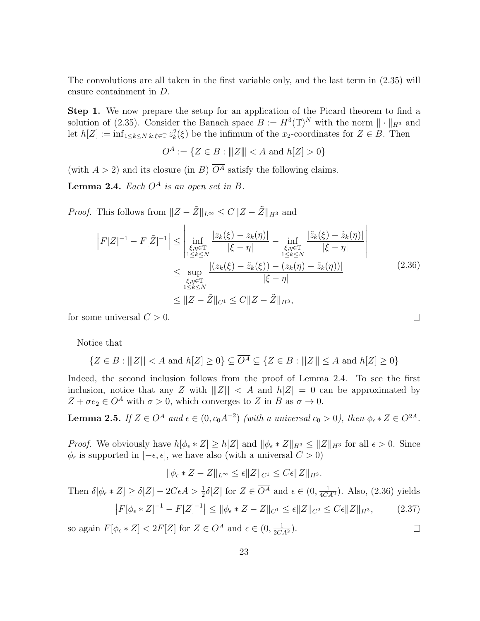The convolutions are all taken in the first variable only, and the last term in (2.35) will ensure containment in D.

Step 1. We now prepare the setup for an application of the Picard theorem to find a solution of (2.35). Consider the Banach space  $B := H^3(\mathbb{T})^N$  with the norm  $\|\cdot\|_{H^3}$  and let  $h[Z] := \inf_{1 \le k \le N} \sum_{k \in \mathbb{Z}} z_k^2(\xi)$  be the infimum of the  $x_2$ -coordinates for  $Z \in B$ . Then

$$
O^A := \{ Z \in B : ||Z|| < A \text{ and } h[Z] > 0 \}
$$

(with  $A > 2$ ) and its closure (in B)  $\overline{O^A}$  satisfy the following claims.

**Lemma 2.4.** Each  $O^A$  is an open set in B.

*Proof.* This follows from  $||Z - \tilde{Z}||_{L^{\infty}} \leq C||Z - \tilde{Z}||_{H^3}$  and

$$
\left| F[Z]^{-1} - F[\tilde{Z}]^{-1} \right| \le \left| \inf_{\substack{\xi, \eta \in \mathbb{T} \\ 1 \le k \le N}} \frac{|z_k(\xi) - z_k(\eta)|}{|\xi - \eta|} - \inf_{\substack{\xi, \eta \in \mathbb{T} \\ 1 \le k \le N}} \frac{|\tilde{z}_k(\xi) - \tilde{z}_k(\eta)|}{|\xi - \eta|} \right|
$$
  
 
$$
\le \sup_{\substack{\xi, \eta \in \mathbb{T} \\ 1 \le k \le N}} \frac{|(z_k(\xi) - \tilde{z}_k(\xi)) - (z_k(\eta) - \tilde{z}_k(\eta))|}{|\xi - \eta|}
$$
(2.36)  
 
$$
\le \|Z - \tilde{Z}\|_{C^1} \le C \|Z - \tilde{Z}\|_{H^3},
$$

 $\Box$ 

 $\Box$ 

for some universal  $C > 0$ .

Notice that

 $\{Z \in B : |||Z||| < A \text{ and } h[Z] \ge 0\} \subseteq \overline{O^A} \subseteq \{Z \in B : |||Z||| \le A \text{ and } h[Z] \ge 0\}$ 

Indeed, the second inclusion follows from the proof of Lemma 2.4. To see the first inclusion, notice that any Z with  $||Z|| < A$  and  $h|Z| = 0$  can be approximated by  $Z + \sigma e_2 \in O^A$  with  $\sigma > 0$ , which converges to Z in B as  $\sigma \to 0$ .

**Lemma 2.5.** If  $Z \in \overline{O^A}$  and  $\epsilon \in (0, c_0 A^{-2})$  (with a universal  $c_0 > 0$ ), then  $\phi_{\epsilon} * Z \in \overline{O^{2A}}$ .

*Proof.* We obviously have  $h[\phi_{\epsilon} * Z] \geq h[Z]$  and  $\|\phi_{\epsilon} * Z\|_{H^3} \leq \|Z\|_{H^3}$  for all  $\epsilon > 0$ . Since  $\phi_{\epsilon}$  is supported in  $[-\epsilon, \epsilon]$ , we have also (with a universal  $C > 0$ )

$$
\|\phi_{\epsilon} * Z - Z\|_{L^{\infty}} \leq \epsilon \|Z\|_{C^1} \leq C\epsilon \|Z\|_{H^3}.
$$

Then 
$$
\delta[\phi_{\epsilon} * Z] \geq \delta[Z] - 2C\epsilon A > \frac{1}{2}\delta[Z]
$$
 for  $Z \in \overline{O^A}$  and  $\epsilon \in (0, \frac{1}{4CA^2})$ . Also, (2.36) yields  $|F[\phi_{\epsilon} * Z]^{-1} - F[Z]^{-1}| \leq \|\phi_{\epsilon} * Z - Z\|_{C^1} \leq \epsilon \|Z\|_{C^2} \leq C\epsilon \|Z\|_{H^3}$ , (2.37)

so again  $F[\phi_{\epsilon} * Z] < 2F[Z]$  for  $Z \in \overline{O^A}$  and  $\epsilon \in (0, \frac{1}{2CA^2})$ .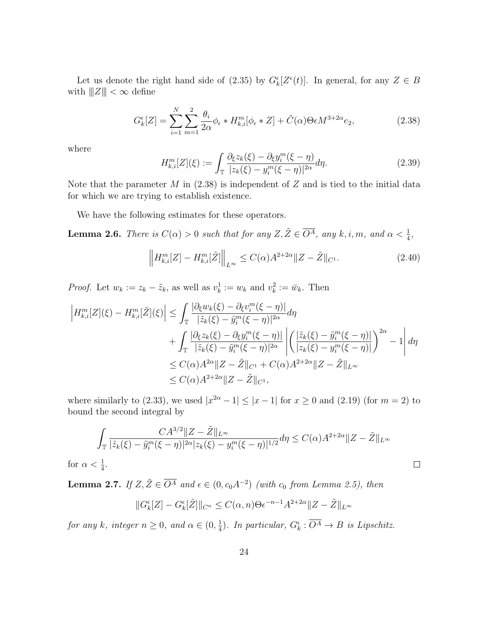Let us denote the right hand side of (2.35) by  $G_k^{\epsilon}[Z^{\epsilon}(t)]$ . In general, for any  $Z \in B$ with  $|||Z||| < \infty$  define

$$
G_k^{\epsilon}[Z] = \sum_{i=1}^N \sum_{m=1}^2 \frac{\theta_i}{2\alpha} \phi_{\epsilon} * H_{k,i}^m[\phi_{\epsilon} * Z] + \tilde{C}(\alpha) \Theta \epsilon M^{3+2\alpha} e_2,
$$
 (2.38)

where

$$
H_{k,i}^{m}[Z](\xi) := \int_{\mathbb{T}} \frac{\partial_{\xi} z_k(\xi) - \partial_{\xi} y_i^{m}(\xi - \eta)}{|z_k(\xi) - y_i^{m}(\xi - \eta)|^{2\alpha}} d\eta.
$$
 (2.39)

Note that the parameter  $M$  in (2.38) is independent of  $Z$  and is tied to the initial data for which we are trying to establish existence.

We have the following estimates for these operators.

**Lemma 2.6.** There is  $C(\alpha) > 0$  such that for any  $Z, \tilde{Z} \in \overline{O^A}$ , any  $k, i, m$ , and  $\alpha < \frac{1}{4}$ ,

$$
\left\|H_{k,i}^m[Z] - H_{k,i}^m[\tilde{Z}]\right\|_{L^\infty} \le C(\alpha)A^{2+2\alpha} \|Z - \tilde{Z}\|_{C^1}.
$$
\n(2.40)

*Proof.* Let  $w_k := z_k - \tilde{z}_k$ , as well as  $v_k^1 := w_k$  and  $v_k^2 := \bar{w}_k$ . Then

$$
\left| H_{k,i}^m[Z](\xi) - H_{k,i}^m[\tilde{Z}](\xi) \right| \leq \int_{\mathbb{T}} \frac{|\partial_{\xi} w_k(\xi) - \partial_{\xi} v_i^m(\xi - \eta)|}{|\tilde{z}_k(\xi) - \tilde{y}_i^m(\xi - \eta)|^{2\alpha}} d\eta + \int_{\mathbb{T}} \frac{|\partial_{\xi} z_k(\xi) - \partial_{\xi} y_i^m(\xi - \eta)|}{|\tilde{z}_k(\xi) - \tilde{y}_i^m(\xi - \eta)|^{2\alpha}} \left| \left( \frac{|\tilde{z}_k(\xi) - \tilde{y}_i^m(\xi - \eta)|}{|z_k(\xi) - y_i^m(\xi - \eta)|} \right)^{2\alpha} - 1 \right| d\eta \leq C(\alpha) A^{2\alpha} \| Z - \tilde{Z} \|_{C^1} + C(\alpha) A^{2+2\alpha} \| Z - \tilde{Z} \|_{L^\infty} \leq C(\alpha) A^{2+2\alpha} \| Z - \tilde{Z} \|_{C^1},
$$

where similarly to (2.33), we used  $|x^{2\alpha}-1| \leq |x-1|$  for  $x \geq 0$  and (2.19) (for  $m = 2$ ) to bound the second integral by

$$
\int_{\mathbb{T}} \frac{CA^{3/2} \|Z - \tilde{Z}\|_{L^{\infty}}}{|\tilde{z}_k(\xi) - \tilde{y}_i^m(\xi - \eta)|^{2\alpha} |z_k(\xi) - y_i^m(\xi - \eta)|^{1/2}} d\eta \le C(\alpha) A^{2 + 2\alpha} \|Z - \tilde{Z}\|_{L^{\infty}}
$$

 $\Box$ 

for  $\alpha < \frac{1}{4}$ .

**Lemma 2.7.** If  $Z, \tilde{Z} \in \overline{O^A}$  and  $\epsilon \in (0, c_0 A^{-2})$  (with  $c_0$  from Lemma 2.5), then

$$
||G_k^{\epsilon}[Z] - G_k^{\epsilon}[\tilde{Z}]||_{C^n} \le C(\alpha, n)\Theta \epsilon^{-n-1} A^{2+2\alpha} ||Z - \tilde{Z}||_{L^{\infty}}
$$

for any k, integer  $n \geq 0$ , and  $\alpha \in (0, \frac{1}{4})$  $\frac{1}{4}$ ). In particular,  $G_{k}^{\epsilon}$ :  $\overline{O^{A}} \rightarrow B$  is Lipschitz.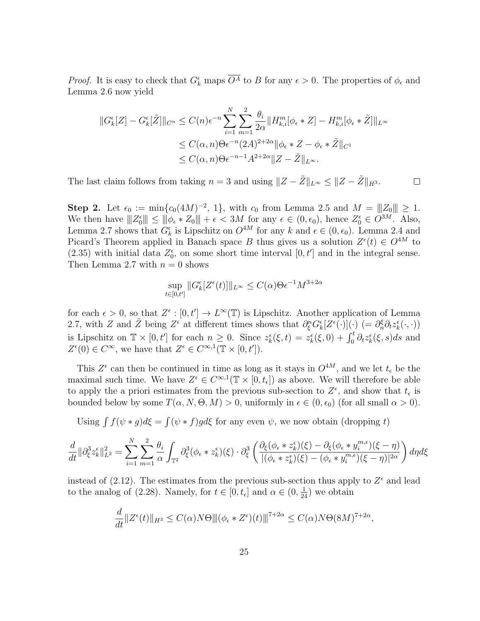*Proof.* It is easy to check that  $G_k^{\epsilon}$  maps  $\overline{O^A}$  to B for any  $\epsilon > 0$ . The properties of  $\phi_{\epsilon}$  and Lemma 2.6 now yield

$$
||G_{k}^{\epsilon}[Z] - G_{k}^{\epsilon}[\tilde{Z}]||_{C^{n}} \leq C(n)\epsilon^{-n} \sum_{i=1}^{N} \sum_{m=1}^{2} \frac{\theta_{i}}{2\alpha} ||H_{k,i}^{m}[\phi_{\epsilon} * Z] - H_{k,i}^{m}[\phi_{\epsilon} * \tilde{Z}]||_{L^{\infty}}
$$
  

$$
\leq C(\alpha, n)\Theta\epsilon^{-n}(2A)^{2+2\alpha} ||\phi_{\epsilon} * Z - \phi_{\epsilon} * \tilde{Z}||_{C^{1}}
$$
  

$$
\leq C(\alpha, n)\Theta\epsilon^{-n-1}A^{2+2\alpha} ||Z - \tilde{Z}||_{L^{\infty}}.
$$

 $\Box$ 

The last claim follows from taking  $n = 3$  and using  $||Z - \tilde{Z}||_{L^{\infty}} \le ||Z - \tilde{Z}||_{H^3}$ .

Step 2. Let  $\epsilon_0 := \min\{c_0(4M)^{-2}, 1\}$ , with  $c_0$  from Lemma 2.5 and  $M = ||Z_0|| \ge 1$ . We then have  $|||Z_0^{\epsilon}|| \le ||\phi_{\epsilon} * Z_0|| + \epsilon < 3M$  for any  $\epsilon \in (0, \epsilon_0)$ , hence  $Z_0^{\epsilon} \in O^{3M}$ . Also, Lemma 2.7 shows that  $G_k^{\epsilon}$  is Lipschitz on  $O^{4M}$  for any k and  $\epsilon \in (0, \epsilon_0)$ . Lemma 2.4 and Picard's Theorem applied in Banach space B thus gives us a solution  $Z^{\epsilon}(t) \in O^{4M}$  to (2.35) with initial data  $Z_0^{\epsilon}$ , on some short time interval  $[0, t']$  and in the integral sense. Then Lemma 2.7 with  $n = 0$  shows

$$
\sup_{t \in [0,t']} \|G_k^{\epsilon}[Z^{\epsilon}(t)]\|_{L^{\infty}} \le C(\alpha) \Theta \epsilon^{-1} M^{3+2\alpha}
$$

for each  $\epsilon > 0$ , so that  $Z^{\epsilon} : [0, t'] \to L^{\infty}(\mathbb{T})$  is Lipschitz. Another application of Lemma 2.7, with Z and  $\tilde{Z}$  being  $Z^{\epsilon}$  at different times shows that  $\partial_{\xi}^{n}G_{k}^{\epsilon}[Z^{\epsilon}(\cdot)](\cdot)$  (=  $\partial_{n}^{\xi}\partial_{t}z_{k}^{\epsilon}(\cdot,\cdot)$ ) is Lipschitz on  $\mathbb{T} \times [0, t']$  for each  $n \geq 0$ . Since  $z_k^{\epsilon}(\xi, t) = z_k^{\epsilon}(\xi, 0) + \int_0^t \partial_t z_k^{\epsilon}(\xi, s) ds$  and  $Z^{\epsilon}(0) \in C^{\infty}$ , we have that  $Z^{\epsilon} \in C^{\infty,1}(\mathbb{T} \times [0,t'])$ .

This  $Z^{\epsilon}$  can then be continued in time as long as it stays in  $O^{4M}$ , and we let  $t_{\epsilon}$  be the maximal such time. We have  $Z^{\epsilon} \in C^{\infty,1}(\mathbb{T} \times [0,t_{\epsilon}])$  as above. We will therefore be able to apply the a priori estimates from the previous sub-section to  $Z^{\epsilon}$ , and show that  $t_{\epsilon}$  is bounded below by some  $T(\alpha, N, \Theta, M) > 0$ , uniformly in  $\epsilon \in (0, \epsilon_0)$  (for all small  $\alpha > 0$ ).

Using  $\int f(\psi * g) d\xi = \int (\psi * f) g d\xi$  for any even  $\psi$ , we now obtain (dropping t)

$$
\frac{d}{dt} \|\partial_{\xi}^3 z_{k}^{\epsilon}\|_{L^2}^2 = \sum_{i=1}^N \sum_{m=1}^2 \frac{\theta_i}{\alpha} \int_{\mathbb{T}^2} \partial_{\xi}^3 (\phi_{\epsilon} * z_{k}^{\epsilon})(\xi) \cdot \partial_{\xi}^3 \left( \frac{\partial_{\xi} (\phi_{\epsilon} * z_{k}^{\epsilon})(\xi) - \partial_{\xi} (\phi_{\epsilon} * y_{i}^{m,\epsilon})(\xi - \eta)}{|(\phi_{\epsilon} * z_{k}^{\epsilon})(\xi) - (\phi_{\epsilon} * y_{i}^{m,\epsilon})(\xi - \eta)|^{2\alpha}} \right) d\eta d\xi
$$

instead of  $(2.12)$ . The estimates from the previous sub-section thus apply to  $Z^{\epsilon}$  and lead to the analog of (2.28). Namely, for  $t \in [0, t_{\epsilon}]$  and  $\alpha \in (0, \frac{1}{24})$  we obtain

$$
\frac{d}{dt}||Z^{\epsilon}(t)||_{H^{3}} \leq C(\alpha)N\Theta \|(\phi_{\epsilon} * Z^{\epsilon})(t)\|^{7+2\alpha} \leq C(\alpha)N\Theta(8M)^{7+2\alpha},
$$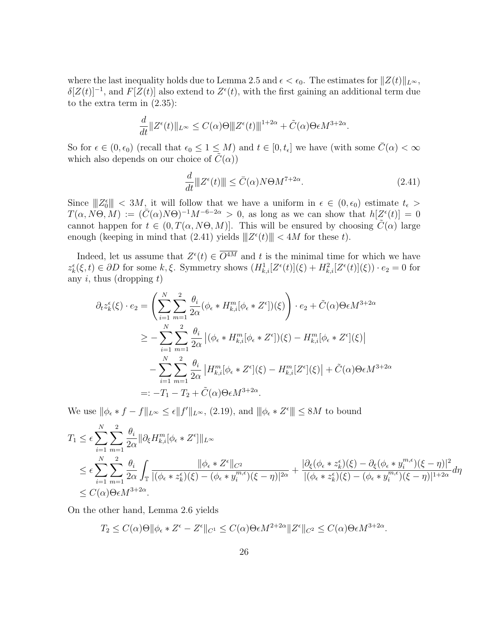where the last inequality holds due to Lemma 2.5 and  $\epsilon < \epsilon_0$ . The estimates for  $||Z(t)||_{L^{\infty}}$ ,  $\delta[Z(t)]^{-1}$ , and  $F[Z(t)]$  also extend to  $Z^{\epsilon}(t)$ , with the first gaining an additional term due to the extra term in (2.35):

$$
\frac{d}{dt}||Z^{\epsilon}(t)||_{L^{\infty}} \leq C(\alpha)\Theta \||Z^{\epsilon}(t)\||^{1+2\alpha} + \tilde{C}(\alpha)\Theta \epsilon M^{3+2\alpha}.
$$

So for  $\epsilon \in (0, \epsilon_0)$  (recall that  $\epsilon_0 \leq 1 \leq M$ ) and  $t \in [0, t_{\epsilon}]$  we have (with some  $\overline{C}(\alpha) < \infty$ which also depends on our choice of  $\tilde{C}(\alpha)$ 

$$
\frac{d}{dt} \|Z^{\epsilon}(t)\| \le \bar{C}(\alpha) N \Theta M^{7+2\alpha}.
$$
\n(2.41)

Since  $||Z_0^{\epsilon}|| < 3M$ , it will follow that we have a uniform in  $\epsilon \in (0, \epsilon_0)$  estimate  $t_{\epsilon} >$  $T(\alpha, N\Theta, M) := (\overline{C}(\alpha)N\Theta)^{-1}M^{-6-2\alpha} > 0$ , as long as we can show that  $h[Z^{\epsilon}(t)] = 0$ cannot happen for  $t \in (0, T(\alpha, N\Theta, M))$ . This will be ensured by choosing  $\tilde{C}(\alpha)$  large enough (keeping in mind that  $(2.41)$  yields  $||Z^{\epsilon}(t)|| < 4M$  for these t).

Indeed, let us assume that  $Z^{\epsilon}(t) \in \overline{O^{4M}}$  and t is the minimal time for which we have  $z_k^{\epsilon}(\xi, t) \in \partial D$  for some k, ξ. Symmetry shows  $(H_{k,i}^1[Z^{\epsilon}(t)](\xi) + H_{k,i}^2[Z^{\epsilon}(t)](\xi)) \cdot e_2 = 0$  for any i, thus (dropping  $t$ )

$$
\partial_t z_k^{\epsilon}(\xi) \cdot e_2 = \left( \sum_{i=1}^N \sum_{m=1}^2 \frac{\theta_i}{2\alpha} (\phi_{\epsilon} * H_{k,i}^m [\phi_{\epsilon} * Z^{\epsilon}])(\xi) \right) \cdot e_2 + \tilde{C}(\alpha) \Theta \epsilon M^{3+2\alpha}
$$
  
\n
$$
\geq - \sum_{i=1}^N \sum_{m=1}^2 \frac{\theta_i}{2\alpha} |(\phi_{\epsilon} * H_{k,i}^m [\phi_{\epsilon} * Z^{\epsilon}])(\xi) - H_{k,i}^m [\phi_{\epsilon} * Z^{\epsilon}](\xi)|
$$
  
\n
$$
- \sum_{i=1}^N \sum_{m=1}^2 \frac{\theta_i}{2\alpha} |H_{k,i}^m [\phi_{\epsilon} * Z^{\epsilon}](\xi) - H_{k,i}^m [Z^{\epsilon}](\xi)| + \tilde{C}(\alpha) \Theta \epsilon M^{3+2\alpha}
$$
  
\n
$$
=: -T_1 - T_2 + \tilde{C}(\alpha) \Theta \epsilon M^{3+2\alpha}.
$$

We use  $\|\phi_{\epsilon}*f-f\|_{L^{\infty}} \leq \epsilon \|f'\|_{L^{\infty}},$  (2.19), and  $\|\phi_{\epsilon}*Z^{\epsilon}\| \leq 8M$  to bound

$$
T_1 \leq \epsilon \sum_{i=1}^{N} \sum_{m=1}^{2} \frac{\theta_i}{2\alpha} \|\partial_{\xi} H_{k,i}^m [\phi_{\epsilon} * Z^{\epsilon}] \|_{L^{\infty}}
$$
  
\n
$$
\leq \epsilon \sum_{i=1}^{N} \sum_{m=1}^{2} \frac{\theta_i}{2\alpha} \int_{\mathbb{T}} \frac{\|\phi_{\epsilon} * Z^{\epsilon}\|_{C^2}}{[(\phi_{\epsilon} * z^{\epsilon}_{k})(\xi) - (\phi_{\epsilon} * y^{\mathfrak{m}, \epsilon}_{i})(\xi - \eta)]^{2\alpha}} + \frac{|\partial_{\xi} (\phi_{\epsilon} * z^{\epsilon}_{k})(\xi) - \partial_{\xi} (\phi_{\epsilon} * y^{\mathfrak{m}, \epsilon}_{i})(\xi - \eta)]^{2}}{[(\phi_{\epsilon} * z^{\epsilon}_{k})(\xi) - (\phi_{\epsilon} * y^{\mathfrak{m}, \epsilon}_{i})(\xi - \eta)]^{1+2\alpha}} d\eta
$$
  
\n
$$
\leq C(\alpha) \Theta \epsilon M^{3+2\alpha}.
$$

On the other hand, Lemma 2.6 yields

$$
T_2 \leq C(\alpha)\Theta \|\phi_{\epsilon} * Z^{\epsilon} - Z^{\epsilon}\|_{C^1} \leq C(\alpha)\Theta \epsilon M^{2+2\alpha} \|Z^{\epsilon}\|_{C^2} \leq C(\alpha)\Theta \epsilon M^{3+2\alpha}.
$$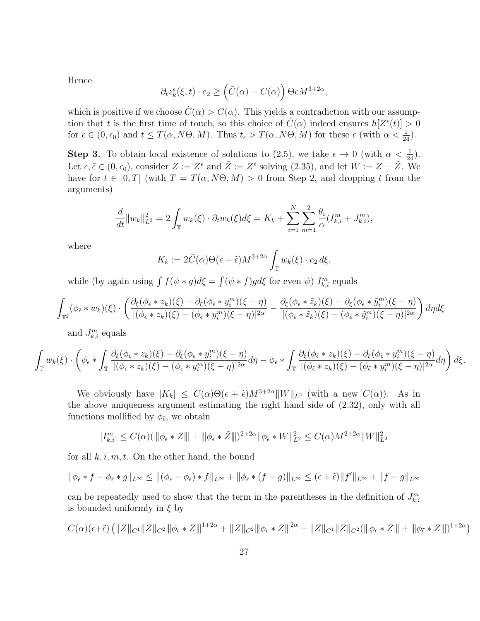Hence

$$
\partial_t z_k^\epsilon(\xi, t) \cdot e_2 \ge \left(\tilde{C}(\alpha) - C(\alpha)\right) \Theta \epsilon M^{3+2\alpha},
$$

which is positive if we choose  $\tilde{C}(\alpha) > C(\alpha)$ . This yields a contradiction with our assumption that t is the first time of touch, so this choice of  $\tilde{C}(\alpha)$  indeed ensures  $h[Z^{\epsilon}(t)] > 0$ for  $\epsilon \in (0, \epsilon_0)$  and  $t \leq T(\alpha, N\Theta, M)$ . Thus  $t_{\epsilon} > T(\alpha, N\Theta, M)$  for these  $\epsilon$  (with  $\alpha < \frac{1}{24}$ ).

**Step 3.** To obtain local existence of solutions to (2.5), we take  $\epsilon \to 0$  (with  $\alpha < \frac{1}{24}$ ). Let  $\epsilon, \tilde{\epsilon} \in (0, \epsilon_0)$ , consider  $Z := Z^{\epsilon}$  and  $\tilde{Z} := Z^{\tilde{\epsilon}}$  solving  $(2.35)$ , and let  $W := Z - \tilde{Z}$ . We have for  $t \in [0, T]$  (with  $T = T(\alpha, N\Theta, M) > 0$  from Step 2, and dropping t from the arguments)

$$
\frac{d}{dt}||w_k||_{L^2}^2 = 2\int_{\mathbb{T}} w_k(\xi) \cdot \partial_t w_k(\xi) d\xi = K_k + \sum_{i=1}^N \sum_{m=1}^2 \frac{\theta_i}{\alpha} (I_{k,i}^m + J_{k,i}^m),
$$

where

$$
K_k := 2\tilde{C}(\alpha)\Theta(\epsilon - \tilde{\epsilon})M^{3+2\alpha} \int_{\mathbb{T}} w_k(\xi) \cdot e_2 d\xi,
$$

while (by again using  $\int f(\psi * g) d\xi = \int (\psi * f) g d\xi$  for even  $\psi$ )  $I_{k,i}^m$  equals

$$
\int_{\mathbb{T}^2} (\phi_{\tilde{\epsilon}} * w_k)(\xi) \cdot \left( \frac{\partial_{\xi} (\phi_{\tilde{\epsilon}} * z_k)(\xi) - \partial_{\xi} (\phi_{\tilde{\epsilon}} * y_i^m)(\xi - \eta)}{|(\phi_{\tilde{\epsilon}} * z_k)(\xi) - (\phi_{\tilde{\epsilon}} * y_i^m)(\xi - \eta)|^{2\alpha}} - \frac{\partial_{\xi} (\phi_{\tilde{\epsilon}} * \tilde{z}_k)(\xi) - \partial_{\xi} (\phi_{\tilde{\epsilon}} * \tilde{y}_i^m)(\xi - \eta)}{|(\phi_{\tilde{\epsilon}} * \tilde{z}_k)(\xi) - (\phi_{\tilde{\epsilon}} * \tilde{y}_i^m)(\xi - \eta)|^{2\alpha}} \right) d\eta d\xi
$$

and  $J_{k,i}^m$  equals

$$
\int_{\mathbb{T}} w_k(\xi) \cdot \left( \phi_{\epsilon} * \int_{\mathbb{T}} \frac{\partial_{\xi} (\phi_{\epsilon} * z_k)(\xi) - \partial_{\xi} (\phi_{\epsilon} * y_i^m)(\xi - \eta)}{|(\phi_{\epsilon} * z_k)(\xi) - (\phi_{\epsilon} * y_i^m)(\xi - \eta)|^{2\alpha}} d\eta - \phi_{\tilde{\epsilon}} * \int_{\mathbb{T}} \frac{\partial_{\xi} (\phi_{\tilde{\epsilon}} * z_k)(\xi) - \partial_{\xi} (\phi_{\tilde{\epsilon}} * y_i^m)(\xi - \eta)}{|(\phi_{\tilde{\epsilon}} * z_k)(\xi) - (\phi_{\tilde{\epsilon}} * y_i^m)(\xi - \eta)|^{2\alpha}} d\eta \right) d\xi.
$$

We obviously have  $|K_k| \leq C(\alpha)\Theta(\epsilon + \tilde{\epsilon})M^{3+2\alpha}||W||_{L^2}$  (with a new  $C(\alpha)$ ). As in the above uniqueness argument estimating the right hand side of (2.32), only with all functions mollified by  $\phi_{\tilde{\epsilon}}$ , we obtain

$$
|I_{k,i}^m| \leq C(\alpha) (\|\|\phi_{\tilde{\epsilon}}*Z\| + \|\|\phi_{\tilde{\epsilon}}*\tilde{Z}\|)^{2+2\alpha}\|\phi_{\tilde{\epsilon}}*W\|_{L^2}^2 \leq C(\alpha)M^{2+2\alpha}\|W\|_{L^2}^2
$$

for all  $k, i, m, t$ . On the other hand, the bound

$$
\|\phi_{\epsilon} * f - \phi_{\tilde{\epsilon}} * g\|_{L^{\infty}} \le \|\phi_{\epsilon} - \phi_{\tilde{\epsilon}}) * f\|_{L^{\infty}} + \|\phi_{\tilde{\epsilon}} * (f - g)\|_{L^{\infty}} \le (\epsilon + \tilde{\epsilon})\|f'\|_{L^{\infty}} + \|f - g\|_{L^{\infty}}
$$

can be repeatedly used to show that the term in the parentheses in the definition of  $J_{k,i}^m$ is bounded uniformly in  $\xi$  by

$$
C(\alpha)(\epsilon+\tilde{\epsilon})\left(\|Z\|_{C^1}\|Z\|_{C^2}\|\phi_{\epsilon}*Z\|^{1+2\alpha}+\|Z\|_{C^2}\|\phi_{\epsilon}*Z\|^{2\alpha}+\|Z\|_{C^1}\|Z\|_{C^2}(\|\phi_{\epsilon}*Z\|+\|\phi_{\tilde{\epsilon}}*Z\|)^{1+2\alpha}\right)
$$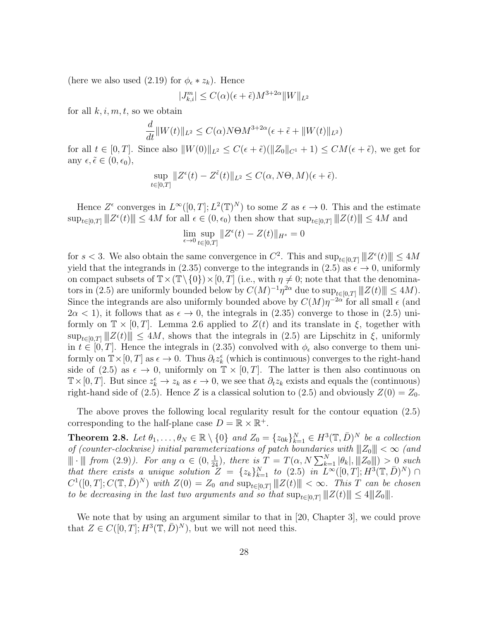(here we also used (2.19) for  $\phi_{\epsilon} * z_k$ ). Hence

$$
|J_{k,i}^m| \le C(\alpha)(\epsilon + \tilde{\epsilon})M^{3+2\alpha}||W||_{L^2}
$$

for all  $k, i, m, t$ , so we obtain

$$
\frac{d}{dt} ||W(t)||_{L^2} \le C(\alpha) N \Theta M^{3+2\alpha} (\epsilon + \tilde{\epsilon} + ||W(t)||_{L^2})
$$

for all  $t \in [0, T]$ . Since also  $||W(0)||_{L^2} \leq C(\epsilon + \tilde{\epsilon})(||Z_0||_{C^1} + 1) \leq CM(\epsilon + \tilde{\epsilon})$ , we get for any  $\epsilon, \tilde{\epsilon} \in (0, \epsilon_0),$ 

$$
\sup_{t \in [0,T]} \|Z^{\epsilon}(t) - Z^{\tilde{\epsilon}}(t)\|_{L^{2}} \le C(\alpha, N\Theta, M)(\epsilon + \tilde{\epsilon}).
$$

Hence  $Z^{\epsilon}$  converges in  $L^{\infty}([0,T];L^{2}(\mathbb{T})^{N})$  to some Z as  $\epsilon \to 0$ . This and the estimate  $\sup_{t\in[0,T]}\|Z^{\epsilon}(t)\|\leq 4M$  for all  $\epsilon\in(0,\epsilon_0)$  then show that  $\sup_{t\in[0,T]}\|Z(t)\|\leq 4M$  and

$$
\lim_{\epsilon \to 0} \sup_{t \in [0,T]} \|Z^{\epsilon}(t) - Z(t)\|_{H^s} = 0
$$

for  $s < 3$ . We also obtain the same convergence in  $C^2$ . This and  $\sup_{t \in [0,T]} ||||Z^{\epsilon}(t)|| \leq 4M$ yield that the integrands in (2.35) converge to the integrands in (2.5) as  $\epsilon \to 0$ , uniformly on compact subsets of  $\mathbb{T} \times (\mathbb{T} \setminus \{0\}) \times [0, T]$  (i.e., with  $\eta \neq 0$ ; note that that the denominators in (2.5) are uniformly bounded below by  $C(M)^{-1}\eta^{2\alpha}$  due to  $\sup_{t\in[0,T]}\|Z(t)\|\leq 4M$ . Since the integrands are also uniformly bounded above by  $C(M)\eta^{-2\alpha}$  for all small  $\epsilon$  (and  $2\alpha < 1$ , it follows that as  $\epsilon \to 0$ , the integrals in (2.35) converge to those in (2.5) uniformly on  $\mathbb{T} \times [0, T]$ . Lemma 2.6 applied to  $Z(t)$  and its translate in  $\xi$ , together with  $\sup_{t\in[0,T]}\|Z(t)\|\leq 4M$ , shows that the integrals in (2.5) are Lipschitz in  $\xi$ , uniformly in  $t \in [0, T]$ . Hence the integrals in (2.35) convolved with  $\phi_{\epsilon}$  also converge to them uniformly on  $\mathbb{T} \times [0, T]$  as  $\epsilon \to 0$ . Thus  $\partial_t z_k^{\epsilon}$  (which is continuous) converges to the right-hand side of (2.5) as  $\epsilon \to 0$ , uniformly on  $\mathbb{T} \times [0,T]$ . The latter is then also continuous on  $\mathbb{T} \times [0, T]$ . But since  $z_k^{\epsilon} \to z_k$  as  $\epsilon \to 0$ , we see that  $\partial_t z_k$  exists and equals the (continuous) right-hand side of (2.5). Hence Z is a classical solution to (2.5) and obviously  $Z(0) = Z_0$ .

The above proves the following local regularity result for the contour equation (2.5) corresponding to the half-plane case  $D = \mathbb{R} \times \mathbb{R}^+$ .

**Theorem 2.8.** Let  $\theta_1, \ldots, \theta_N \in \mathbb{R} \setminus \{0\}$  and  $Z_0 = \{z_{0k}\}_{k=1}^N \in H^3(\mathbb{T}, \overline{D})^N$  be a collection of (counter-clockwise) initial parameterizations of patch boundaries with  $||Z_0|| < \infty$  (and  $\|\cdot\|$  from (2.9)). For any  $\alpha \in (0, \frac{1}{24})$ , there is  $T = T(\alpha, N \sum_{k=1}^{N} |\theta_k|, \|Z_0\|) > 0$  such that there exists a unique solution  $Z = \{z_k\}_{k=1}^N$  to  $(2.5)$  in  $L^{\infty}([0,T]; H^3(\mathbb{T}, \bar{D})^N) \cap$  $C^1([0,T];C(\mathbb{T},\bar{D})^N)$  with  $Z(0)=Z_0$  and  $\sup_{t\in[0,T]}\|Z(t)\|<\infty$ . This T can be chosen to be decreasing in the last two arguments and so that  $\sup_{t\in[0,T]}\|Z(t)\|\leq 4\|Z_0\|.$ 

We note that by using an argument similar to that in [20, Chapter 3], we could prove that  $Z \in C([0,T]; H^3(\mathbb{T}, \bar{D})^N)$ , but we will not need this.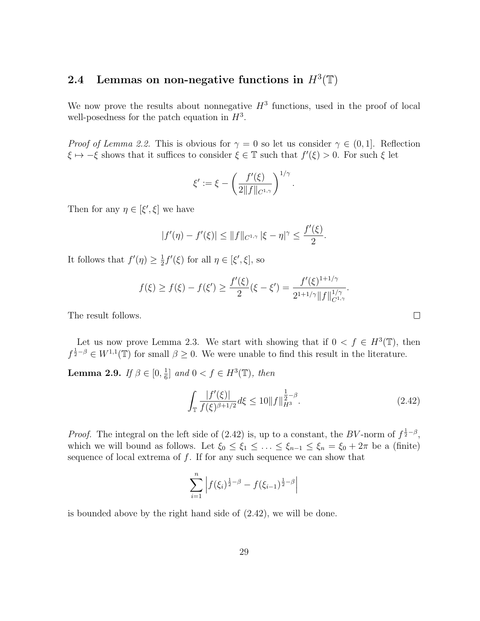# 2.4 Lemmas on non-negative functions in  $H^3(\mathbb{T})$

We now prove the results about nonnegative  $H^3$  functions, used in the proof of local well-posedness for the patch equation in  $H^3$ .

*Proof of Lemma 2.2.* This is obvious for  $\gamma = 0$  so let us consider  $\gamma \in (0,1]$ . Reflection  $\xi \mapsto -\xi$  shows that it suffices to consider  $\xi \in \mathbb{T}$  such that  $f'(\xi) > 0$ . For such  $\xi$  let

$$
\xi' := \xi - \left(\frac{f'(\xi)}{2\|f\|_{C^{1,\gamma}}}\right)^{1/\gamma}
$$

Then for any  $\eta \in [\xi', \xi]$  we have

$$
|f'(\eta) - f'(\xi)| \le ||f||_{C^{1,\gamma}} |\xi - \eta|^\gamma \le \frac{f'(\xi)}{2}.
$$

It follows that  $f'(\eta) \geq \frac{1}{2}$  $\frac{1}{2}f'(\xi)$  for all  $\eta \in [\xi', \xi]$ , so

$$
f(\xi) \ge f(\xi) - f(\xi') \ge \frac{f'(\xi)}{2}(\xi - \xi') = \frac{f'(\xi)^{1+1/\gamma}}{2^{1+1/\gamma} ||f||_{C^{1,\gamma}}^{1/\gamma}}.
$$

The result follows.

Let us now prove Lemma 2.3. We start with showing that if  $0 < f \in H^3(\mathbb{T})$ , then  $f^{\frac{1}{2}-\beta} \in W^{1,1}(\mathbb{T})$  for small  $\beta \geq 0$ . We were unable to find this result in the literature.

Lemma 2.9. If  $\beta \in [0, \frac{1}{6}]$  $\frac{1}{6}$  and  $0 < f \in H^3(\mathbb{T})$ , then

$$
\int_{\mathbb{T}} \frac{|f'(\xi)|}{f(\xi)^{\beta + 1/2}} d\xi \le 10 \|f\|_{H^3}^{\frac{1}{2} - \beta}.
$$
\n(2.42)

.

*Proof.* The integral on the left side of (2.42) is, up to a constant, the BV-norm of  $f^{\frac{1}{2}-\beta}$ , which we will bound as follows. Let  $\xi_0 \leq \xi_1 \leq \ldots \leq \xi_{n-1} \leq \xi_n = \xi_0 + 2\pi$  be a (finite) sequence of local extrema of  $f$ . If for any such sequence we can show that

$$
\sum_{i=1}^{n} \left| f(\xi_i)^{\frac{1}{2}-\beta} - f(\xi_{i-1})^{\frac{1}{2}-\beta} \right|
$$

is bounded above by the right hand side of (2.42), we will be done.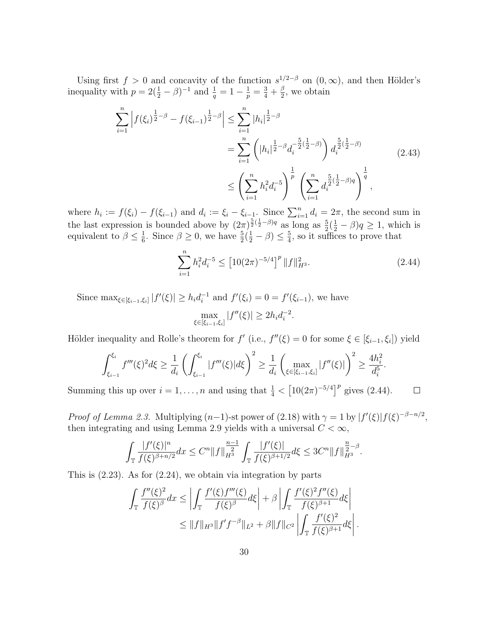Using first  $f > 0$  and concavity of the function  $s^{1/2-\beta}$  on  $(0, \infty)$ , and then Hölder's inequality with  $p = 2(\frac{1}{2} - \beta)^{-1}$  and  $\frac{1}{q} = 1 - \frac{1}{p} = \frac{3}{4} + \frac{\beta}{2}$  $\frac{\beta}{2}$ , we obtain

$$
\sum_{i=1}^{n} \left| f(\xi_i)^{\frac{1}{2}-\beta} - f(\xi_{i-1})^{\frac{1}{2}-\beta} \right| \leq \sum_{i=1}^{n} |h_i|^{\frac{1}{2}-\beta}
$$
\n
$$
= \sum_{i=1}^{n} \left( |h_i|^{\frac{1}{2}-\beta} d_i^{-\frac{5}{2}(\frac{1}{2}-\beta)} \right) d_i^{\frac{5}{2}(\frac{1}{2}-\beta)} \tag{2.43}
$$
\n
$$
\leq \left( \sum_{i=1}^{n} h_i^2 d_i^{-5} \right)^{\frac{1}{p}} \left( \sum_{i=1}^{n} d_i^{\frac{5}{2}(\frac{1}{2}-\beta)q} \right)^{\frac{1}{q}},
$$

where  $h_i := f(\xi_i) - f(\xi_{i-1})$  and  $d_i := \xi_i - \xi_{i-1}$ . Since  $\sum_{i=1}^n d_i = 2\pi$ , the second sum in the last expression is bounded above by  $(2\pi)^{\frac{5}{2}(\frac{1}{2}-\beta)q}$  as long as  $\frac{5}{2}(\frac{1}{2}-\beta)q \geq 1$ , which is equivalent to  $\beta \leq \frac{1}{6}$  $\frac{1}{6}$ . Since  $\beta \geq 0$ , we have  $\frac{5}{2}(\frac{1}{2} - \beta) \leq \frac{5}{4}$  $\frac{5}{4}$ , so it suffices to prove that

$$
\sum_{i=1}^{n} h_i^2 d_i^{-5} \le \left[ 10(2\pi)^{-5/4} \right]^p \| f \|_{H^3}^2. \tag{2.44}
$$

Since  $\max_{\xi \in [\xi_{i-1}, \xi_i]} |f'(\xi)| \ge h_i d_i^{-1}$  $i_i^{-1}$  and  $f'(\xi_i) = 0 = f'(\xi_{i-1})$ , we have

$$
\max_{\xi \in [\xi_{i-1}, \xi_i]} |f''(\xi)| \ge 2h_i d_i^{-2}.
$$

Hölder inequality and Rolle's theorem for  $f'(i.e., f''(\xi) = 0$  for some  $\xi \in [\xi_{i-1}, \xi_i]$  yield

$$
\int_{\xi_{i-1}}^{\xi_i} f'''(\xi)^2 d\xi \ge \frac{1}{d_i} \left( \int_{\xi_{i-1}}^{\xi_i} |f'''(\xi)| d\xi \right)^2 \ge \frac{1}{d_i} \left( \max_{\xi \in [\xi_{i-1}, \xi_i]} |f''(\xi)| \right)^2 \ge \frac{4h_i^2}{d_i^5}.
$$

Summing this up over  $i = 1, ..., n$  and using that  $\frac{1}{4} < [10(2\pi)^{-5/4}]^p$  gives (2.44).  $\Box$ 

*Proof of Lemma 2.3.* Multiplying  $(n-1)$ -st power of  $(2.18)$  with  $\gamma = 1$  by  $|f'(\xi)|f(\xi)^{-\beta-n/2}$ , then integrating and using Lemma 2.9 yields with a universal  $C < \infty$ ,

$$
\int_{\mathbb{T}} \frac{|f'(\xi)|^n}{f(\xi)^{\beta+n/2}} dx \leq C^n \|f\|_{H^3}^{\frac{n-1}{2}} \int_{\mathbb{T}} \frac{|f'(\xi)|}{f(\xi)^{\beta+1/2}} d\xi \leq 3C^n \|f\|_{H^3}^{\frac{n}{2}-\beta}.
$$

This is (2.23). As for (2.24), we obtain via integration by parts

$$
\int_{\mathbb{T}} \frac{f''(\xi)^2}{f(\xi)^{\beta}} dx \le \left| \int_{\mathbb{T}} \frac{f'(\xi) f'''(\xi)}{f(\xi)^{\beta}} d\xi \right| + \beta \left| \int_{\mathbb{T}} \frac{f'(\xi)^2 f''(\xi)}{f(\xi)^{\beta+1}} d\xi \right|
$$
  

$$
\le \|f\|_{H^3} \|f' f^{-\beta}\|_{L^2} + \beta \|f\|_{C^2} \left| \int_{\mathbb{T}} \frac{f'(\xi)^2}{f(\xi)^{\beta+1}} d\xi \right|.
$$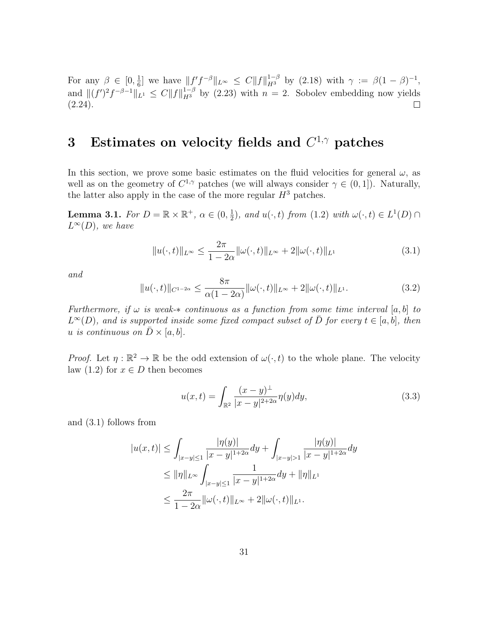For any  $\beta \in [0, \frac{1}{6}]$  $\frac{1}{6}$  we have  $||f'f^{-\beta}||_{L^{\infty}} \leq C||f||_{H^{3}}^{1-\beta}$  by (2.18) with  $\gamma := \beta(1-\beta)^{-1}$ , and  $||(f')^2f^{-\beta-1}||_{L^1} \leq C||f||_{H^3}^{1-\beta}$  by (2.23) with  $n=2$ . Sobolev embedding now yields  $(2.24).$  $\Box$ 

# 3 Estimates on velocity fields and  $C^{1,\gamma}$  patches

In this section, we prove some basic estimates on the fluid velocities for general  $\omega$ , as well as on the geometry of  $C^{1,\gamma}$  patches (we will always consider  $\gamma \in (0,1]$ ). Naturally, the latter also apply in the case of the more regular  $H^3$  patches.

**Lemma 3.1.** For  $D = \mathbb{R} \times \mathbb{R}^+$ ,  $\alpha \in (0, \frac{1}{2})$  $\frac{1}{2}$ , and  $u(\cdot, t)$  from  $(1.2)$  with  $\omega(\cdot, t) \in L^1(D) \cap$  $L^{\infty}(D)$ , we have

$$
||u(\cdot,t)||_{L^{\infty}} \le \frac{2\pi}{1-2\alpha} ||\omega(\cdot,t)||_{L^{\infty}} + 2||\omega(\cdot,t)||_{L^{1}}
$$
\n(3.1)

and

$$
||u(\cdot,t)||_{C^{1-2\alpha}} \le \frac{8\pi}{\alpha(1-2\alpha)} ||\omega(\cdot,t)||_{L^{\infty}} + 2||\omega(\cdot,t)||_{L^{1}}.
$$
\n(3.2)

Furthermore, if  $\omega$  is weak- $*$  continuous as a function from some time interval [a, b] to  $L^{\infty}(D)$ , and is supported inside some fixed compact subset of  $\overline{D}$  for every  $t \in [a, b]$ , then u is continuous on  $\bar{D} \times [a, b]$ .

*Proof.* Let  $\eta : \mathbb{R}^2 \to \mathbb{R}$  be the odd extension of  $\omega(\cdot, t)$  to the whole plane. The velocity law (1.2) for  $x \in D$  then becomes

$$
u(x,t) = \int_{\mathbb{R}^2} \frac{(x-y)^{\perp}}{|x-y|^{2+2\alpha}} \eta(y) dy,
$$
 (3.3)

and (3.1) follows from

$$
|u(x,t)| \leq \int_{|x-y| \leq 1} \frac{|\eta(y)|}{|x-y|^{1+2\alpha}} dy + \int_{|x-y| > 1} \frac{|\eta(y)|}{|x-y|^{1+2\alpha}} dy
$$
  
\n
$$
\leq ||\eta||_{L^{\infty}} \int_{|x-y| \leq 1} \frac{1}{|x-y|^{1+2\alpha}} dy + ||\eta||_{L^{1}}
$$
  
\n
$$
\leq \frac{2\pi}{1-2\alpha} ||\omega(\cdot,t)||_{L^{\infty}} + 2||\omega(\cdot,t)||_{L^{1}}.
$$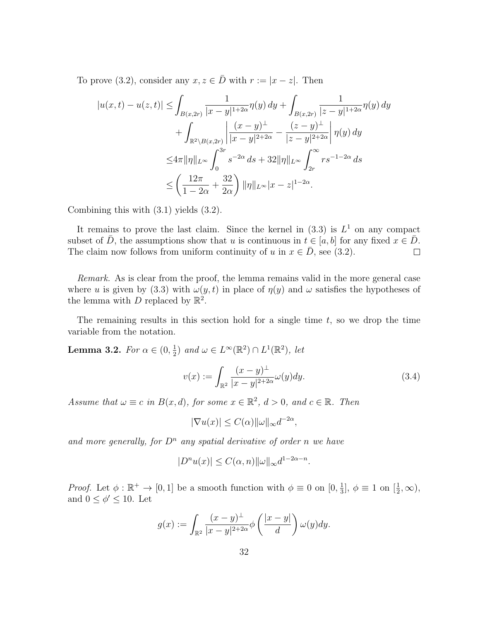To prove (3.2), consider any  $x, z \in \overline{D}$  with  $r := |x - z|$ . Then

$$
|u(x,t) - u(z,t)| \le \int_{B(x,2r)} \frac{1}{|x-y|^{1+2\alpha}} \eta(y) \, dy + \int_{B(x,2r)} \frac{1}{|z-y|^{1+2\alpha}} \eta(y) \, dy + \int_{\mathbb{R}^2 \setminus B(x,2r)} \left| \frac{(x-y)^{\perp}}{|x-y|^{2+2\alpha}} - \frac{(z-y)^{\perp}}{|z-y|^{2+2\alpha}} \right| \eta(y) \, dy \le 4\pi \|\eta\|_{L^{\infty}} \int_0^{3r} s^{-2\alpha} \, ds + 32 \|\eta\|_{L^{\infty}} \int_{2r}^{\infty} r s^{-1-2\alpha} \, ds \le \left( \frac{12\pi}{1-2\alpha} + \frac{32}{2\alpha} \right) \|\eta\|_{L^{\infty}} |x-z|^{1-2\alpha}.
$$

Combining this with (3.1) yields (3.2).

It remains to prove the last claim. Since the kernel in  $(3.3)$  is  $L<sup>1</sup>$  on any compact subset of  $\overline{D}$ , the assumptions show that u is continuous in  $t \in [a, b]$  for any fixed  $x \in \overline{D}$ . The claim now follows from uniform continuity of u in  $x \in \overline{D}$ , see (3.2).  $\Box$ 

Remark. As is clear from the proof, the lemma remains valid in the more general case where u is given by (3.3) with  $\omega(y, t)$  in place of  $\eta(y)$  and  $\omega$  satisfies the hypotheses of the lemma with D replaced by  $\mathbb{R}^2$ .

The remaining results in this section hold for a single time  $t$ , so we drop the time variable from the notation.

Lemma 3.2. For  $\alpha \in (0, \frac{1}{2})$  $(\frac{1}{2})$  and  $\omega \in L^{\infty}(\mathbb{R}^2) \cap L^1(\mathbb{R}^2)$ , let

$$
v(x) := \int_{\mathbb{R}^2} \frac{(x - y)^{\perp}}{|x - y|^{2 + 2\alpha}} \omega(y) dy.
$$
 (3.4)

Assume that  $\omega \equiv c$  in  $B(x,d)$ , for some  $x \in \mathbb{R}^2$ ,  $d > 0$ , and  $c \in \mathbb{R}$ . Then

$$
|\nabla u(x)| \le C(\alpha) ||\omega||_{\infty} d^{-2\alpha},
$$

and more generally, for  $D^n$  any spatial derivative of order n we have

$$
|D^n u(x)| \le C(\alpha, n) ||\omega||_{\infty} d^{1-2\alpha - n}.
$$

*Proof.* Let  $\phi : \mathbb{R}^+ \to [0,1]$  be a smooth function with  $\phi \equiv 0$  on  $[0, \frac{1}{3}]$  $\frac{1}{3}$ ,  $\phi \equiv 1$  on  $\left[\frac{1}{2}, \infty\right)$ , and  $0 \leq \phi' \leq 10$ . Let

$$
g(x) := \int_{\mathbb{R}^2} \frac{(x-y)^{\perp}}{|x-y|^{2+2\alpha}} \phi\left(\frac{|x-y|}{d}\right) \omega(y) dy.
$$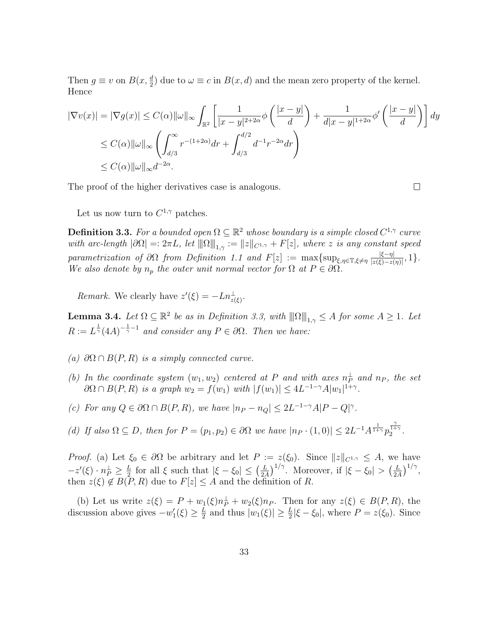Then  $g \equiv v$  on  $B(x, \frac{d}{2})$  due to  $\omega \equiv c$  in  $B(x, d)$  and the mean zero property of the kernel. Hence

$$
|\nabla v(x)| = |\nabla g(x)| \le C(\alpha) \|\omega\|_{\infty} \int_{\mathbb{R}^2} \left[ \frac{1}{|x - y|^{2 + 2\alpha}} \phi\left(\frac{|x - y|}{d}\right) + \frac{1}{d|x - y|^{1 + 2\alpha}} \phi'\left(\frac{|x - y|}{d}\right) \right] dy
$$
  
\n
$$
\le C(\alpha) \|\omega\|_{\infty} \left( \int_{d/3}^{\infty} r^{-(1 + 2\alpha)} dr + \int_{d/3}^{d/2} d^{-1} r^{-2\alpha} dr \right)
$$
  
\n
$$
\le C(\alpha) \|\omega\|_{\infty} d^{-2\alpha}.
$$

The proof of the higher derivatives case is analogous.

 $\Box$ 

Let us now turn to  $C^{1,\gamma}$  patches.

**Definition 3.3.** For a bounded open  $\Omega \subseteq \mathbb{R}^2$  whose boundary is a simple closed  $C^{1,\gamma}$  curve with arc-length  $|\partial\Omega| =: 2\pi L$ , let  $\|\Omega\|_{1,\gamma} := \|z\|_{C^{1,\gamma}} + F[z]$ , where z is any constant speed parametrization of  $\partial\Omega$  from Definition 1.1 and  $F[z] := \max\{\sup_{\xi,\eta\in\mathbb{T},\xi\neq\eta}\frac{|\xi-\eta|}{|z(\xi)-z(\xi)|}\}$  $\frac{|\xi-\eta|}{|z(\xi)-z(\eta)|}, 1$ . We also denote by  $n_p$  the outer unit normal vector for  $\Omega$  at  $P \in \partial \Omega$ .

Remark. We clearly have  $z'(\xi) = -Ln_{z(\xi)}^{\perp}$ .

**Lemma 3.4.** Let  $\Omega \subseteq \mathbb{R}^2$  be as in Definition 3.3, with  $||\|\Omega|||_{1,\gamma} \leq A$  for some  $A \geq 1$ . Let  $R := L^{\frac{1}{\gamma}} (4A)^{-\frac{1}{\gamma}-1}$  and consider any  $P \in \partial \Omega$ . Then we have:

- (a)  $\partial\Omega \cap B(P,R)$  is a simply connected curve.
- (b) In the coordinate system  $(w_1, w_2)$  centered at P and with axes  $n_P^{\perp}$  and  $n_P$ , the set  $\partial\Omega \cap B(P,R)$  is a graph  $w_2 = f(w_1)$  with  $|f(w_1)| \leq 4L^{-1-\gamma}A|w_1|^{1+\gamma}$ .
- (c) For any  $Q \in \partial \Omega \cap B(P, R)$ , we have  $|n_P n_Q| \leq 2L^{-1-\gamma}A|P Q|^{\gamma}$ .
- (d) If also  $\Omega \subseteq D$ , then for  $P = (p_1, p_2) \in \partial \Omega$  we have  $|n_P \cdot (1, 0)| \leq 2L^{-1}A^{\frac{1}{1+\gamma}}p_2^{\frac{\gamma}{1+\gamma}}$ .

*Proof.* (a) Let  $\xi_0 \in \partial\Omega$  be arbitrary and let  $P := z(\xi_0)$ . Since  $||z||_{C^{1,\gamma}} \leq A$ , we have  $-z'(\xi) \cdot n_P^{\perp} \geq \frac{L}{2}$  $\frac{L}{2}$  for all  $\xi$  such that  $|\xi - \xi_0| \leq (\frac{L}{2\lambda})$  $\frac{L}{2A}$ )<sup>1/γ</sup>. Moreover, if  $|\xi - \xi_0| > (\frac{L}{2A})$  $\frac{L}{2A}$  $\Big)^{1/\gamma},$ then  $z(\xi) \notin B(P, R)$  due to  $F[z] \leq A$  and the definition of R.

(b) Let us write  $z(\xi) = P + w_1(\xi)n_P^{\perp} + w_2(\xi)n_P$ . Then for any  $z(\xi) \in B(P, R)$ , the discussion above gives  $-w_1'(\xi) \geq \frac{L}{2}$  $\frac{L}{2}$  and thus  $|w_1(\xi)| \ge \frac{L}{2} |\xi - \xi_0|$ , where  $P = z(\xi_0)$ . Since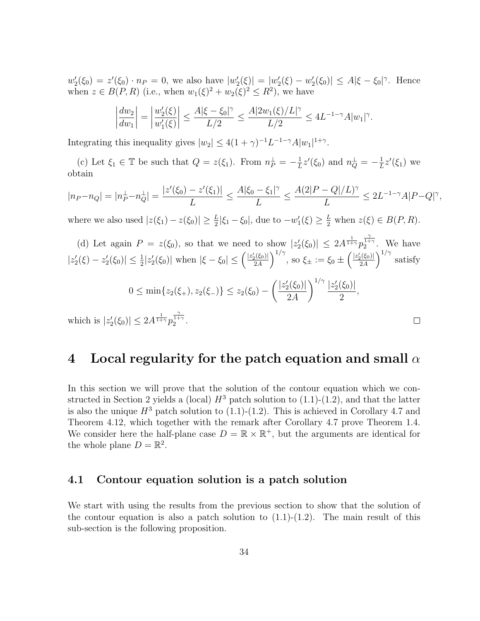$w_2'(\xi_0) = z'(\xi_0) \cdot n_P = 0$ , we also have  $|w_2'(\xi)| = |w_2'(\xi) - w_2'(\xi_0)| \leq A |\xi - \xi_0|^\gamma$ . Hence when  $z \in B(P, R)$  (i.e., when  $w_1(\xi)^2 + w_2(\xi)^2 \leq R^2$ ), we have

$$
\left|\frac{dw_2}{dw_1}\right| = \left|\frac{w_2'(\xi)}{w_1'(\xi)}\right| \le \frac{A|\xi - \xi_0|^\gamma}{L/2} \le \frac{A|2w_1(\xi)/L|^\gamma}{L/2} \le 4L^{-1-\gamma}A|w_1|^\gamma.
$$

Integrating this inequality gives  $|w_2| \leq 4(1+\gamma)^{-1}L^{-1-\gamma}A|w_1|^{1+\gamma}$ .

(c) Let  $\xi_1 \in \mathbb{T}$  be such that  $Q = z(\xi_1)$ . From  $n_P^{\perp} = -\frac{1}{L}$  $\frac{1}{L}z'(\xi_0)$  and  $n_Q^{\perp} = -\frac{1}{L}$  $\frac{1}{L}z'(\xi_1)$  we obtain

$$
|n_P - n_Q| = |n_P^{\perp} - n_Q^{\perp}| = \frac{|z'(\xi_0) - z'(\xi_1)|}{L} \le \frac{A|\xi_0 - \xi_1|^{\gamma}}{L} \le \frac{A(2|P - Q|/L)^{\gamma}}{L} \le 2L^{-1-\gamma}A|P - Q|^{\gamma},
$$

where we also used  $|z(\xi_1) - z(\xi_0)| \ge \frac{L}{2} |\xi_1 - \xi_0|$ , due to  $-w'_1(\xi) \ge \frac{L}{2}$  when  $z(\xi) \in B(P, R)$ .

(d) Let again 
$$
P = z(\xi_0)
$$
, so that we need to show  $|z_2'(\xi_0)| \le 2A^{\frac{1}{1+\gamma}} p_2^{\frac{\gamma}{1+\gamma}}$ . We have  $|z_2'(\xi) - z_2'(\xi_0)| \le \frac{1}{2}|z_2'(\xi_0)|$  when  $|\xi - \xi_0| \le (\frac{|z_2'(\xi_0)|}{2A})^{1/\gamma}$ , so  $\xi_{\pm} := \xi_0 \pm (\frac{|z_2'(\xi_0)|}{2A})^{1/\gamma}$  satisfy  $0 \le \min\{z_2(\xi_+), z_2(\xi_-)\} \le z_2(\xi_0) - (\frac{|z_2'(\xi_0)|}{2A})^{1/\gamma} \frac{|z_2'(\xi_0)|}{2}$ ,

which is  $|z_2'(\xi_0)| \leq 2A^{\frac{1}{1+\gamma}} p_2^{\frac{\gamma}{1+\gamma}}$ .

## 4 Local regularity for the patch equation and small  $\alpha$

 $\Box$ 

In this section we will prove that the solution of the contour equation which we constructed in Section 2 yields a (local)  $H^3$  patch solution to (1.1)-(1.2), and that the latter is also the unique  $H^3$  patch solution to (1.1)-(1.2). This is achieved in Corollary 4.7 and Theorem 4.12, which together with the remark after Corollary 4.7 prove Theorem 1.4. We consider here the half-plane case  $D = \mathbb{R} \times \mathbb{R}^+$ , but the arguments are identical for the whole plane  $D = \mathbb{R}^2$ .

### 4.1 Contour equation solution is a patch solution

We start with using the results from the previous section to show that the solution of the contour equation is also a patch solution to  $(1.1)-(1.2)$ . The main result of this sub-section is the following proposition.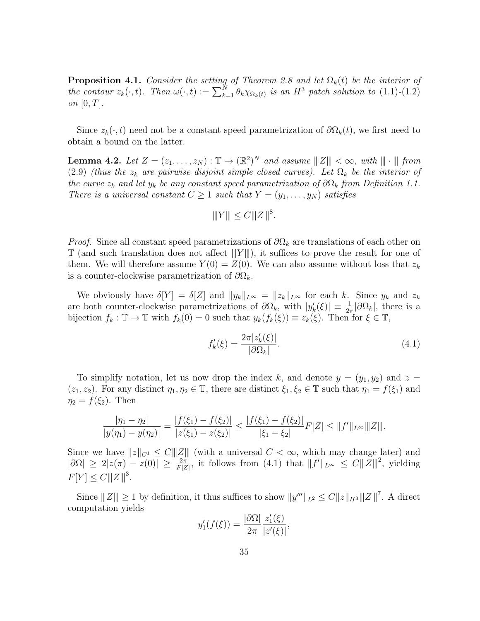**Proposition 4.1.** Consider the setting of Theorem 2.8 and let  $\Omega_k(t)$  be the interior of the contour  $z_k(\cdot, t)$ . Then  $\omega(\cdot, t) := \sum_{k=1}^N \theta_k \chi_{\Omega_k(t)}$  is an  $H^3$  patch solution to  $(1.1)$ - $(1.2)$ on  $[0, T]$ .

Since  $z_k(\cdot, t)$  need not be a constant speed parametrization of  $\partial \Omega_k(t)$ , we first need to obtain a bound on the latter.

**Lemma 4.2.** Let  $Z = (z_1, \ldots, z_N) : \mathbb{T} \to (\mathbb{R}^2)^N$  and assume  $||Z|| < \infty$ , with  $||| \cdot |||$  from (2.9) (thus the  $z_k$  are pairwise disjoint simple closed curves). Let  $\Omega_k$  be the interior of the curve  $z_k$  and let  $y_k$  be any constant speed parametrization of  $\partial\Omega_k$  from Definition 1.1. There is a universal constant  $C \geq 1$  such that  $Y = (y_1, \ldots, y_N)$  satisfies

$$
|||Y||| \le C|||Z|||^8.
$$

*Proof.* Since all constant speed parametrizations of  $\partial\Omega_k$  are translations of each other on  $\mathbb T$  (and such translation does not affect  $|||Y||$ ), it suffices to prove the result for one of them. We will therefore assume  $Y(0) = Z(0)$ . We can also assume without loss that  $z_k$ is a counter-clockwise parametrization of  $\partial\Omega_k$ .

We obviously have  $\delta[Y] = \delta[Z]$  and  $||y_k||_{L^{\infty}} = ||z_k||_{L^{\infty}}$  for each k. Since  $y_k$  and  $z_k$ are both counter-clockwise parametrizations of  $\partial\Omega_k$ , with  $|y'_k(\xi)| \equiv \frac{1}{2\pi} |\partial\Omega_k|$ , there is a bijection  $f_k : \mathbb{T} \to \mathbb{T}$  with  $f_k(0) = 0$  such that  $y_k(f_k(\xi)) \equiv z_k(\xi)$ . Then for  $\xi \in \mathbb{T}$ ,

$$
f'_k(\xi) = \frac{2\pi |z'_k(\xi)|}{|\partial \Omega_k|}.\tag{4.1}
$$

To simplify notation, let us now drop the index k, and denote  $y = (y_1, y_2)$  and  $z =$  $(z_1, z_2)$ . For any distinct  $\eta_1, \eta_2 \in \mathbb{T}$ , there are distinct  $\xi_1, \xi_2 \in \mathbb{T}$  such that  $\eta_1 = f(\xi_1)$  and  $\eta_2 = f(\xi_2)$ . Then

$$
\frac{|\eta_1 - \eta_2|}{|y(\eta_1) - y(\eta_2)|} = \frac{|f(\xi_1) - f(\xi_2)|}{|z(\xi_1) - z(\xi_2)|} \le \frac{|f(\xi_1) - f(\xi_2)|}{|\xi_1 - \xi_2|} F[Z] \le \|f'\|_{L^\infty} \|Z\|.
$$

Since we have  $||z||_{C^1} \leq C||||Z||$  (with a universal  $C < \infty$ , which may change later) and  $|\partial\Omega|\geq 2|z(\pi)-z(0)|\geq \frac{2\pi}{F[Z]}$ , it follows from (4.1) that  $||f'||_{L^{\infty}}\leq C||Z||^2$ , yielding  $F[Y] \leq C ||Z||^3$ .

Since  $||Z|| \geq 1$  by definition, it thus suffices to show  $||y'''||_{L^2} \leq C||z||_{H^3} ||Z||^7$ . A direct computation yields

$$
y_1'(f(\xi)) = \frac{|\partial \Omega|}{2\pi} \frac{z_1'(\xi)}{|z'(\xi)|},
$$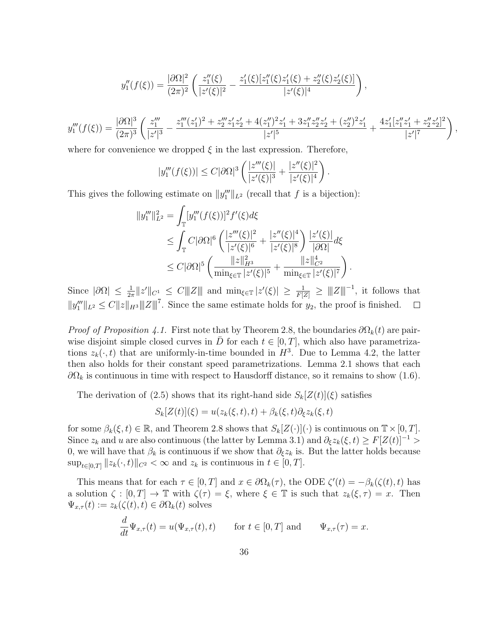$$
y_1''(f(\xi)) = \frac{|\partial\Omega|^2}{(2\pi)^2} \left( \frac{z_1''(\xi)}{|z'(\xi)|^2} - \frac{z_1'(\xi)[z_1''(\xi)z_1'(\xi) + z_2''(\xi)z_2'(\xi)]}{|z'(\xi)|^4} \right),
$$
  

$$
y_1'''(f(\xi)) = \frac{|\partial\Omega|^3}{(2\pi)^3} \left( \frac{z_1'''}{|z'|^3} - \frac{z_1'''(z_1')^2 + z_2'''z_1'z_2' + 4(z_1'')^2z_1' + 3z_1''z_2''z_2' + (z_2'')^2z_1'}{|z'|^5} + \frac{4z_1'[z_1''z_1' + z_2''z_2']^2}{|z'|^7} \right)
$$

.

,

where for convenience we dropped  $\xi$  in the last expression. Therefore,

$$
|y_1'''(f(\xi))| \le C|\partial\Omega|^3 \left(\frac{|z'''(\xi)|}{|z'(\xi)|^3} + \frac{|z''(\xi)|^2}{|z'(\xi)|^4}\right)
$$

This gives the following estimate on  $||y_1'''||_{L^2}$  (recall that f is a bijection):

$$
||y_{1}'''||_{L^{2}}^{2} = \int_{\mathbb{T}} [y_{1}'''(f(\xi))]^{2} f'(\xi) d\xi
$$
  
\n
$$
\leq \int_{\mathbb{T}} C|\partial\Omega|^{6} \left( \frac{|z'''(\xi)|^{2}}{|z'(\xi)|^{6}} + \frac{|z''(\xi)|^{4}}{|z'(\xi)|^{8}} \right) \frac{|z'(\xi)|}{|\partial\Omega|} d\xi
$$
  
\n
$$
\leq C|\partial\Omega|^{5} \left( \frac{||z||_{H^{3}}^{2}}{\min_{\xi \in \mathbb{T}} |z'(\xi)|^{5}} + \frac{||z||_{C^{2}}^{4}}{\min_{\xi \in \mathbb{T}} |z'(\xi)|^{7}} \right).
$$

Since  $|\partial\Omega|\leq \frac{1}{2\pi}\|z'\|_{C^1}\leq C\|Z\|$  and  $\min_{\xi\in\mathbb{T}}|z'(\xi)|\geq \frac{1}{F|Z|}\geq \|Z\|^{-1}$ , it follows that  $||y_1'''||_{L^2} \leq C||z||_{H^3} ||||Z||^{7}$ . Since the same estimate holds for  $y_2$ , the proof is finished.  $\Box$ 

*Proof of Proposition 4.1.* First note that by Theorem 2.8, the boundaries  $\partial\Omega_k(t)$  are pairwise disjoint simple closed curves in  $\overline{D}$  for each  $t \in [0, T]$ , which also have parametrizations  $z_k(\cdot, t)$  that are uniformly-in-time bounded in  $H^3$ . Due to Lemma 4.2, the latter then also holds for their constant speed parametrizations. Lemma 2.1 shows that each  $\partial\Omega_k$  is continuous in time with respect to Hausdorff distance, so it remains to show (1.6).

The derivation of (2.5) shows that its right-hand side  $S_k[Z(t)](\xi)$  satisfies

$$
S_k[Z(t)](\xi) = u(z_k(\xi, t), t) + \beta_k(\xi, t)\partial_{\xi}z_k(\xi, t)
$$

for some  $\beta_k(\xi, t) \in \mathbb{R}$ , and Theorem 2.8 shows that  $S_k[Z(\cdot)](\cdot)$  is continuous on  $\mathbb{T} \times [0, T]$ . Since  $z_k$  and u are also continuous (the latter by Lemma 3.1) and  $\partial_{\xi}z_k(\xi, t) \geq F[Z(t)]^{-1} >$ 0, we will have that  $\beta_k$  is continuous if we show that  $\partial_{\xi}z_k$  is. But the latter holds because  $\sup_{t\in[0,T]}\|z_k(\cdot,t)\|_{C^2}<\infty$  and  $z_k$  is continuous in  $t\in[0,T]$ .

This means that for each  $\tau \in [0, T]$  and  $x \in \partial \Omega_k(\tau)$ , the ODE  $\zeta'(t) = -\beta_k(\zeta(t), t)$  has a solution  $\zeta : [0, T] \to \mathbb{T}$  with  $\zeta(\tau) = \xi$ , where  $\xi \in \mathbb{T}$  is such that  $z_k(\xi, \tau) = x$ . Then  $\Psi_{x,\tau}(t) := z_k(\zeta(t), t) \in \partial \Omega_k(t)$  solves

$$
\frac{d}{dt}\Psi_{x,\tau}(t) = u(\Psi_{x,\tau}(t),t) \quad \text{for } t \in [0,T] \text{ and } \Psi_{x,\tau}(\tau) = x.
$$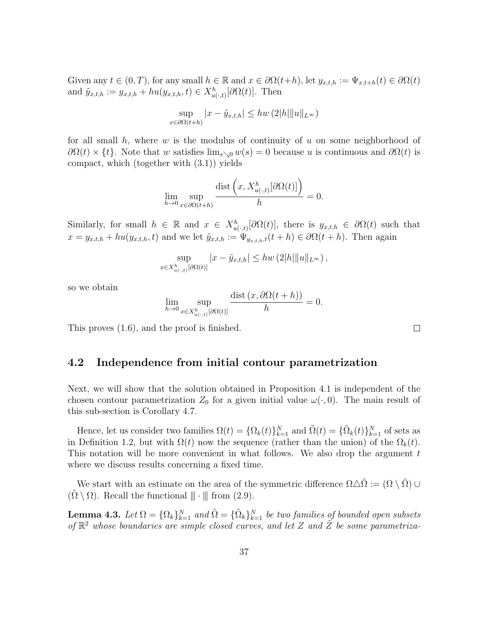Given any  $t \in (0, T)$ , for any small  $h \in \mathbb{R}$  and  $x \in \partial \Omega(t+h)$ , let  $y_{x,t,h} := \Psi_{x,t+h}(t) \in \partial \Omega(t)$ and  $\tilde{y}_{x,t,h} := y_{x,t,h} + hu(y_{x,t,h}, t) \in X_{u(\cdot,t)}^h[\partial\Omega(t)]$ . Then

$$
\sup_{x \in \partial \Omega(t+h)} |x - \tilde{y}_{x,t,h}| \le hw(2|h|\|u\|_{L^{\infty}})
$$

for all small h, where w is the modulus of continuity of u on some neighborhood of  $\partial\Omega(t) \times \{t\}$ . Note that w satisfies  $\lim_{s\to 0} w(s) = 0$  because u is continuous and  $\partial\Omega(t)$  is compact, which (together with (3.1)) yields

$$
\lim_{h \to 0} \sup_{x \in \partial \Omega(t+h)} \frac{\text{dist}\left(x, X_{u(\cdot,t)}^h[\partial \Omega(t)]\right)}{h} = 0.
$$

Similarly, for small  $h \in \mathbb{R}$  and  $x \in X_{u(.,t)}^h[\partial\Omega(t)]$ , there is  $y_{x,t,h} \in \partial\Omega(t)$  such that  $x = y_{x,t,h} + hu(y_{x,t,h}, t)$  and we let  $\tilde{y}_{x,t,h} := \Psi_{y_{x,t,h},t}(t+h) \in \partial \Omega(t+h)$ . Then again

$$
\sup_{x \in X_{u(\cdot,t)}^h[\partial\Omega(t)]} |x - \tilde{y}_{x,t,h}| \le hw(2|h|\|u\|_{L^\infty}),
$$

so we obtain

$$
\lim_{h \to 0} \sup_{x \in X_{u(\cdot,t)}^h[\partial \Omega(t)]} \frac{\text{dist}(x, \partial \Omega(t+h))}{h} = 0.
$$

This proves (1.6), and the proof is finished.

### 4.2 Independence from initial contour parametrization

Next, we will show that the solution obtained in Proposition 4.1 is independent of the chosen contour parametrization  $Z_0$  for a given initial value  $\omega(\cdot, 0)$ . The main result of this sub-section is Corollary 4.7.

Hence, let us consider two families  $\Omega(t) = {\Omega_k(t)}_{k=1}^N$  and  $\tilde{\Omega}(t) = {\tilde{\Omega_k}(t)}_{k=1}^N$  of sets as in Definition 1.2, but with  $\Omega(t)$  now the sequence (rather than the union) of the  $\Omega_k(t)$ . This notation will be more convenient in what follows. We also drop the argument  $t$ where we discuss results concerning a fixed time.

We start with an estimate on the area of the symmetric difference  $\Omega \Delta \tilde{\Omega} := (\Omega \setminus \tilde{\Omega}) \cup$  $(\Omega \setminus \Omega)$ . Recall the functional  $\|\cdot\|$  from  $(2.9)$ .

**Lemma 4.3.** Let  $\Omega = {\Omega_k}_{k=1}^N$  and  $\tilde{\Omega} = {\tilde{\Omega_k}}_{k=1}^N$  be two families of bounded open subsets of  $\mathbb{R}^2$  whose boundaries are simple closed curves, and let Z and  $\tilde{Z}$  be some parametriza-

 $\Box$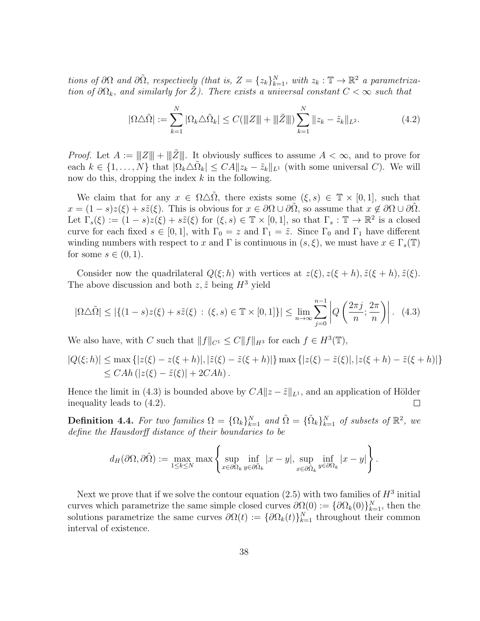tions of  $\partial\Omega$  and  $\partial\tilde{\Omega}$ , respectively (that is,  $Z = \{z_k\}_{k=1}^N$ , with  $z_k : \mathbb{T} \to \mathbb{R}^2$  a parametrization of  $\partial\Omega_k$ , and similarly for Z). There exists a universal constant  $C < \infty$  such that

$$
|\Omega \triangle \tilde{\Omega}| := \sum_{k=1}^{N} |\Omega_k \triangle \tilde{\Omega}_k| \le C(\|Z\| + \|\tilde{Z}\|) \sum_{k=1}^{N} \|z_k - \tilde{z}_k\|_{L^2}.
$$
 (4.2)

*Proof.* Let  $A := ||Z|| + ||\tilde{Z}||$ . It obviously suffices to assume  $A < \infty$ , and to prove for each  $k \in \{1, ..., N\}$  that  $|\Omega_k \triangle \tilde{\Omega}_k| \leq CA ||z_k - \tilde{z}_k||_{L^1}$  (with some universal C). We will now do this, dropping the index  $k$  in the following.

We claim that for any  $x \in \Omega \triangle \Omega$ , there exists some  $(\xi, s) \in \mathbb{T} \times [0, 1]$ , such that  $x = (1 - s)z(\xi) + s\tilde{z}(\xi)$ . This is obvious for  $x \in \partial\Omega \cup \partial\tilde{\Omega}$ , so assume that  $x \notin \partial\Omega \cup \partial\tilde{\Omega}$ . Let  $\Gamma_s(\xi) := (1-s)z(\xi) + s\tilde{z}(\xi)$  for  $(\xi, s) \in \mathbb{T} \times [0,1]$ , so that  $\Gamma_s : \mathbb{T} \to \mathbb{R}^2$  is a closed curve for each fixed  $s \in [0,1]$ , with  $\Gamma_0 = z$  and  $\Gamma_1 = \tilde{z}$ . Since  $\Gamma_0$  and  $\Gamma_1$  have different winding numbers with respect to x and  $\Gamma$  is continuous in  $(s, \xi)$ , we must have  $x \in \Gamma_s(\mathbb{T})$ for some  $s \in (0,1)$ .

Consider now the quadrilateral  $Q(\xi; h)$  with vertices at  $z(\xi), z(\xi + h), \tilde{z}(\xi + h), \tilde{z}(\xi)$ . The above discussion and both  $z, \tilde{z}$  being  $H^3$  yield

$$
|\Omega \triangle \tilde{\Omega}| \le |\{(1-s)z(\xi) + s\tilde{z}(\xi) : (\xi, s) \in \mathbb{T} \times [0, 1]\}| \le \lim_{n \to \infty} \sum_{j=0}^{n-1} \left| Q\left(\frac{2\pi j}{n}; \frac{2\pi}{n}\right) \right|.
$$
 (4.3)

We also have, with C such that  $||f||_{C^1} \leq C ||f||_{H^3}$  for each  $f \in H^3(\mathbb{T})$ ,

$$
|Q(\xi;h)| \le \max\{|z(\xi) - z(\xi + h)|, |\tilde{z}(\xi) - \tilde{z}(\xi + h)|\} \max\{|z(\xi) - \tilde{z}(\xi)|, |z(\xi + h) - \tilde{z}(\xi + h)|\}\n\le CAh(|z(\xi) - \tilde{z}(\xi)| + 2CAh).
$$

Hence the limit in (4.3) is bounded above by  $CA||z - \tilde{z}||_{L^1}$ , and an application of Hölder inequality leads to (4.2).  $\Box$ 

**Definition 4.4.** For two families  $\Omega = {\Omega_k}_{k=1}^N$  and  $\tilde{\Omega} = {\{\tilde{\Omega}_k\}_{k=1}^N}$  of subsets of  $\mathbb{R}^2$ , we define the Hausdorff distance of their boundaries to be

$$
d_H(\partial\Omega,\partial\tilde{\Omega}) := \max_{1\leq k\leq N} \max\left\{\sup_{x\in\partial\Omega_k} \inf_{y\in\partial\tilde{\Omega}_k} |x-y|, \sup_{x\in\partial\tilde{\Omega}_k} \inf_{y\in\partial\Omega_k} |x-y|\right\}.
$$

Next we prove that if we solve the contour equation  $(2.5)$  with two families of  $H^3$  initial curves which parametrize the same simple closed curves  $\partial\Omega(0) := {\partial\Omega_k(0)}_{k=1}^N$ , then the solutions parametrize the same curves  $\partial \Omega(t) := {\partial \Omega_k(t)}_{k=1}^N$  throughout their common interval of existence.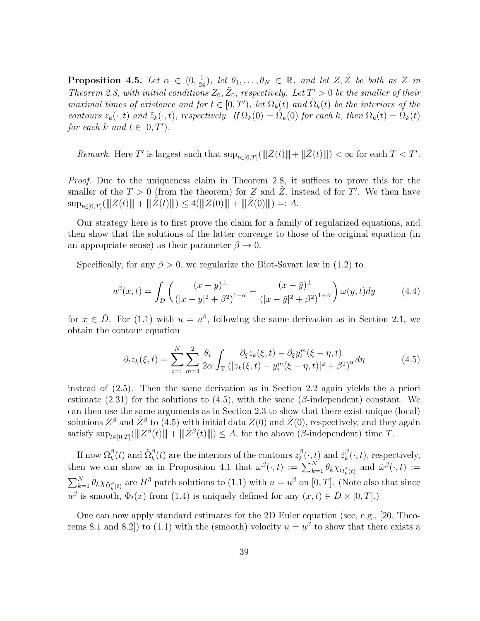**Proposition 4.5.** Let  $\alpha \in (0, \frac{1}{24})$ , let  $\theta_1, \ldots, \theta_N \in \mathbb{R}$ , and let  $Z, \tilde{Z}$  be both as Z in Theorem 2.8, with initial conditions  $Z_0$ ,  $\tilde{Z}_0$ , respectively. Let  $T' > 0$  be the smaller of their maximal times of existence and for  $t \in [0,T')$ , let  $\Omega_k(t)$  and  $\tilde{\Omega}_k(t)$  be the interiors of the contours  $z_k(\cdot, t)$  and  $\tilde{z}_k(\cdot, t)$ , respectively. If  $\Omega_k(0) = \tilde{\Omega}_k(0)$  for each k, then  $\Omega_k(t) = \tilde{\Omega}_k(t)$ for each k and  $t \in [0, T')$ .

Remark. Here T' is largest such that  $\sup_{t\in[0,T]}(\|Z(t)\|+\|\tilde{Z}(t)\|)<\infty$  for each  $T < T'$ .

Proof. Due to the uniqueness claim in Theorem 2.8, it suffices to prove this for the smaller of the  $T > 0$  (from the theorem) for Z and  $\tilde{Z}$ , instead of for T'. We then have  $\sup_{t\in[0,T]}(\|Z(t)\|+\|\tilde{Z}(t)\|)\leq 4(\|Z(0)\|+\|\tilde{Z}(0)\|)=:A.$ 

Our strategy here is to first prove the claim for a family of regularized equations, and then show that the solutions of the latter converge to those of the original equation (in an appropriate sense) as their parameter  $\beta \to 0$ .

Specifically, for any  $\beta > 0$ , we regularize the Biot-Savart law in (1.2) to

$$
u^{\beta}(x,t) = \int_{D} \left( \frac{(x-y)^{\perp}}{(|x-y|^2 + \beta^2)^{1+\alpha}} - \frac{(x-\bar{y})^{\perp}}{(|x-\bar{y}|^2 + \beta^2)^{1+\alpha}} \right) \omega(y,t) dy \tag{4.4}
$$

for  $x \in \overline{D}$ . For (1.1) with  $u = u^{\beta}$ , following the same derivation as in Section 2.1, we obtain the contour equation

$$
\partial_t z_k(\xi, t) = \sum_{i=1}^N \sum_{m=1}^2 \frac{\theta_i}{2\alpha} \int_{\mathbb{T}} \frac{\partial_\xi z_k(\xi, t) - \partial_\xi y_i^m(\xi - \eta, t)}{(|z_k(\xi, t) - y_i^m(\xi - \eta, t)|^2 + \beta^2)^{\alpha}} d\eta \tag{4.5}
$$

instead of (2.5). Then the same derivation as in Section 2.2 again yields the a priori estimate (2.31) for the solutions to (4.5), with the same ( $\beta$ -independent) constant. We can then use the same arguments as in Section 2.3 to show that there exist unique (local) solutions  $Z^{\beta}$  and  $\tilde{Z}^{\beta}$  to (4.5) with initial data  $Z(0)$  and  $\tilde{Z}(0)$ , respectively, and they again satisfy  $\sup_{t\in[0,T]} (\Vert Z^{\beta}(t) \Vert + \Vert \tilde{Z}^{\beta}(t) \Vert) \leq A$ , for the above ( $\beta$ -independent) time T.

If now  $\Omega_k^{\beta}(t)$  and  $\tilde{\Omega}_k^{\beta}(t)$  are the interiors of the contours  $z_k^{\beta}$  $\hat{z}_k^{\beta}(\cdot, t)$  and  $\tilde{z}_k^{\beta}$  $_k^{\beta}(\cdot, t)$ , respectively, then we can show as in Proposition 4.1 that  $\omega^{\beta}(\cdot,t) := \sum_{k=1}^{N} \theta_k \chi_{\Omega_k^{\beta}(t)}$  and  $\tilde{\omega}^{\beta}(\cdot,t) :=$  $\sum_{k=1}^{N} \theta_k \chi_{\tilde{\Omega}_k^{\beta}(t)}$  are  $H^3$  patch solutions to (1.1) with  $u = u^{\beta}$  on [0, T]. (Note also that since  $u^{\beta}$  is smooth,  $\Phi_t(x)$  from (1.4) is uniquely defined for any  $(x,t) \in \overline{D} \times [0,T]$ .)

One can now apply standard estimates for the 2D Euler equation (see, e.g., [20, Theorems 8.1 and 8.2) to (1.1) with the (smooth) velocity  $u = u^{\beta}$  to show that there exists a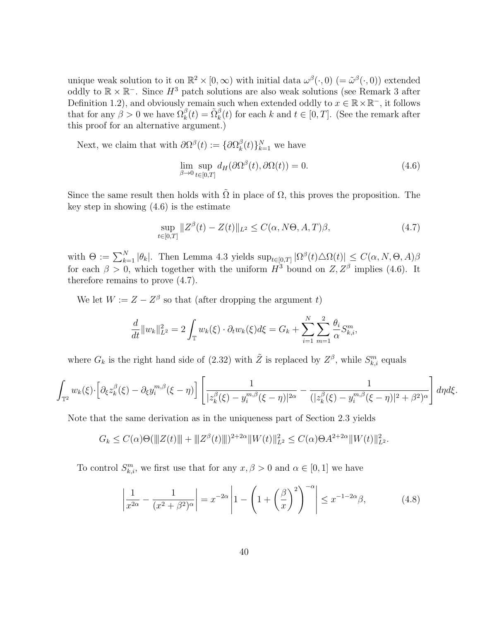unique weak solution to it on  $\mathbb{R}^2 \times [0, \infty)$  with initial data  $\omega^{\beta}(\cdot, 0)$  (=  $\tilde{\omega}^{\beta}(\cdot, 0)$ ) extended oddly to  $\mathbb{R} \times \mathbb{R}^-$ . Since  $H^3$  patch solutions are also weak solutions (see Remark 3 after Definition 1.2), and obviously remain such when extended oddly to  $x \in \mathbb{R} \times \mathbb{R}^-$ , it follows that for any  $\beta > 0$  we have  $\Omega_k^{\beta}(t) = \tilde{\Omega}_k^{\beta}(t)$  for each k and  $t \in [0, T]$ . (See the remark after this proof for an alternative argument.)

Next, we claim that with  $\partial \Omega^{\beta}(t) := \{ \partial \Omega^{\beta}_{k} \}$  $_{k}^{\beta}(t)\}_{k=1}^{N}$  we have

$$
\lim_{\beta \to 0} \sup_{t \in [0,T]} d_H(\partial \Omega^{\beta}(t), \partial \Omega(t)) = 0.
$$
\n(4.6)

Since the same result then holds with  $\tilde{\Omega}$  in place of  $\Omega$ , this proves the proposition. The key step in showing (4.6) is the estimate

$$
\sup_{t \in [0,T]} \|Z^{\beta}(t) - Z(t)\|_{L^2} \le C(\alpha, N\Theta, A, T)\beta,
$$
\n(4.7)

with  $\Theta := \sum_{k=1}^{N} |\theta_k|$ . Then Lemma 4.3 yields  $\sup_{t \in [0,T]} |\Omega^{\beta}(t) \triangle \Omega(t)| \leq C(\alpha, N, \Theta, A) \beta$ for each  $\beta > 0$ , which together with the uniform  $H^3$  bound on  $Z, Z^{\beta}$  implies (4.6). It therefore remains to prove (4.7).

We let  $W := Z - Z^{\beta}$  so that (after dropping the argument t)

$$
\frac{d}{dt}||w_k||_{L^2}^2 = 2\int_{\mathbb{T}} w_k(\xi) \cdot \partial_t w_k(\xi) d\xi = G_k + \sum_{i=1}^N \sum_{m=1}^2 \frac{\theta_i}{\alpha} S_{k,i}^m,
$$

where  $G_k$  is the right hand side of (2.32) with  $\tilde{Z}$  is replaced by  $Z^{\beta}$ , while  $S_{k,i}^m$  equals

$$
\int_{\mathbb{T}^2} w_k(\xi) \cdot \left[ \partial_{\xi} z_k^{\beta}(\xi) - \partial_{\xi} y_i^{m,\beta}(\xi - \eta) \right] \left[ \frac{1}{|z_k^{\beta}(\xi) - y_i^{m,\beta}(\xi - \eta)|^{2\alpha}} - \frac{1}{(|z_k^{\beta}(\xi) - y_i^{m,\beta}(\xi - \eta)|^2 + \beta^2)^{\alpha}} \right] d\eta d\xi.
$$

Note that the same derivation as in the uniqueness part of Section 2.3 yields

$$
G_k \leq C(\alpha)\Theta(\|Z(t)\| + \|Z^{\beta}(t)\|)^{2+2\alpha} \|W(t)\|_{L^2}^2 \leq C(\alpha)\Theta A^{2+2\alpha} \|W(t)\|_{L^2}^2.
$$

To control  $S_{k,i}^m$ , we first use that for any  $x, \beta > 0$  and  $\alpha \in [0,1]$  we have

$$
\left|\frac{1}{x^{2\alpha}} - \frac{1}{(x^2 + \beta^2)^{\alpha}}\right| = x^{-2\alpha} \left|1 - \left(1 + \left(\frac{\beta}{x}\right)^2\right)^{-\alpha}\right| \le x^{-1-2\alpha}\beta,\tag{4.8}
$$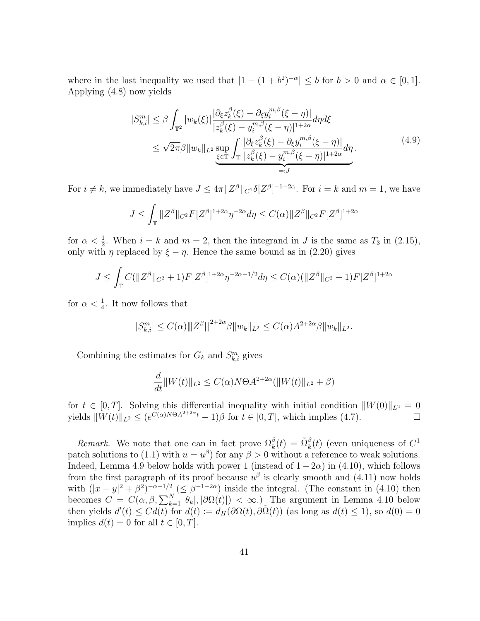where in the last inequality we used that  $|1 - (1 + b^2)^{-\alpha}| \leq b$  for  $b > 0$  and  $\alpha \in [0, 1]$ . Applying (4.8) now yields

$$
|S_{k,i}^{m}| \leq \beta \int_{\mathbb{T}^2} |w_k(\xi)| \frac{|\partial_{\xi} z_k^{\beta}(\xi) - \partial_{\xi} y_i^{m,\beta}(\xi - \eta)|}{|z_k^{\beta}(\xi) - y_i^{m,\beta}(\xi - \eta)|^{1+2\alpha}} d\eta d\xi
$$
  
 
$$
\leq \sqrt{2\pi} \beta \|w_k\|_{L^2} \sup_{\xi \in \mathbb{T}} \int_{\mathbb{T}} \frac{|\partial_{\xi} z_k^{\beta}(\xi) - \partial_{\xi} y_i^{m,\beta}(\xi - \eta)|}{|z_k^{\beta}(\xi) - y_i^{m,\beta}(\xi - \eta)|^{1+2\alpha}} d\eta.
$$
 (4.9)

For  $i \neq k$ , we immediately have  $J \leq 4\pi ||Z^{\beta}||_{C^{1}} \delta [Z^{\beta}]^{-1-2\alpha}$ . For  $i = k$  and  $m = 1$ , we have

$$
J \leq \int_{\mathbb{T}} \|Z^{\beta}\|_{C^2} F[Z^{\beta}]^{1+2\alpha} \eta^{-2\alpha} d\eta \leq C(\alpha) \|Z^{\beta}\|_{C^2} F[Z^{\beta}]^{1+2\alpha}
$$

for  $\alpha < \frac{1}{2}$ . When  $i = k$  and  $m = 2$ , then the integrand in J is the same as  $T_3$  in (2.15), only with  $\eta$  replaced by  $\xi - \eta$ . Hence the same bound as in (2.20) gives

$$
J \leq \int_{\mathbb{T}} C(||Z^{\beta}||_{C^2} + 1)F[Z^{\beta}]^{1+2\alpha}\eta^{-2\alpha - 1/2}d\eta \leq C(\alpha)(||Z^{\beta}||_{C^2} + 1)F[Z^{\beta}]^{1+2\alpha}
$$

for  $\alpha < \frac{1}{4}$ . It now follows that

$$
|S_{k,i}^m| \le C(\alpha) \|Z^{\beta}\|^{2+2\alpha} \beta \|w_k\|_{L^2} \le C(\alpha) A^{2+2\alpha} \beta \|w_k\|_{L^2}.
$$

Combining the estimates for  $G_k$  and  $S_{k,i}^m$  gives

$$
\frac{d}{dt} ||W(t)||_{L^2} \le C(\alpha) N \Theta A^{2+2\alpha} (||W(t)||_{L^2} + \beta)
$$

for  $t \in [0, T]$ . Solving this differential inequality with initial condition  $||W(0)||_{L^2} = 0$ yields  $\|W(t)\|_{L^2} \leq (e^{C(\alpha)N\Theta A^{2+2\alpha}t} - 1)\beta$  for  $t \in [0, T]$ , which implies (4.7).

Remark. We note that one can in fact prove  $\Omega_k^{\beta}(t) = \tilde{\Omega}_k^{\beta}(t)$  (even uniqueness of  $C^1$ patch solutions to (1.1) with  $u = u^{\beta}$  for any  $\beta > 0$  without a reference to weak solutions. Indeed, Lemma 4.9 below holds with power 1 (instead of  $1 - 2\alpha$ ) in (4.10), which follows from the first paragraph of its proof because  $u^{\beta}$  is clearly smooth and (4.11) now holds with  $(|x-y|^2 + \beta^2)^{-\alpha-1/2}$   $(\leq \beta^{-1-2\alpha})$  inside the integral. (The constant in (4.10) then becomes  $C = C(\alpha, \beta, \sum_{k=1}^{N} |\theta_k|, |\partial \Omega(t)|) < \infty$ . The argument in Lemma 4.10 below then yields  $d'(t) \leq Cd(t)$  for  $d(t) := d_H(\partial\Omega(t), \partial\tilde{\Omega}(t))$  (as long as  $d(t) \leq 1$ ), so  $d(0) = 0$ implies  $d(t) = 0$  for all  $t \in [0, T]$ .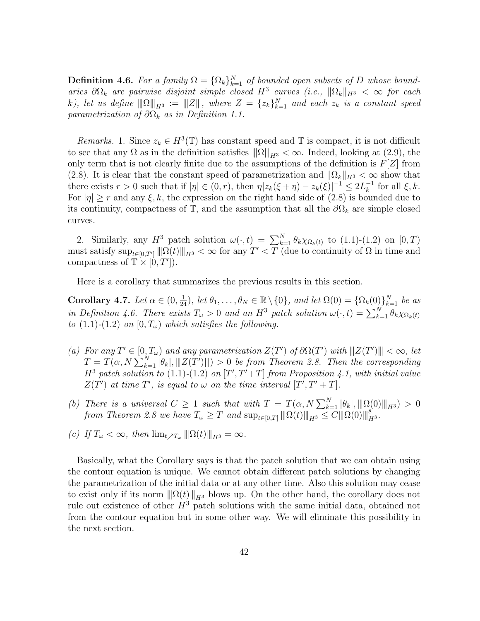**Definition 4.6.** For a family  $\Omega = {\Omega_k}_{k=1}^N$  of bounded open subsets of D whose boundaries  $\partial\Omega_k$  are pairwise disjoint simple closed  $H^3$  curves (i.e.,  $\|\Omega_k\|_{H^3} < \infty$  for each k), let us define  $||\Omega||_{H^3} := ||\mathbf{Z}||$ , where  $Z = \{z_k\}_{k=1}^N$  and each  $z_k$  is a constant speed parametrization of  $\partial\Omega_k$  as in Definition 1.1.

Remarks. 1. Since  $z_k \in H^3(\mathbb{T})$  has constant speed and  $\mathbb T$  is compact, it is not difficult to see that any  $\Omega$  as in the definition satisfies  $\|\Omega\|_{H^3} < \infty$ . Indeed, looking at (2.9), the only term that is not clearly finite due to the assumptions of the definition is  $F[Z]$  from (2.8). It is clear that the constant speed of parametrization and  $\|\Omega_k\|_{H^3} < \infty$  show that there exists  $r > 0$  such that if  $|\eta| \in (0, r)$ , then  $\eta |z_k(\xi + \eta) - z_k(\xi)|^{-1} \leq 2L_k^{-1}$  $\overline{k}^1$  for all  $\xi, k$ . For  $|\eta| \ge r$  and any  $\xi, k$ , the expression on the right hand side of (2.8) is bounded due to its continuity, compactness of  $\mathbb{T}$ , and the assumption that all the  $\partial\Omega_k$  are simple closed curves.

2. Similarly, any  $H^3$  patch solution  $\omega(\cdot, t) = \sum_{k=1}^{N} \theta_k \chi_{\Omega_k(t)}$  to  $(1.1)-(1.2)$  on  $[0, T)$ must satisfy  $\sup_{t\in[0,T']}\| \Omega(t)\|_{H^3}<\infty$  for any  $T' (due to continuity of  $\Omega$  in time and$ compactness of  $\mathbb{T} \times [0, T']$ .

Here is a corollary that summarizes the previous results in this section.

Corollary 4.7. Let  $\alpha \in (0, \frac{1}{24})$ , let  $\theta_1, \ldots, \theta_N \in \mathbb{R} \setminus \{0\}$ , and let  $\Omega(0) = \{\Omega_k(0)\}_{k=1}^N$  be as in Definition 4.6. There exists  $T_{\omega} > 0$  and an  $H^3$  patch solution  $\omega(\cdot, t) = \sum_{k=1}^{N} \theta_k \chi_{\Omega_k(t)}$ to  $(1.1)$ - $(1.2)$  on  $[0, T_{\omega})$  which satisfies the following.

- (a) For any  $T' \in [0, T_{\omega})$  and any parametrization  $Z(T')$  of  $\partial \Omega(T')$  with  $||Z(T')|| < \infty$ , let  $T = T(\alpha, N \sum_{k=1}^{N} |\theta_k|, |||Z(T')||) > 0$  be from Theorem 2.8. Then the corresponding  $H^3$  patch solution to (1.1)-(1.2) on  $[T', T'+T]$  from Proposition 4.1, with initial value  $Z(T')$  at time T', is equal to  $\omega$  on the time interval  $[T', T' + T]$ .
- (b) There is a universal  $C \geq 1$  such that with  $T = T(\alpha, N \sum_{k=1}^{N} |\theta_k|, \|\|\Omega(0)\|_{H^{3}}) > 0$ from Theorem 2.8 we have  $T_{\omega} \geq T$  and  $\sup_{t \in [0,T]} ||\|\Omega(t)\||_{H^3} \leq C ||\|\Omega(0)\||_{H^3}^8$ .
- (c) If  $T_{\omega} < \infty$ , then  $\lim_{t \nearrow T_{\omega}} ||\Omega(t)||_{H^3} = \infty$ .

Basically, what the Corollary says is that the patch solution that we can obtain using the contour equation is unique. We cannot obtain different patch solutions by changing the parametrization of the initial data or at any other time. Also this solution may cease to exist only if its norm  $\|\Omega(t)\|_{H^3}$  blows up. On the other hand, the corollary does not rule out existence of other  $H^3$  patch solutions with the same initial data, obtained not from the contour equation but in some other way. We will eliminate this possibility in the next section.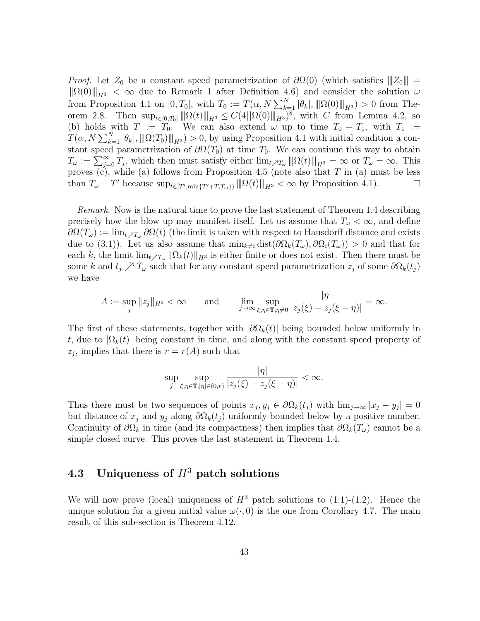*Proof.* Let  $Z_0$  be a constant speed parametrization of  $\partial\Omega(0)$  (which satisfies  $||Z_0||$  =  $\|\Omega(0)\|_{H^3} < \infty$  due to Remark 1 after Definition 4.6) and consider the solution  $\omega$ from Proposition 4.1 on  $[0, T_0]$ , with  $T_0 := T(\alpha, N \sum_{k=1}^N |\theta_k|, ||\Omega(0)||_{H^3}) > 0$  from Theorem 2.8. Then  $\sup_{t\in[0,T_0]}\|\Omega(t)\|_{H^3}\leq C(4\|\Omega(0)\|_{H^3})^8$ , with C from Lemma 4.2, so (b) holds with  $T := T_0$ . We can also extend  $\omega$  up to time  $T_0 + T_1$ , with  $T_1 :=$  $T(\alpha, N \sum_{k=1}^{N} |\theta_k|, ||\Omega(T_0)||_{H^3}) > 0$ , by using Proposition 4.1 with initial condition a constant speed parametrization of  $\partial\Omega(T_0)$  at time  $T_0$ . We can continue this way to obtain  $T_{\omega} := \sum_{j=0}^{\infty} T_j$ , which then must satisfy either  $\lim_{t \nearrow T_{\omega}} ||\Omega(t)||_{H^3} = \infty$  or  $T_{\omega} = \infty$ . This proves  $(c)$ , while  $(a)$  follows from Proposition 4.5 (note also that T in  $(a)$  must be less than  $T_{\omega} - T'$  because  $\sup_{t \in [T',\min\{T'+T,T_{\omega}\})} ||\Omega(t)||_{H^3} < \infty$  by Proposition 4.1).  $\Box$ 

Remark. Now is the natural time to prove the last statement of Theorem 1.4 describing precisely how the blow up may manifest itself. Let us assume that  $T_{\omega} < \infty$ , and define  $\partial\Omega(T_\omega) := \lim_{t \to T_\omega} \partial\Omega(t)$  (the limit is taken with respect to Hausdorff distance and exists due to (3.1)). Let us also assume that  $\min_{k\neq i} \text{dist}(\partial \Omega_k(T_\omega), \partial \Omega_i(T_\omega)) > 0$  and that for each k, the limit  $\lim_{t \to T_\omega} ||\Omega_k(t)||_{H^3}$  is either finite or does not exist. Then there must be some k and  $t_j \nearrow T_\omega$  such that for any constant speed parametrization  $z_j$  of some  $\partial \Omega_k(t_j)$ we have

$$
A := \sup_j \|z_j\|_{H^3} < \infty \qquad \text{and} \qquad \lim_{j \to \infty} \sup_{\xi, \eta \in \mathbb{T}, \eta \neq 0} \frac{|\eta|}{|z_j(\xi) - z_j(\xi - \eta)|} = \infty.
$$

The first of these statements, together with  $|\partial \Omega_k(t)|$  being bounded below uniformly in t, due to  $|\Omega_k(t)|$  being constant in time, and along with the constant speed property of  $z_j$ , implies that there is  $r = r(A)$  such that

$$
\sup_{j} \sup_{\xi,\eta \in \mathbb{T}, |\eta| \in (0,r)} \frac{|\eta|}{|z_j(\xi) - z_j(\xi - \eta)|} < \infty.
$$

Thus there must be two sequences of points  $x_j, y_j \in \partial \Omega_k(t_j)$  with  $\lim_{j\to\infty} |x_j - y_j| = 0$ but distance of  $x_j$  and  $y_j$  along  $\partial \Omega_k(t_j)$  uniformly bounded below by a positive number. Continuity of  $\partial\Omega_k$  in time (and its compactness) then implies that  $\partial\Omega_k(T_\omega)$  cannot be a simple closed curve. This proves the last statement in Theorem 1.4.

## 4.3 Uniqueness of  $H^3$  patch solutions

We will now prove (local) uniqueness of  $H^3$  patch solutions to (1.1)-(1.2). Hence the unique solution for a given initial value  $\omega(\cdot, 0)$  is the one from Corollary 4.7. The main result of this sub-section is Theorem 4.12.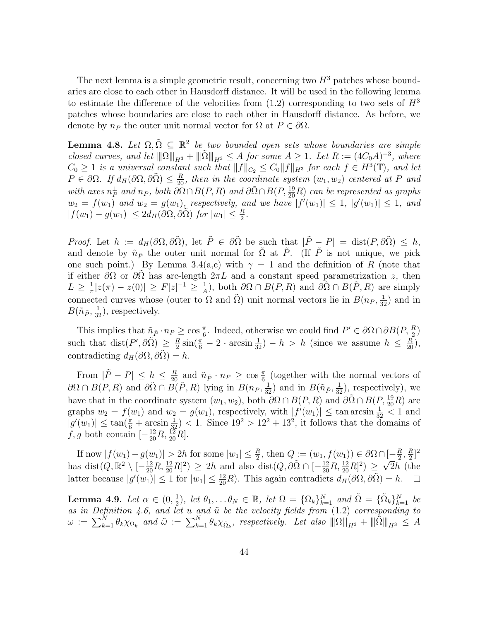The next lemma is a simple geometric result, concerning two  $H^3$  patches whose boundaries are close to each other in Hausdorff distance. It will be used in the following lemma to estimate the difference of the velocities from  $(1.2)$  corresponding to two sets of  $H^3$ patches whose boundaries are close to each other in Hausdorff distance. As before, we denote by  $n_P$  the outer unit normal vector for  $\Omega$  at  $P \in \partial \Omega$ .

**Lemma 4.8.** Let  $\Omega, \tilde{\Omega} \subseteq \mathbb{R}^2$  be two bounded open sets whose boundaries are simple closed curves, and let  $\|\Omega\|_{H^3} + \|\tilde{\Omega}\|_{H^3} \leq A$  for some  $A \geq 1$ . Let  $R := (4C_0A)^{-3}$ , where  $C_0 \geq 1$  is a universal constant such that  $||f||_{C_2} \leq C_0 ||f||_{H^3}$  for each  $f \in H^3(\mathbb{T})$ , and let  $P \in \partial\Omega$ . If  $d_H(\partial\Omega, \partial\tilde{\Omega}) \leq \frac{R}{20}$ , then in the coordinate system  $(w_1, w_2)$  centered at P and with axes  $n_P^{\perp}$  and  $n_P$ , both  $\partial \Omega \cap B(P, R)$  and  $\partial \tilde{\Omega} \cap B(P, \frac{19}{20}R)$  can be represented as graphs  $w_2 = f(w_1)$  and  $w_2 = g(w_1)$ , respectively, and we have  $|f'(w_1)| \leq 1$ ,  $|g'(w_1)| \leq 1$ , and  $|f(w_1) - g(w_1)| \leq 2d_H(\partial\Omega, \partial\tilde{\Omega})$  for  $|w_1| \leq \frac{R}{2}$ .

*Proof.* Let  $h := d_H(\partial\Omega, \partial\tilde{\Omega})$ , let  $\tilde{P} \in \partial\tilde{\Omega}$  be such that  $|\tilde{P} - P| = \text{dist}(P, \partial\tilde{\Omega}) \leq h$ , and denote by  $\tilde{n}_{\tilde{P}}$  the outer unit normal for  $\tilde{\Omega}$  at  $\tilde{P}$ . (If  $\tilde{P}$  is not unique, we pick one such point.) By Lemma 3.4(a,c) with  $\gamma = 1$  and the definition of R (note that if either  $\partial\Omega$  or  $\partial\Omega$  has arc-length  $2\pi L$  and a constant speed parametrization z, then  $L \geq \frac{1}{\pi}$  $\frac{1}{\pi} |z(\pi) - z(0)| \geq F[z]^{-1} \geq \frac{1}{A}$  $\frac{1}{A}$ ), both  $\partial\Omega \cap B(P, R)$  and  $\partial\tilde{\Omega} \cap B(\tilde{P}, R)$  are simply connected curves whose (outer to  $\Omega$  and  $\tilde{\Omega}$ ) unit normal vectors lie in  $B(n_P, \frac{1}{32})$  and in  $B(\tilde{n}_{\tilde{P}}, \frac{1}{32}),$  respectively.

This implies that  $\tilde{n}_{\tilde{P}} \cdot n_P \ge \cos \frac{\pi}{6}$ . Indeed, otherwise we could find  $P' \in \partial \Omega \cap \partial B(P, \frac{R}{2})$ such that  $dist(P',\partial \tilde{\Omega}) \geq \frac{R}{2}$  $\frac{R}{2}\sin(\frac{\pi}{6}-2\cdot\arcsin\frac{1}{32})-h > h$  (since we assume  $h \leq \frac{R}{20}$ ), contradicting  $d_H(\partial\Omega, \partial\tilde{\Omega}) = h$ .

From  $|\tilde{P} - P| \leq h \leq \frac{R}{20}$  and  $\tilde{n}_{\tilde{P}} \cdot n_P \geq \cos \frac{\pi}{6}$  (together with the normal vectors of  $\partial\Omega \cap B(P,R)$  and  $\partial\tilde{\Omega} \cap \tilde{B(P,R)}$  lying in  $B(n_P, \frac{1}{32})$  and in  $B(\tilde{n}_{\tilde{P}}, \frac{1}{32})$ , respectively), we have that in the coordinate system  $(w_1, w_2)$ , both  $\partial\Omega \cap B(P, R)$  and  $\partial\tilde{\Omega} \cap B(P, \frac{19}{20}R)$  are graphs  $w_2 = f(w_1)$  and  $w_2 = g(w_1)$ , respectively, with  $|f'(w_1)| \leq \tan \arcsin \frac{1}{32} < 1$  and  $|g'(w_1)| \leq \tan(\frac{\pi}{6} + \arcsin(\frac{1}{32})) < 1$ . Since  $19^2 > 12^2 + 13^2$ , it follows that the domains of f, g both contain  $\left[-\frac{12}{20}R, \frac{12}{20}R\right]$ .

If now  $|f(w_1) - g(w_1)| > 2h$  for some  $|w_1| \leq \frac{R}{2}$ , then  $Q := (w_1, f(w_1)) \in \partial\Omega \cap [-\frac{R}{2}]$  $\frac{R}{2}$ ,  $\frac{R}{2}$  $\big[-\frac{R}{2},\frac{R}{2}\big]^{2}$ has  $dist(Q, \mathbb{R}^2 \setminus [-\frac{12}{20}R, \frac{12}{20}R]^2) \ge 2h$  and also  $dist(Q, \partial \tilde{\Omega} \cap [-\frac{12}{20}R, \frac{12}{20}R]^2) \ge \sqrt{2}h$  (the latter because  $|g'(w_1)| \leq 1$  for  $|w_1| \leq \frac{12}{20}R$ . This again contradicts  $d_H(\partial\Omega, \partial\tilde{\Omega}) = h$ .

Lemma 4.9. Let  $\alpha \in (0, \frac{1}{2})$  $\frac{1}{2}$ , let  $\theta_1, \ldots \theta_N \in \mathbb{R}$ , let  $\Omega = {\Omega_k}_{k=1}^N$  and  $\tilde{\Omega} = {\tilde{\Omega_k}}_{k=1}^N$  be as in Definition 4.6, and let u and  $\tilde{u}$  be the velocity fields from  $(1.2)$  corresponding to  $\omega \ := \ \sum_{k=1}^N \theta_k \chi_{\Omega_k} \ \ and \ \tilde{\omega} \ := \ \sum_{k=1}^N \theta_k \chi_{\tilde{\Omega}_k} \text{, } \ \ respectively. \ \ Let \ also \ \left\| \Omega \right\|_{H^3} + \|\tilde{\Omega} \|_{H^3} \ \le \ A$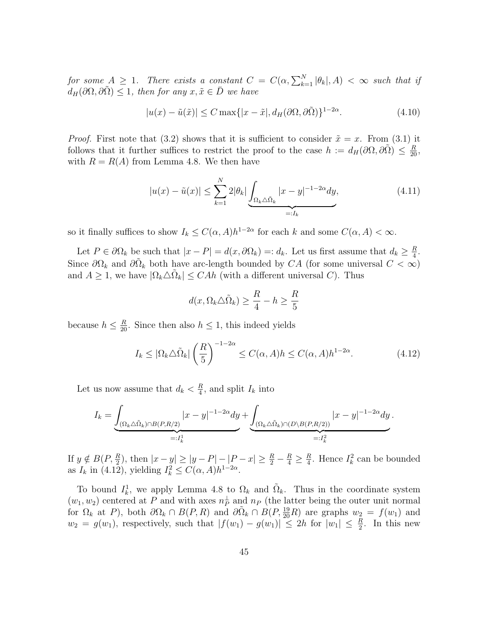for some  $A \geq 1$ . There exists a constant  $C = C(\alpha, \sum_{k=1}^{N} |\theta_k|, A) < \infty$  such that if  $d_H(\partial\Omega,\partial\Omega) \leq 1$ , then for any  $x,\tilde{x} \in \overline{D}$  we have

$$
|u(x) - \tilde{u}(\tilde{x})| \le C \max\{|x - \tilde{x}|, d_H(\partial \Omega, \partial \tilde{\Omega})\}^{1 - 2\alpha}.
$$
\n(4.10)

*Proof.* First note that (3.2) shows that it is sufficient to consider  $\tilde{x} = x$ . From (3.1) it follows that it further suffices to restrict the proof to the case  $h := d_H(\partial\Omega, \partial\tilde{\Omega}) \leq \frac{R}{20}$ , with  $R = R(A)$  from Lemma 4.8. We then have

$$
|u(x) - \tilde{u}(x)| \le \sum_{k=1}^{N} 2|\theta_k| \underbrace{\int_{\Omega_k \triangle \tilde{\Omega}_k} |x - y|^{-1 - 2\alpha} dy}_{=:I_k},\tag{4.11}
$$

so it finally suffices to show  $I_k \leq C(\alpha, A)h^{1-2\alpha}$  for each k and some  $C(\alpha, A) < \infty$ .

Let  $P \in \partial \Omega_k$  be such that  $|x - P| = d(x, \partial \Omega_k) = d_k$ . Let us first assume that  $d_k \geq \frac{R}{4}$  $\frac{R}{4}$ . Since  $\partial\Omega_k$  and  $\partial\tilde{\Omega}_k$  both have arc-length bounded by CA (for some universal  $C < \infty$ ) and  $A \geq 1$ , we have  $|\Omega_k \triangle \tilde{\Omega}_k| \leq CAh$  (with a different universal C). Thus

$$
d(x, \Omega_k \triangle \tilde{\Omega}_k) \ge \frac{R}{4} - h \ge \frac{R}{5}
$$

because  $h \leq \frac{R}{20}$ . Since then also  $h \leq 1$ , this indeed yields

$$
I_k \le |\Omega_k \triangle \tilde{\Omega}_k| \left(\frac{R}{5}\right)^{-1-2\alpha} \le C(\alpha, A)h \le C(\alpha, A)h^{1-2\alpha}.
$$
 (4.12)

Let us now assume that  $d_k < \frac{R}{4}$  $\frac{R}{4}$ , and split  $I_k$  into

$$
I_k = \underbrace{\int_{(\Omega_k \triangle \tilde{\Omega}_k) \cap B(P,R/2)} |x - y|^{-1 - 2\alpha} dy}_{=:I_k^1} + \underbrace{\int_{(\Omega_k \triangle \tilde{\Omega}_k) \cap (D \setminus B(P,R/2))} |x - y|^{-1 - 2\alpha} dy}_{=:I_k^2}.
$$

If  $y \notin B(P, \frac{R}{2})$ , then  $|x - y| \ge |y - P| - |P - x| \ge \frac{R}{2} - \frac{R}{4} \ge \frac{R}{4}$  $\frac{R}{4}$ . Hence  $I_k^2$  can be bounded as  $I_k$  in (4.12), yielding  $I_k^2 \leq C(\alpha, A)h^{1-2\alpha}$ .

To bound  $I_k^1$ , we apply Lemma 4.8 to  $\Omega_k$  and  $\tilde{\Omega}_k$ . Thus in the coordinate system  $(w_1, w_2)$  centered at P and with axes  $n_P^{\perp}$  and  $n_P$  (the latter being the outer unit normal for  $\Omega_k$  at P), both  $\partial \Omega_k \cap B(P, R)$  and  $\partial \tilde{\Omega}_k \cap B(P, \frac{19}{20}R)$  are graphs  $w_2 = f(w_1)$  and  $w_2 = g(w_1)$ , respectively, such that  $|f(w_1) - g(w_1)| \leq 2h$  for  $|w_1| \leq \frac{R}{2}$ . In this new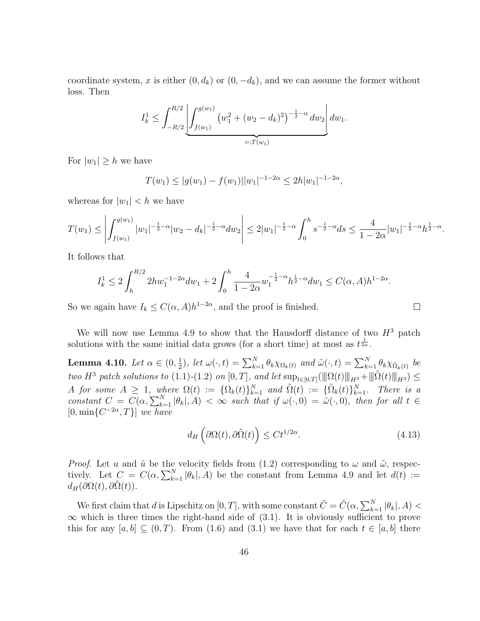coordinate system, x is either  $(0, d_k)$  or  $(0, -d_k)$ , and we can assume the former without loss. Then

$$
I_k^1 \leq \int_{-R/2}^{R/2} \left| \int_{f(w_1)}^{g(w_1)} \left( w_1^2 + (w_2 - d_k)^2 \right)^{-\frac{1}{2} - \alpha} dw_2 \right| dw_1.
$$

For  $|w_1| \geq h$  we have

$$
T(w_1) \le |g(w_1) - f(w_1)||w_1|^{-1-2\alpha} \le 2h|w_1|^{-1-2\alpha},
$$

whereas for  $|w_1| < h$  we have

$$
T(w_1) \le \left| \int_{f(w_1)}^{g(w_1)} |w_1|^{-\frac{1}{2}-\alpha} |w_2 - d_k|^{-\frac{1}{2}-\alpha} dw_2 \right| \le 2|w_1|^{-\frac{1}{2}-\alpha} \int_0^h s^{-\frac{1}{2}-\alpha} ds \le \frac{4}{1-2\alpha} |w_1|^{-\frac{1}{2}-\alpha} h^{\frac{1}{2}-\alpha}.
$$

It follows that

$$
I_k^1 \le 2 \int_h^{R/2} 2hw_1^{-1-2\alpha} dw_1 + 2 \int_0^h \frac{4}{1-2\alpha} w_1^{-\frac{1}{2}-\alpha} h^{\frac{1}{2}-\alpha} dw_1 \le C(\alpha, A) h^{1-2\alpha}.
$$

So we again have  $I_k \leq C(\alpha, A)h^{1-2\alpha}$ , and the proof is finished.

We will now use Lemma 4.9 to show that the Hausdorff distance of two  $H^3$  patch solutions with the same initial data grows (for a short time) at most as  $t^{\frac{1}{2\alpha}}$ .

Lemma 4.10. Let  $\alpha \in (0, \frac{1}{2})$  $(\frac{1}{2})$ , let  $\omega(\cdot,t) = \sum_{k=1}^{N} \theta_k \chi_{\Omega_k(t)}$  and  $\tilde{\omega}(\cdot,t) = \sum_{k=1}^{N} \theta_k \chi_{\tilde{\Omega}_k(t)}$  be two H<sup>3</sup> patch solutions to (1.1)-(1.2) on [0, T], and let  $\sup_{t\in[0,T]} (\|\Omega(t)\|_{H^3} + \|\tilde{\Omega}(t)\|_{H^3}) \leq$ A for some  $A \geq 1$ , where  $\Omega(t) := {\Omega_k(t)}_{k=1}^N$  and  $\tilde{\Omega}(t) := {\tilde{\Omega_k}(t)}_{k=1}^N$ . There is a constant  $C = C(\alpha, \sum_{k=1}^{N} |\theta_k|, A) < \infty$  such that if  $\omega(\cdot, 0) = \tilde{\omega}(\cdot, 0)$ , then for all  $t \in$  $[0, \min\{C^{-2\alpha}, T\}]$  we have

$$
d_H\left(\partial\Omega(t),\partial\tilde{\Omega}(t)\right) \le Ct^{1/2\alpha}.\tag{4.13}
$$

 $\Box$ 

*Proof.* Let u and  $\tilde{u}$  be the velocity fields from (1.2) corresponding to  $\omega$  and  $\tilde{\omega}$ , respectively. Let  $C = C(\alpha, \sum_{k=1}^{N} |\theta_k|, A)$  be the constant from Lemma 4.9 and let  $d(t) :=$  $d_H(\partial\Omega(t),\partial\Omega(t)).$ 

We first claim that d is Lipschitz on  $[0, T]$ , with some constant  $\tilde{C} = \tilde{C}(\alpha, \sum_{k=1}^{N} |\theta_k|, A)$  $\infty$  which is three times the right-hand side of (3.1). It is obviously sufficient to prove this for any  $[a, b] \subseteq (0, T)$ . From (1.6) and (3.1) we have that for each  $t \in [a, b]$  there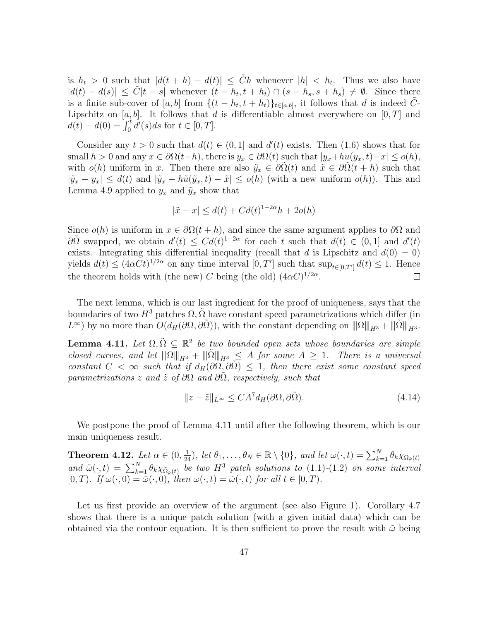is  $h_t > 0$  such that  $|d(t+h) - d(t)| \leq \tilde{C}h$  whenever  $|h| < h_t$ . Thus we also have  $|d(t) - d(s)| \leq \tilde{C}|t - s|$  whenever  $(t - h_t, t + h_t) \cap (s - h_s, s + h_s) \neq \emptyset$ . Since there is a finite sub-cover of [a, b] from  $\{(t-h_t,t+h_t)\}_{t\in[a,b]}$ , it follows that d is indeed  $\tilde{C}$ -Lipschitz on  $[a, b]$ . It follows that d is differentiable almost everywhere on  $[0, T]$  and  $d(t) - d(0) = \int_0^t d'(s)ds$  for  $t \in [0, T]$ .

Consider any  $t > 0$  such that  $d(t) \in (0, 1]$  and  $d'(t)$  exists. Then (1.6) shows that for small  $h > 0$  and any  $x \in \partial \Omega(t+h)$ , there is  $y_x \in \partial \Omega(t)$  such that  $|y_x + hu(y_x, t) - x| \le o(h)$ , with  $o(h)$  uniform in x. Then there are also  $\tilde{y}_x \in \partial \Omega(t)$  and  $\tilde{x} \in \partial \Omega(t+h)$  such that  $|\tilde{y}_x - y_x| \leq d(t)$  and  $|\tilde{y}_x + h\tilde{u}(\tilde{y}_x, t) - \tilde{x}| \leq o(h)$  (with a new uniform  $o(h)$ ). This and Lemma 4.9 applied to  $y_x$  and  $\tilde{y}_x$  show that

$$
|\tilde{x} - x| \le d(t) + C d(t)^{1 - 2\alpha} h + 2o(h)
$$

Since  $o(h)$  is uniform in  $x \in \partial \Omega(t+h)$ , and since the same argument applies to  $\partial \Omega$  and  $\partial \tilde{\Omega}$  swapped, we obtain  $d'(t) \leq C d(t)^{1-2\alpha}$  for each t such that  $d(t) \in (0,1]$  and  $d'(t)$ exists. Integrating this differential inequality (recall that d is Lipschitz and  $d(0) = 0$ ) yields  $d(t) \leq (4\alpha C t)^{1/2\alpha}$  on any time interval  $[0, T']$  such that  $\sup_{t \in [0, T']} d(t) \leq 1$ . Hence the theorem holds with (the new) C being (the old)  $(4\alpha C)^{1/2\alpha}$ .  $\Box$ 

The next lemma, which is our last ingredient for the proof of uniqueness, says that the boundaries of two  $H^3$  patches  $\Omega$ ,  $\Omega$  have constant speed parametrizations which differ (in  $L^{\infty}$ ) by no more than  $O(d_H(\partial\Omega, \partial\tilde{\Omega}))$ , with the constant depending on  $\|\Omega\|_{H^3} + \|\tilde{\Omega}\|_{H^3}$ .

**Lemma 4.11.** Let  $\Omega, \tilde{\Omega} \subseteq \mathbb{R}^2$  be two bounded open sets whose boundaries are simple closed curves, and let  $||\| \Omega ||_{H^3} + ||\tilde{\|} \tilde{\|} ||_{H^3} \leq A$  for some  $A \geq 1$ . There is a universal constant  $C < \infty$  such that if  $d_H(\partial \Omega, \partial \tilde{\Omega}) \leq 1$ , then there exist some constant speed parametrizations z and  $\tilde{z}$  of  $\partial\Omega$  and  $\partial\Omega$ , respectively, such that

$$
||z - \tilde{z}||_{L^{\infty}} \le CA^{7} d_{H}(\partial \Omega, \partial \tilde{\Omega}). \tag{4.14}
$$

We postpone the proof of Lemma 4.11 until after the following theorem, which is our main uniqueness result.

**Theorem 4.12.** Let  $\alpha \in (0, \frac{1}{24})$ , let  $\theta_1, \ldots, \theta_N \in \mathbb{R} \setminus \{0\}$ , and let  $\omega(\cdot, t) = \sum_{k=1}^N \theta_k \chi_{\Omega_k(t)}$ and  $\tilde{\omega}(\cdot,t) = \sum_{k=1}^{N} \theta_k \chi_{\tilde{\Omega}_k(t)}$  be two  $H^3$  patch solutions to (1.1)-(1.2) on some interval  $[0, T)$ . If  $\omega(\cdot, 0) = \tilde{\omega}(\cdot, 0)$ , then  $\omega(\cdot, t) = \tilde{\omega}(\cdot, t)$  for all  $t \in [0, T)$ .

Let us first provide an overview of the argument (see also Figure 1). Corollary 4.7 shows that there is a unique patch solution (with a given initial data) which can be obtained via the contour equation. It is then sufficient to prove the result with  $\tilde{\omega}$  being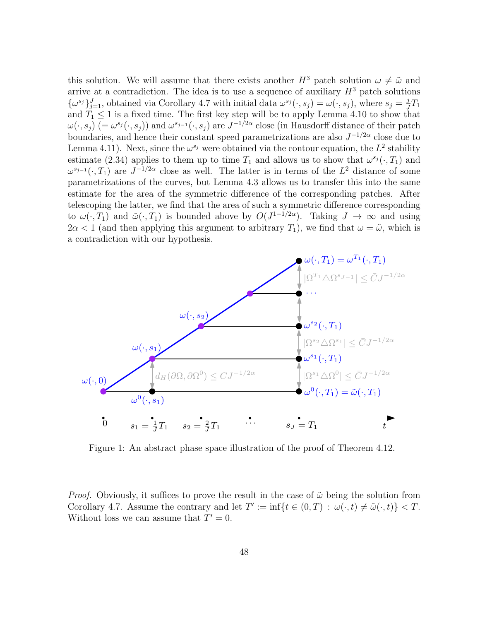this solution. We will assume that there exists another  $H^3$  patch solution  $\omega \neq \tilde{\omega}$  and arrive at a contradiction. The idea is to use a sequence of auxiliary  $H^3$  patch solutions  $\{\omega^{s_j}\}_{j=1}^J$ , obtained via Corollary 4.7 with initial data  $\omega^{s_j}(\cdot, s_j) = \omega(\cdot, s_j)$ , where  $s_j = \frac{j}{J}$  $\frac{j}{J}T_1$ and  $\tilde{T}_1 \leq 1$  is a fixed time. The first key step will be to apply Lemma 4.10 to show that  $\omega(\cdot,s_j)$   $(=\omega^{s_j}(\cdot,s_j))$  and  $\omega^{s_{j-1}}(\cdot,s_j)$  are  $J^{-1/2\alpha}$  close (in Hausdorff distance of their patch boundaries, and hence their constant speed parametrizations are also  $J^{-1/2\alpha}$  close due to Lemma 4.11). Next, since the  $\omega^{s_j}$  were obtained via the contour equation, the  $L^2$  stability estimate (2.34) applies to them up to time  $T_1$  and allows us to show that  $\omega^{s_j}(\cdot, T_1)$  and  $\omega^{s_{j-1}}(\cdot,T_1)$  are  $J^{-1/2\alpha}$  close as well. The latter is in terms of the  $L^2$  distance of some parametrizations of the curves, but Lemma 4.3 allows us to transfer this into the same estimate for the area of the symmetric difference of the corresponding patches. After telescoping the latter, we find that the area of such a symmetric difference corresponding to  $\omega(\cdot,T_1)$  and  $\tilde{\omega}(\cdot,T_1)$  is bounded above by  $O(J^{1-1/2\alpha})$ . Taking  $J \to \infty$  and using  $2\alpha < 1$  (and then applying this argument to arbitrary  $T_1$ ), we find that  $\omega = \tilde{\omega}$ , which is a contradiction with our hypothesis.



Figure 1: An abstract phase space illustration of the proof of Theorem 4.12.

*Proof.* Obviously, it suffices to prove the result in the case of  $\tilde{\omega}$  being the solution from Corollary 4.7. Assume the contrary and let  $T' := \inf\{t \in (0,T) : \omega(\cdot,t) \neq \tilde{\omega}(\cdot,t)\} < T$ . Without loss we can assume that  $T' = 0$ .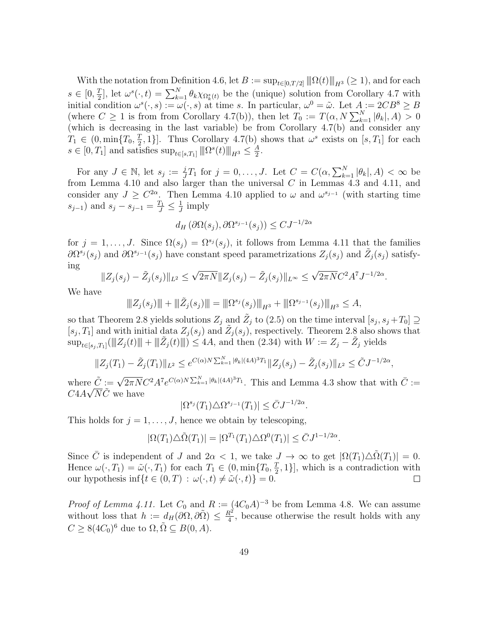With the notation from Definition 4.6, let  $B := \sup_{t \in [0,T/2]} ||\|\Omega(t)\||_{H^3} \geq 1$ , and for each  $s \in [0, \frac{7}{2}]$  $\frac{T}{2}$ , let  $\omega^s(\cdot, t) = \sum_{k=1}^N \theta_k \chi_{\Omega_k^s(t)}$  be the (unique) solution from Corollary 4.7 with initial condition  $\omega^s(\cdot,s) := \omega(\cdot,s)$  at time s. In particular,  $\omega^0 = \tilde{\omega}$ . Let  $A := 2CB^8 \geq B$ (where  $C \ge 1$  is from from Corollary 4.7(b)), then let  $T_0 := T(\alpha, N \sum_{k=1}^N |\theta_k|, A) > 0$ (which is decreasing in the last variable) be from Corollary 4.7(b) and consider any  $T_1 \in (0, \min\{T_0, \frac{T}{2})\}$  $\left[\frac{T}{2},1\right]$ . Thus Corollary 4.7(b) shows that  $\omega^s$  exists on  $[s,T_1]$  for each  $s \in [0, T_1]$  and satisfies  $\sup_{t \in [s,T_1]} ||| \Omega^s(t) ||_{H^3} \leq \frac{A}{2}$  $\frac{A}{2}$ .

For any  $J \in \mathbb{N}$ , let  $s_j := \frac{j}{J}$  $\frac{j}{J}T_1$  for  $j = 0, \ldots, J$ . Let  $C = C(\alpha, \sum_{k=1}^{N} |\theta_k|, A) < \infty$  be from Lemma 4.10 and also larger than the universal  $C$  in Lemmas 4.3 and 4.11, and consider any  $J \geq C^{2\alpha}$ . Then Lemma 4.10 applied to  $\omega$  and  $\omega^{s_{j-1}}$  (with starting time  $(s_{j-1})$  and  $s_j - s_{j-1} = \frac{T_1}{J} \le \frac{1}{J}$  $\frac{1}{J}$  imply

$$
d_H\left(\partial\Omega(s_j),\partial\Omega^{s_{j-1}}(s_j)\right) \leq CJ^{-1/2\alpha}
$$

for  $j = 1, \ldots, J$ . Since  $\Omega(s_j) = \Omega^{s_j}(s_j)$ , it follows from Lemma 4.11 that the families  $\partial \Omega^{s_j}(s_j)$  and  $\partial \Omega^{s_{j-1}}(s_j)$  have constant speed parametrizations  $Z_j(s_j)$  and  $\tilde{Z}_j(s_j)$  satisfying √ √

$$
||Z_j(s_j) - \tilde{Z}_j(s_j)||_{L^2} \le \sqrt{2\pi N} ||Z_j(s_j) - \tilde{Z}_j(s_j)||_{L^\infty} \le \sqrt{2\pi N} C^2 A^7 J^{-1/2\alpha}.
$$

We have

$$
|||Z_j(s_j)|| + |||Z_j(s_j)|| = |||S^{s_j}(s_j)||_{H^3} + |||S^{s_{j-1}}(s_j)||_{H^3} \le A,
$$

so that Theorem 2.8 yields solutions  $Z_j$  and  $\tilde{Z}_j$  to (2.5) on the time interval  $[s_j, s_j + T_0] \supseteq$  $[s_j, T_1]$  and with initial data  $Z_j(s_j)$  and  $\tilde{Z}_j(s_j)$ , respectively. Theorem 2.8 also shows that  $\sup_{t\in[s_j,T_1]}(\|Z_j(t)\|+\|\tilde{Z}_j(t)\|)\leq 4A$ , and then  $(2.34)$  with  $W:=Z_j-\tilde{Z}_j$  yields

$$
||Z_j(T_1) - \tilde{Z}_j(T_1)||_{L^2} \le e^{C(\alpha)N\sum_{k=1}^N |\theta_k|(4A)^3 T_1} ||Z_j(s_j) - \tilde{Z}_j(s_j)||_{L^2} \le \tilde{C} J^{-1/2\alpha},
$$

where  $\tilde{C} := \sqrt{2\pi N} C^2 A^7 e^{C(\alpha)N \sum_{k=1}^{N} |\theta_k|(4A)^3 T_1}$ . This and Lemma 4.3 show that with  $\overline{C} :=$  $C4A\sqrt{N}\tilde{C}$  we have

$$
|\Omega^{s_j}(T_1)\triangle \Omega^{s_{j-1}}(T_1)| \leq \bar{C} J^{-1/2\alpha}.
$$

This holds for  $j = 1, \ldots, J$ , hence we obtain by telescoping,

$$
|\Omega(T_1)\triangle\tilde{\Omega}(T_1)| = |\Omega^{T_1}(T_1)\triangle\Omega^0(T_1)| \leq \bar{C}J^{1-1/2\alpha}.
$$

Since  $\overline{C}$  is independent of J and  $2\alpha < 1$ , we take  $J \to \infty$  to get  $|\Omega(T_1)\triangle \tilde{\Omega}(T_1)| = 0$ . Hence  $\omega(\cdot, T_1) = \tilde{\omega}(\cdot, T_1)$  for each  $T_1 \in (0, \min\{T_0, \frac{T_1}{2})$  $\left[\frac{T}{2},1\right]$ , which is a contradiction with our hypothesis inf $\{t \in (0, T) : \omega(\cdot, t) \neq \tilde{\omega}(\cdot, t)\} = 0.$  $\Box$ 

*Proof of Lemma 4.11.* Let  $C_0$  and  $R := (4C_0A)^{-3}$  be from Lemma 4.8. We can assume without loss that  $h := d_H(\partial\Omega, \partial\tilde{\Omega}) \leq \frac{R^2}{4}$  $\frac{\mathcal{U}}{4}$ , because otherwise the result holds with any  $C \geq 8(4C_0)^6$  due to  $\Omega, \tilde{\Omega} \subseteq B(0, A)$ .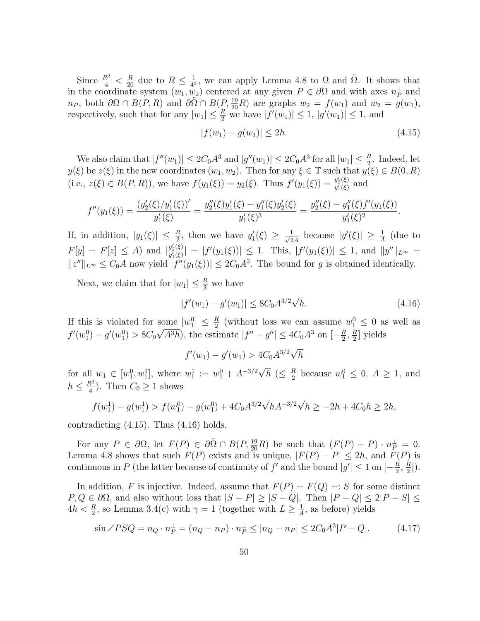Since  $\frac{R^2}{4} < \frac{R}{20}$  due to  $R \leq \frac{1}{4^3}$  $\frac{1}{4^3}$ , we can apply Lemma 4.8 to  $\Omega$  and  $\tilde{\Omega}$ . It shows that in the coordinate system  $(w_1, w_2)$  centered at any given  $P \in \partial\Omega$  and with axes  $n_P^{\perp}$  and  $n_P$ , both  $\partial\Omega \cap B(P, R)$  and  $\partial\tilde{\Omega} \cap B(P, \frac{19}{20}R)$  are graphs  $w_2 = f(w_1)$  and  $w_2 = g(w_1)$ , respectively, such that for any  $|w_1| \leq \frac{R}{2}$  we have  $|f'(w_1)| \leq 1$ ,  $|g'(w_1)| \leq 1$ , and

$$
|f(w_1) - g(w_1)| \le 2h. \tag{4.15}
$$

We also claim that  $|f''(w_1)| \leq 2C_0A^3$  and  $|g''(w_1)| \leq 2C_0A^3$  for all  $|w_1| \leq \frac{R}{2}$ . Indeed, let  $y(\xi)$  be  $z(\xi)$  in the new coordinates  $(w_1, w_2)$ . Then for any  $\xi \in \mathbb{T}$  such that  $y(\xi) \in B(0, R)$ (i.e.,  $z(\xi) \in B(P, R)$ ), we have  $f(y_1(\xi)) = y_2(\xi)$ . Thus  $f'(y_1(\xi)) = \frac{y_2'(\xi)}{y_1'(\xi)}$  $\frac{y_2(\xi)}{y_1'(\xi)}$  and

$$
f''(y_1(\xi)) = \frac{(y_2'(\xi)/y_1'(\xi))'}{y_1'(\xi)} = \frac{y_2''(\xi)y_1'(\xi) - y_1''(\xi)y_2'(\xi)}{y_1'(\xi)^3} = \frac{y_2''(\xi) - y_1''(\xi)f'(y_1(\xi))}{y_1'(\xi)^2}.
$$

If, in addition,  $|y_1(\xi)| \leq \frac{R}{2}$ , then we have  $y_1'(\xi) \geq \frac{1}{\sqrt{2}}$  $\frac{1}{2A}$  because  $|y'(\xi)| \geq \frac{1}{A}$  (due to  $F[y] = F[z] \leq A$  and  $\left| \frac{y_2'(\xi)}{y'(\xi)} \right|$  $\frac{y_2(\xi)}{y_1'(\xi)}| = |f'(y_1(\xi))| \leq 1$ . This,  $|f'(y_1(\xi))| \leq 1$ , and  $||y''||_{L^{\infty}} =$  $||z''||_{L^{\infty}} \leq C_0 A$  now yield  $|f''(y_1(\xi))| \leq 2C_0 A^3$ . The bound for g is obtained identically.

Next, we claim that for  $|w_1| \leq \frac{R}{2}$  we have

$$
|f'(w_1) - g'(w_1)| \le 8C_0 A^{3/2} \sqrt{h}.
$$
\n(4.16)

If this is violated for some  $|w_1^0| \leq \frac{R}{2}$  (without loss we can assume  $w_1^0 \leq 0$  as well as  $f'(w_1^0) - g'(w_1^0) > 8C_0\sqrt{A^3h}$ , the estimate  $|f'' - g''| \leq 4C_0A^3$  on  $[-\frac{R}{2}]$  $\frac{R}{2}$ ,  $\frac{R}{2}$  $\frac{R}{2}$ ] yields

 $f'(w_1) - g'(w_1) > 4C_0 A^{3/2} \sqrt{ }$ h √

for all  $w_1 \in [w_1^0, w_1^1]$ , where  $w_1^1 := w_1^0 + A^{-3/2}$  $\overline{h}$  ( $\leq \frac{R}{2}$  $\frac{R}{2}$  because  $w_1^0 \leq 0, A \geq 1$ , and  $h \leq \frac{R^2}{4}$  $\frac{R^2}{4}$ ). Then  $C_0 \geq 1$  shows

$$
f(w_1^1) - g(w_1^1) > f(w_1^0) - g(w_1^0) + 4C_0 A^{3/2} \sqrt{h} A^{-3/2} \sqrt{h} \ge -2h + 4C_0 h \ge 2h,
$$

contradicting (4.15). Thus (4.16) holds.

For any  $P \in \partial \Omega$ , let  $F(P) \in \partial \tilde{\Omega} \cap B(P, \frac{19}{20}R)$  be such that  $(F(P) - P) \cdot n_P^{\perp} = 0$ . Lemma 4.8 shows that such  $F(P)$  exists and is unique,  $|F(P) - P| \leq 2h$ , and  $F(P)$  is continuous in P (the latter because of continuity of f' and the bound  $|g'| \leq 1$  on  $\left[-\frac{R}{2}\right]$  $\frac{R}{2}, \frac{R}{2}$  $\frac{R}{2}$ ]).

In addition, F is injective. Indeed, assume that  $F(P) = F(Q) =: S$  for some distinct  $P, Q \in \partial\Omega$ , and also without loss that  $|S - P| \ge |S - Q|$ . Then  $|P - Q| \le 2|P - S| \le$  $4h < \frac{R}{2}$ , so Lemma 3.4(c) with  $\gamma = 1$  (together with  $L \ge \frac{1}{A}$  $\frac{1}{A}$ , as before) yields

$$
\sin \angle PSQ = n_Q \cdot n_P^{\perp} = (n_Q - n_P) \cdot n_P^{\perp} \le |n_Q - n_P| \le 2C_0 A^3 |P - Q|.
$$
 (4.17)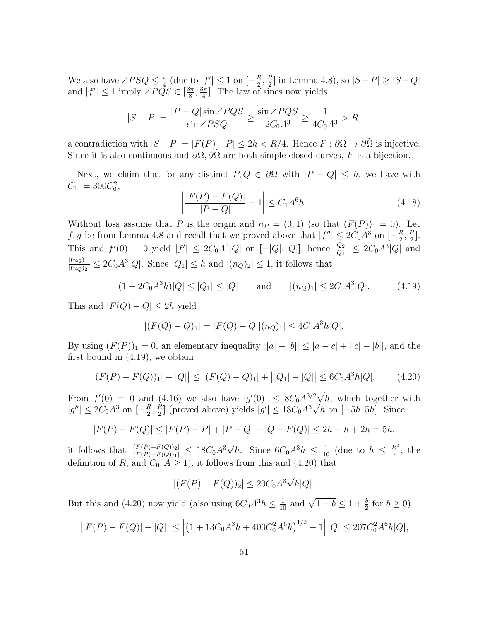We also have  $\angle PSQ \leq \frac{\pi}{4}$  $\frac{\pi}{4}$  (due to  $|f'| \leq 1$  on  $\left[-\frac{R}{2}\right]$  $\frac{R}{2}, \frac{R}{2}$  $\frac{R}{2}$ ] in Lemma 4.8), so  $|S-P| \ge |S-Q|$ and  $|f'| \leq 1$  imply  $\angle PQS \in \left[\frac{3\pi}{8}\right]$  $\frac{3\pi}{8}, \frac{3\pi}{4}$  $\frac{3\pi}{4}$ . The law of sines now yields

$$
|S-P|=\frac{|P-Q|\sin\angle PQS}{\sin\angle PSQ}\geq \frac{\sin\angle PQS}{2C_0A^3}\geq \frac{1}{4C_0A^3}>R,
$$

a contradiction with  $|S - P| = |F(P) - P| \le 2h < R/4$ . Hence  $F : \partial \Omega \to \partial \tilde{\Omega}$  is injective. Since it is also continuous and  $\partial\Omega$ ,  $\partial\overline{\Omega}$  are both simple closed curves, F is a bijection.

Next, we claim that for any distinct  $P, Q \in \partial\Omega$  with  $|P - Q| \leq h$ , we have with  $C_1 := 300 C_0^2,$ 

$$
\left| \frac{|F(P) - F(Q)|}{|P - Q|} - 1 \right| \le C_1 A^6 h. \tag{4.18}
$$

Without loss assume that P is the origin and  $n_P = (0, 1)$  (so that  $(F(P))_1 = 0$ ). Let f, g be from Lemma 4.8 and recall that we proved above that  $|f''| \leq 2C_0A^3$  on  $[-\frac{R}{2}]$  $\frac{R}{2}$ ,  $\frac{R}{2}$  $\frac{R}{2}$ . This and  $f'(0) = 0$  yield  $|f'| \leq 2C_0A^3|Q|$  on  $[-|Q|, |Q|]$ , hence  $\frac{|Q_2|}{|Q_1|} \leq 2C_0A^3|Q|$  and  $\frac{|(n_Q)_1|}{|(n_Q)_2|} \leq 2C_0A^3|Q|$ . Since  $|Q_1| \leq h$  and  $|(n_Q)_2| \leq 1$ , it follows that

$$
(1 - 2C_0 A^3 h)|Q| \le |Q_1| \le |Q| \quad \text{and} \quad |(n_Q)_1| \le 2C_0 A^3|Q|. \tag{4.19}
$$

This and  $|F(Q) - Q| \leq 2h$  yield

$$
|(F(Q) - Q)_1| = |F(Q) - Q||(n_Q)_1| \le 4C_0A^3h|Q|.
$$

By using  $(F(P))_1 = 0$ , an elementary inequality  $||a| - |b|| \leq |a - c| + ||c| - |b||$ , and the first bound in (4.19), we obtain

$$
||(F(P) - F(Q))_1| - |Q|| \le |(F(Q) - Q)_1| + ||Q_1| - |Q|| \le 6C_0A^3h|Q|.
$$
 (4.20)

From  $f'(0) = 0$  and (4.16) we also have  $|g'(0)| \leq 8C_0 A^{3/2}$  $\sqrt[2]{h}$ , which together with  $|g''| \le 2C_0 A^3$  on  $\left[-\frac{R}{2}\right]$  $\frac{R}{2}$ ,  $\frac{R}{2}$  $\frac{R}{2}$ ] (proved above) yields  $|g'|$  ≤ 18 $C_0A^3\sqrt{h}$  on [-5h, 5h]. Since

$$
|F(P) - F(Q)| \le |F(P) - P| + |P - Q| + |Q - F(Q)| \le 2h + h + 2h = 5h,
$$

it follows that  $\frac{|(F(P) - F(Q))_2|}{|(F(P) - F(Q))_1|} \leq 18C_0A^3$  $\overline{h}$ . Since  $6C_0A^3h \leq \frac{1}{10}$  (due to  $h \leq \frac{R^2}{4}$  $\frac{\mathcal{X}^2}{4}$ , the definition of R, and  $C_0$ ,  $A \ge 1$ , it follows from this and (4.20) that

$$
|(F(P) - F(Q))_2| \le 20C_0 A^3 \sqrt{h}|Q|.
$$

But this and (4.20) now yield (also using  $6C_0A^3h \leq \frac{1}{10}$  $\frac{1}{10}$  and  $\sqrt{1+b} \le 1 + \frac{b}{2}$  for  $b \ge 0$ )

$$
||F(P) - F(Q)| - |Q|| \le |(1 + 13C_0A^3h + 400C_0^2A^6h)^{1/2} - 1||Q| \le 207C_0^2A^6h|Q|,
$$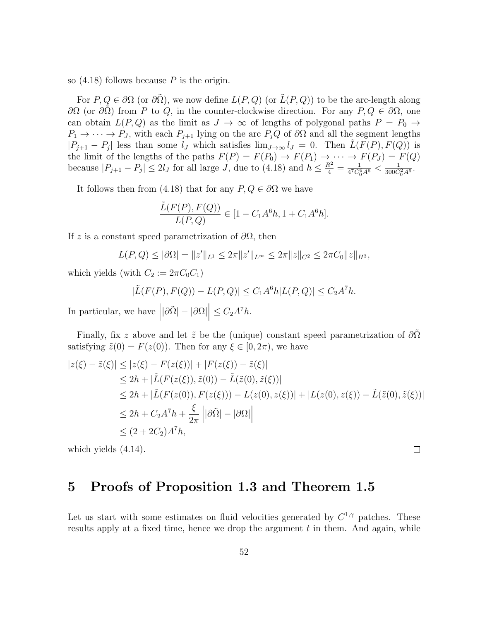so  $(4.18)$  follows because P is the origin.

For  $P, Q \in \partial\Omega$  (or  $\partial\tilde{\Omega}$ ), we now define  $L(P, Q)$  (or  $\tilde{L}(P, Q)$ ) to be the arc-length along ∂Ω (or ∂Ω) from P to Q, in the counter-clockwise direction. For any  $P, Q \in \partial\Omega$ , one can obtain  $L(P,Q)$  as the limit as  $J \to \infty$  of lengths of polygonal paths  $P = P_0 \to$  $P_1 \to \cdots \to P_J$ , with each  $P_{j+1}$  lying on the arc  $P_jQ$  of  $\partial\Omega$  and all the segment lengths  $|P_{j+1} - P_j|$  less than some  $l_J$  which satisfies  $\lim_{J \to \infty} l_J = 0$ . Then  $\tilde{L}(F(P), F(Q))$  is the limit of the lengths of the paths  $F(P) = F(P_0) \rightarrow F(P_1) \rightarrow \cdots \rightarrow F(P_J) = F(Q)$ because  $|P_{j+1} - P_j| \leq 2l_J$  for all large  $J$ , due to (4.18) and  $h \leq \frac{R^2}{4} = \frac{1}{4^7 C_0^6}$  $\frac{1}{4^7C_0^6A^6} < \frac{1}{300C}$  $\frac{1}{300C_0^2A^6}$ .

It follows then from (4.18) that for any  $P, Q \in \partial\Omega$  we have

$$
\frac{\tilde{L}(F(P), F(Q))}{L(P, Q)} \in [1 - C_1 A^6 h, 1 + C_1 A^6 h].
$$

If z is a constant speed parametrization of  $\partial\Omega$ , then

$$
L(P,Q) \leq |\partial\Omega| = \|z'\|_{L^1} \leq 2\pi \|z'\|_{L^\infty} \leq 2\pi \|z\|_{C^2} \leq 2\pi C_0 \|z\|_{H^3},
$$

which yields (with  $C_2 := 2\pi C_0 C_1$ )

$$
|\tilde{L}(F(P), F(Q)) - L(P, Q)| \le C_1 A^6 h |L(P, Q)| \le C_2 A^7 h.
$$

In particular, we have  $||\partial \tilde{\Omega}| - |\partial \Omega| \leq C_2 A^7 h$ .

Finally, fix z above and let  $\tilde{z}$  be the (unique) constant speed parametrization of  $\partial\Omega$ satisfying  $\tilde{z}(0) = F(z(0))$ . Then for any  $\xi \in [0, 2\pi)$ , we have

$$
|z(\xi) - \tilde{z}(\xi)| \le |z(\xi) - F(z(\xi))| + |F(z(\xi)) - \tilde{z}(\xi)|
$$
  
\n
$$
\le 2h + |\tilde{L}(F(z(\xi)), \tilde{z}(0)) - \tilde{L}(\tilde{z}(0), \tilde{z}(\xi))|
$$
  
\n
$$
\le 2h + |\tilde{L}(F(z(0)), F(z(\xi))) - L(z(0), z(\xi))| + |L(z(0), z(\xi)) - \tilde{L}(\tilde{z}(0), \tilde{z}(\xi))|
$$
  
\n
$$
\le 2h + C_2 A^7 h + \frac{\xi}{2\pi} ||\partial \tilde{\Omega}| - |\partial \Omega||
$$
  
\n
$$
\le (2 + 2C_2)A^7 h,
$$

which yields (4.14).

#### $\Box$

## 5 Proofs of Proposition 1.3 and Theorem 1.5

Let us start with some estimates on fluid velocities generated by  $C^{1,\gamma}$  patches. These results apply at a fixed time, hence we drop the argument  $t$  in them. And again, while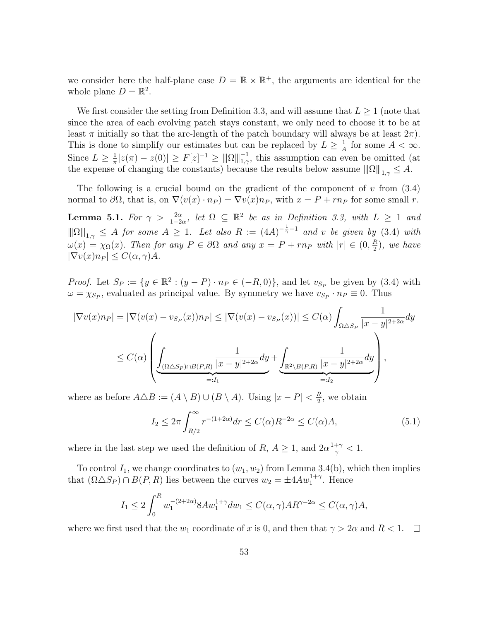we consider here the half-plane case  $D = \mathbb{R} \times \mathbb{R}^+$ , the arguments are identical for the whole plane  $D = \mathbb{R}^2$ .

We first consider the setting from Definition 3.3, and will assume that  $L \geq 1$  (note that since the area of each evolving patch stays constant, we only need to choose it to be at least  $\pi$  initially so that the arc-length of the patch boundary will always be at least  $2\pi$ ). This is done to simplify our estimates but can be replaced by  $L \geq \frac{1}{4}$  $\frac{1}{A}$  for some  $A < \infty$ . Since  $L \geq \frac{1}{\pi}$  $\frac{1}{\pi}|z(\pi) - z(0)| \ge F[z]^{-1} \ge ||\|\Omega\||_{1,\gamma}^{-1}$ , this assumption can even be omitted (at the expense of changing the constants) because the results below assume  $||\Omega||_{1,\gamma} \leq A$ .

The following is a crucial bound on the gradient of the component of  $v$  from  $(3.4)$ normal to  $\partial\Omega$ , that is, on  $\nabla(v(x)\cdot n_P) = \nabla v(x)n_P$ , with  $x = P + r n_P$  for some small r.

**Lemma 5.1.** For  $\gamma > \frac{2\alpha}{1-2\alpha}$ , let  $\Omega \subseteq \mathbb{R}^2$  be as in Definition 3.3, with  $L \ge 1$  and  $\|\|\Omega\|_{1,\gamma} \leq A$  for some  $A \geq 1$ . Let also  $R := (4A)^{-\frac{1}{\gamma}-1}$  and v be given by (3.4) with  $\omega(x) = \chi_{\Omega}(x)$ . Then for any  $P \in \partial \Omega$  and any  $x = P + r n_P$  with  $|r| \in (0, \frac{R}{2})$  $\frac{R}{2}$ ), we have  $|\nabla v(x) n_P| \leq C(\alpha, \gamma) A$ .

*Proof.* Let  $S_P := \{y \in \mathbb{R}^2 : (y - P) \cdot n_P \in (-R, 0)\}\$ , and let  $v_{S_P}$  be given by (3.4) with  $\omega = \chi_{S_P}$ , evaluated as principal value. By symmetry we have  $v_{S_P} \cdot n_P \equiv 0$ . Thus

$$
|\nabla v(x)n_P| = |\nabla (v(x) - v_{S_P}(x))n_P| \le |\nabla (v(x) - v_{S_P}(x))| \le C(\alpha) \int_{\Omega \triangle S_P} \frac{1}{|x - y|^{2+2\alpha}} dy
$$
  

$$
\le C(\alpha) \left( \underbrace{\int_{(\Omega \triangle S_P) \cap B(P,R)} \frac{1}{|x - y|^{2+2\alpha}} dy}_{=:I_1} + \underbrace{\int_{\mathbb{R}^2 \setminus B(P,R)} \frac{1}{|x - y|^{2+2\alpha}} dy}_{=:I_2} \right),
$$

where as before  $A \triangle B := (A \setminus B) \cup (B \setminus A)$ . Using  $|x - P| < \frac{R}{2}$  $\frac{R}{2}$ , we obtain

$$
I_2 \le 2\pi \int_{R/2}^{\infty} r^{-(1+2\alpha)} dr \le C(\alpha)R^{-2\alpha} \le C(\alpha)A,\tag{5.1}
$$

where in the last step we used the definition of R,  $A \geq 1$ , and  $2\alpha \frac{1+\gamma}{\gamma}$  $\frac{+\gamma}{\gamma} < 1.$ 

To control  $I_1$ , we change coordinates to  $(w_1, w_2)$  from Lemma 3.4(b), which then implies that  $(\Omega \triangle S_P) \cap B(P, R)$  lies between the curves  $w_2 = \pm 4Aw_1^{1+\gamma}$ . Hence

$$
I_1 \le 2\int_0^R w_1^{-(2+2\alpha)} 8A w_1^{1+\gamma} dw_1 \le C(\alpha, \gamma)AR^{\gamma-2\alpha} \le C(\alpha, \gamma)A,
$$

where we first used that the  $w_1$  coordinate of x is 0, and then that  $\gamma > 2\alpha$  and  $R < 1$ .  $\Box$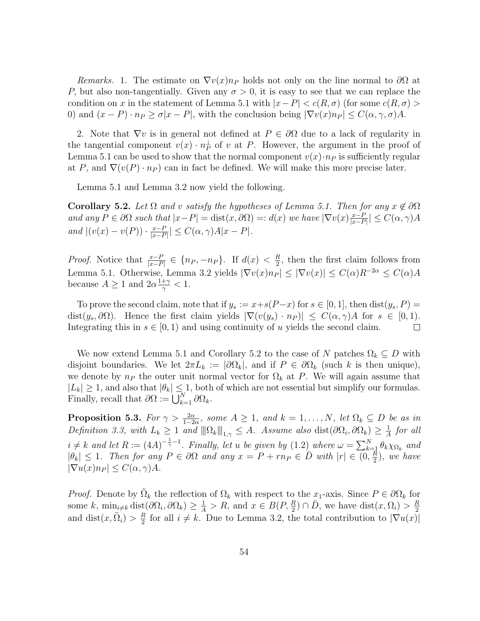Remarks. 1. The estimate on  $\nabla v(x)$ <sub>n</sub> holds not only on the line normal to  $\partial\Omega$  at P, but also non-tangentially. Given any  $\sigma > 0$ , it is easy to see that we can replace the condition on x in the statement of Lemma 5.1 with  $|x-P| < c(R,\sigma)$  (for some  $c(R,\sigma)$ ) 0) and  $(x - P) \cdot n_P \ge \sigma |x - P|$ , with the conclusion being  $|\nabla v(x)n_P| \le C(\alpha, \gamma, \sigma)A$ .

2. Note that  $\nabla v$  is in general not defined at  $P \in \partial \Omega$  due to a lack of regularity in the tangential component  $v(x) \cdot n_P^{\perp}$  of v at P. However, the argument in the proof of Lemma 5.1 can be used to show that the normal component  $v(x) \cdot n_P$  is sufficiently regular at P, and  $\nabla(v(P) \cdot n_P)$  can in fact be defined. We will make this more precise later.

Lemma 5.1 and Lemma 3.2 now yield the following.

**Corollary 5.2.** Let  $\Omega$  and v satisfy the hypotheses of Lemma 5.1. Then for any  $x \notin \partial \Omega$ and any  $P \in \partial \Omega$  such that  $|x-P| = \text{dist}(x, \partial \Omega) =: d(x)$  we have  $|\nabla v(x)|_{x=P}^{\frac{x-P}{x-P}}$  $\frac{x-P}{|x-P|} \leq C(\alpha, \gamma)A$ and  $|(v(x) - v(P)) \cdot \frac{x - P}{|x - P}$  $\frac{x-P}{|x-P|} \leq C(\alpha, \gamma)A|x-P|.$ 

*Proof.* Notice that  $\frac{x-P}{|x-P|} \in \{n_P, -n_P\}$ . If  $d(x) < \frac{R}{2}$  $\frac{R}{2}$ , then the first claim follows from Lemma 5.1. Otherwise, Lemma 3.2 yields  $|\nabla v(x) n_P| \leq |\nabla v(x)| \leq C(\alpha)R^{-2\alpha} \leq C(\alpha)A$ because  $A \geq 1$  and  $2\alpha \frac{1+\gamma}{\alpha}$  $\frac{+\gamma}{\gamma} < 1.$ 

To prove the second claim, note that if  $y_s := x+s(P-x)$  for  $s \in [0,1]$ , then  $dist(y_s, P) =$ dist $(y_s, \partial \Omega)$ . Hence the first claim yields  $|\nabla(v(y_s) \cdot n_P)| \leq C(\alpha, \gamma)A$  for  $s \in [0, 1)$ . Integrating this in  $s \in [0, 1)$  and using continuity of u yields the second claim.  $\Box$ 

We now extend Lemma 5.1 and Corollary 5.2 to the case of N patches  $\Omega_k \subseteq D$  with disjoint boundaries. We let  $2\pi L_k := |\partial \Omega_k|$ , and if  $P \in \partial \Omega_k$  (such k is then unique), we denote by  $n_P$  the outer unit normal vector for  $\Omega_k$  at P. We will again assume that  $|L_k| \geq 1$ , and also that  $|\theta_k| \leq 1$ , both of which are not essential but simplify our formulas. Finally, recall that  $\partial\Omega := \bigcup_{k=1}^N \partial\Omega_k$ .

**Proposition 5.3.** For  $\gamma > \frac{2\alpha}{1-2\alpha}$ , some  $A \geq 1$ , and  $k = 1, ..., N$ , let  $\Omega_k \subseteq D$  be as in Definition 3.3, with  $L_k \geq 1$  and  $\|\Omega_k\|_{1,\gamma} \leq A$ . Assume also dist $(\partial \Omega_i, \partial \Omega_k) \geq \frac{1}{A}$  $\frac{1}{A}$  for all  $i \neq k$  and let  $R := (4A)^{-\frac{1}{\gamma}-1}$ . Finally, let u be given by  $(1.2)$  where  $\omega = \sum_{k=1}^{N} \theta_k \chi_{\Omega_k}$  and  $|\theta_k| \leq 1$ . Then for any  $P \in \partial \Omega$  and any  $x = P + r n_P \in \overline{D}$  with  $|r| \in \overline{(0, \frac{R}{2})}$  $\frac{R}{2}$ ), we have  $|\nabla u(x) n_P| \leq C(\alpha, \gamma) A$ .

*Proof.* Denote by  $\tilde{\Omega}_k$  the reflection of  $\Omega_k$  with respect to the  $x_1$ -axis. Since  $P \in \partial \Omega_k$  for some k,  $\min_{i\neq k} \text{dist}(\partial \Omega_i, \partial \Omega_k) \geq \frac{1}{A} > R$ , and  $x \in B(P, \frac{R}{2}) \cap \overline{D}$ , we have  $\text{dist}(x, \Omega_i) > \frac{R}{2}$ 2 and dist $(x, \tilde{\Omega}_i) > \frac{R}{2}$  $\frac{R}{2}$  for all  $i \neq k$ . Due to Lemma 3.2, the total contribution to  $|\nabla u(x)|$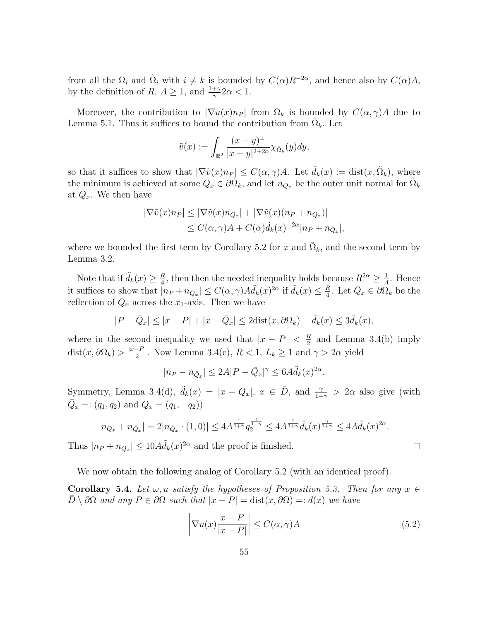from all the  $\Omega_i$  and  $\tilde{\Omega}_i$  with  $i \neq k$  is bounded by  $C(\alpha)R^{-2\alpha}$ , and hence also by  $C(\alpha)A$ , by the definition of  $R, A \geq 1$ , and  $\frac{1+\gamma}{\gamma} 2\alpha < 1$ .

Moreover, the contribution to  $|\nabla u(x) n_P|$  from  $\Omega_k$  is bounded by  $C(\alpha, \gamma)A$  due to Lemma 5.1. Thus it suffices to bound the contribution from  $\tilde{\Omega}_k$ . Let

$$
\tilde{v}(x) := \int_{\mathbb{R}^2} \frac{(x-y)^{\perp}}{|x-y|^{2+2\alpha}} \chi_{\tilde{\Omega}_k}(y) dy,
$$

so that it suffices to show that  $|\nabla \tilde{v}(x)n_P| \leq C(\alpha, \gamma)A$ . Let  $\tilde{d}_k(x) := \text{dist}(x, \tilde{\Omega}_k)$ , where the minimum is achieved at some  $Q_x \in \partial \tilde{\Omega}_k$ , and let  $n_{Q_x}$  be the outer unit normal for  $\tilde{\Omega}_k$ at  $Q_x$ . We then have

$$
|\nabla \tilde{v}(x)n_P| \le |\nabla \tilde{v}(x)n_{Q_x}| + |\nabla \tilde{v}(x)(n_P + n_{Q_x})|
$$
  
\n
$$
\le C(\alpha, \gamma)A + C(\alpha)\tilde{d}_k(x)^{-2\alpha}|n_P + n_{Q_x}|,
$$

where we bounded the first term by Corollary 5.2 for x and  $\tilde{\Omega}_k$ , and the second term by Lemma 3.2.

Note that if  $\tilde{d}_k(x) \geq \frac{R}{4}$  $\frac{R}{4}$ , then then the needed inequality holds because  $R^{2\alpha} \geq \frac{1}{A}$  $\frac{1}{A}$ . Hence it suffices to show that  $|n_P + n_{Q_x}| \leq C(\alpha, \gamma) A \tilde{d}_k(x)^{2\alpha}$  if  $\tilde{d}_k(x) \leq \frac{R}{4}$  $\frac{R}{4}$ . Let  $\overline{Q}_x \in \partial \Omega_k$  be the reflection of  $Q_x$  across the  $x_1$ -axis. Then we have

$$
|P - \bar{Q}_x| \le |x - P| + |x - \bar{Q}_x| \le 2\text{dist}(x, \partial\Omega_k) + \tilde{d}_k(x) \le 3\tilde{d}_k(x),
$$

where in the second inequality we used that  $|x - P| < \frac{R}{2}$  $\frac{R}{2}$  and Lemma 3.4(b) imply  $dist(x, \partial \Omega_k) > \frac{|x-P|}{2}$  $\frac{2}{2}$ . Now Lemma 3.4(c),  $R < 1$ ,  $L_k \ge 1$  and  $\gamma > 2\alpha$  yield

$$
|n_P - n_{\bar{Q}_x}| \le 2A|P - \bar{Q}_x|^{\gamma} \le 6A\tilde{d}_k(x)^{2\alpha}
$$

Symmetry, Lemma 3.4(d),  $\tilde{d}_k(x) = |x - Q_x|, x \in \overline{D}$ , and  $\frac{\gamma}{1+\gamma} > 2\alpha$  also give (with  $\bar{Q}_x =: (q_1, q_2)$  and  $Q_x = (q_1, -q_2)$ 

$$
|n_{Q_x} + n_{\bar{Q}_x}| = 2|n_{\bar{Q}_x} \cdot (1,0)| \le 4A^{\frac{1}{1+\gamma}} q_2^{\frac{\gamma}{1+\gamma}} \le 4A^{\frac{1}{1+\gamma}} \tilde{d}_k(x)^{\frac{\gamma}{1+\gamma}} \le 4A\tilde{d}_k(x)^{2\alpha}.
$$

Thus  $|n_P + n_{Q_x}| \leq 10A \tilde{d}_k(x)^{2\alpha}$  and the proof is finished.

We now obtain the following analog of Corollary 5.2 (with an identical proof).

**Corollary 5.4.** Let  $\omega, u$  satisfy the hypotheses of Proposition 5.3. Then for any  $x \in$  $\overline{D} \setminus \partial \Omega$  and any  $P \in \partial \Omega$  such that  $|x - P| = \text{dist}(x, \partial \Omega) =: d(x)$  we have

$$
\left|\nabla u(x)\frac{x-P}{|x-P|}\right| \le C(\alpha,\gamma)A\tag{5.2}
$$

.

 $\Box$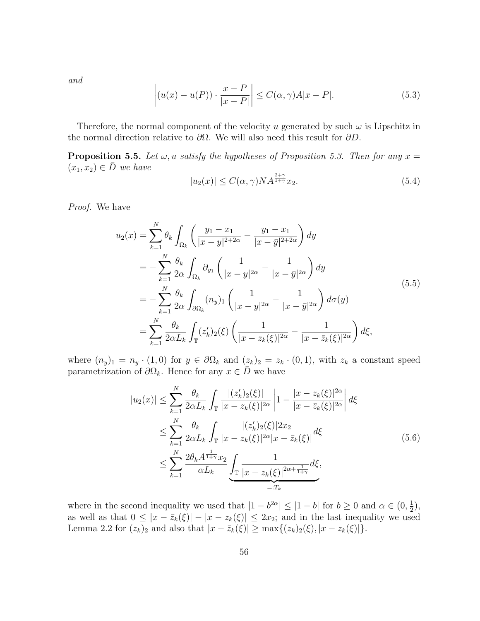and

$$
\left| (u(x) - u(P)) \cdot \frac{x - P}{|x - P|} \right| \le C(\alpha, \gamma) A |x - P|.
$$
 (5.3)

Therefore, the normal component of the velocity u generated by such  $\omega$  is Lipschitz in the normal direction relative to  $\partial\Omega$ . We will also need this result for  $\partial D$ .

**Proposition 5.5.** Let  $\omega$ , u satisfy the hypotheses of Proposition 5.3. Then for any  $x =$  $(x_1, x_2) \in \overline{D}$  we have

$$
|u_2(x)| \le C(\alpha, \gamma) N A^{\frac{2+\gamma}{1+\gamma}} x_2.
$$
\n
$$
(5.4)
$$

Proof. We have

$$
u_2(x) = \sum_{k=1}^{N} \theta_k \int_{\Omega_k} \left( \frac{y_1 - x_1}{|x - y|^{2 + 2\alpha}} - \frac{y_1 - x_1}{|x - \bar{y}|^{2 + 2\alpha}} \right) dy
$$
  
\n
$$
= -\sum_{k=1}^{N} \frac{\theta_k}{2\alpha} \int_{\Omega_k} \partial_{y_1} \left( \frac{1}{|x - y|^{2\alpha}} - \frac{1}{|x - \bar{y}|^{2\alpha}} \right) dy
$$
  
\n
$$
= -\sum_{k=1}^{N} \frac{\theta_k}{2\alpha} \int_{\partial \Omega_k} (n_y)_1 \left( \frac{1}{|x - y|^{2\alpha}} - \frac{1}{|x - \bar{y}|^{2\alpha}} \right) d\sigma(y)
$$
  
\n
$$
= \sum_{k=1}^{N} \frac{\theta_k}{2\alpha L_k} \int_{\mathbb{T}} (z'_k)_2(\xi) \left( \frac{1}{|x - z_k(\xi)|^{2\alpha}} - \frac{1}{|x - \bar{z}_k(\xi)|^{2\alpha}} \right) d\xi,
$$
\n(5.5)

where  $(n_y)_1 = n_y \cdot (1,0)$  for  $y \in \partial \Omega_k$  and  $(z_k)_2 = z_k \cdot (0,1)$ , with  $z_k$  a constant speed parametrization of  $\partial\Omega_k$ . Hence for any  $x \in \overline{D}$  we have

$$
|u_2(x)| \leq \sum_{k=1}^{N} \frac{\theta_k}{2\alpha L_k} \int_{\mathbb{T}} \frac{|(z'_k)_2(\xi)|}{|x - z_k(\xi)|^{2\alpha}} \left| 1 - \frac{|x - z_k(\xi)|^{2\alpha}}{|x - \bar{z}_k(\xi)|^{2\alpha}} \right| d\xi
$$
  

$$
\leq \sum_{k=1}^{N} \frac{\theta_k}{2\alpha L_k} \int_{\mathbb{T}} \frac{|(z'_k)_2(\xi)|^{2\alpha} z}{|x - z_k(\xi)|^{2\alpha} |x - \bar{z}_k(\xi)|} d\xi
$$
  

$$
\leq \sum_{k=1}^{N} \frac{2\theta_k A^{\frac{1}{1+\gamma}} x_2}{\alpha L_k} \underbrace{\int_{\mathbb{T}} \frac{1}{|x - z_k(\xi)|^{2\alpha + \frac{1}{1+\gamma}}} d\xi}_{=:T_k},
$$
(5.6)

where in the second inequality we used that  $|1 - b^{2\alpha}| \leq |1 - b|$  for  $b \geq 0$  and  $\alpha \in (0, \frac{1}{2})$  $(\frac{1}{2}),$ as well as that  $0 \leq |x - \bar{z}_k(\xi)| - |x - z_k(\xi)| \leq 2x_2$ ; and in the last inequality we used Lemma 2.2 for  $(z_k)_2$  and also that  $|x - \bar{z}_k(\xi)| \ge \max\{(z_k)_2(\xi), |x - z_k(\xi)|\}.$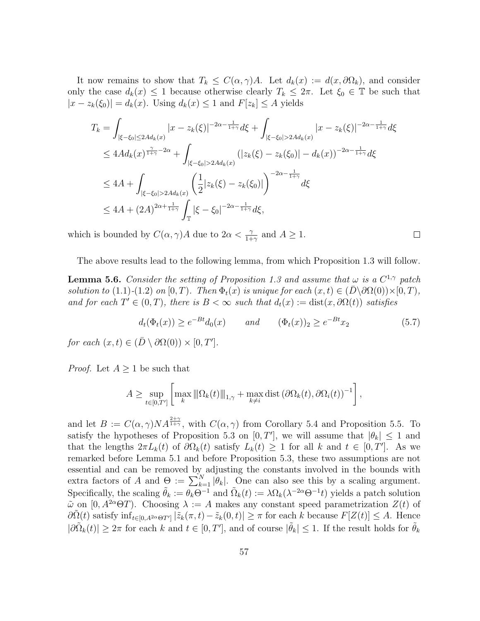It now remains to show that  $T_k \leq C(\alpha, \gamma)A$ . Let  $d_k(x) := d(x, \partial \Omega_k)$ , and consider only the case  $d_k(x) \leq 1$  because otherwise clearly  $T_k \leq 2\pi$ . Let  $\xi_0 \in \mathbb{T}$  be such that  $|x - z_k(\xi_0)| = d_k(x)$ . Using  $d_k(x) \leq 1$  and  $F[z_k] \leq A$  yields

$$
T_k = \int_{|\xi - \xi_0| \le 2Ad_k(x)} |x - z_k(\xi)|^{-2\alpha - \frac{1}{1+\gamma}} d\xi + \int_{|\xi - \xi_0| > 2Ad_k(x)} |x - z_k(\xi)|^{-2\alpha - \frac{1}{1+\gamma}} d\xi
$$
  
\n
$$
\le 4Ad_k(x)^{\frac{\gamma}{1+\gamma} - 2\alpha} + \int_{|\xi - \xi_0| > 2Ad_k(x)} (|z_k(\xi) - z_k(\xi_0)| - d_k(x))^{-2\alpha - \frac{1}{1+\gamma}} d\xi
$$
  
\n
$$
\le 4A + \int_{|\xi - \xi_0| > 2Ad_k(x)} \left(\frac{1}{2}|z_k(\xi) - z_k(\xi_0)|\right)^{-2\alpha - \frac{1}{1+\gamma}} d\xi
$$
  
\n
$$
\le 4A + (2A)^{2\alpha + \frac{1}{1+\gamma}} \int_{\mathbb{T}} |\xi - \xi_0|^{-2\alpha - \frac{1}{1+\gamma}} d\xi,
$$

which is bounded by  $C(\alpha, \gamma)A$  due to  $2\alpha < \frac{\gamma}{1+\gamma}$  and  $A \geq 1$ .

The above results lead to the following lemma, from which Proposition 1.3 will follow.

**Lemma 5.6.** Consider the setting of Proposition 1.3 and assume that  $\omega$  is a  $C^{1,\gamma}$  patch solution to (1.1)-(1.2) on [0, T). Then  $\Phi_t(x)$  is unique for each  $(x, t) \in (\overline{D} \setminus \partial \Omega(0)) \times [0, T)$ , and for each  $T' \in (0, T)$ , there is  $B < \infty$  such that  $d_t(x) := dist(x, \partial \Omega(t))$  satisfies

$$
d_t(\Phi_t(x)) \ge e^{-Bt} d_0(x) \qquad and \qquad (\Phi_t(x))_2 \ge e^{-Bt} x_2 \tag{5.7}
$$

 $\Box$ 

for each  $(x,t) \in (\bar{D} \setminus \partial \Omega(0)) \times [0,T']$ .

*Proof.* Let  $A \geq 1$  be such that

$$
A \geq \sup_{t \in [0,T']} \left[ \max_{k} \left\| \Omega_k(t) \right\|_{1,\gamma} + \max_{k \neq i} \text{dist} \left( \partial \Omega_k(t), \partial \Omega_i(t) \right)^{-1} \right],
$$

and let  $B := C(\alpha, \gamma) N A^{\frac{2+\gamma}{1+\gamma}}$ , with  $C(\alpha, \gamma)$  from Corollary 5.4 and Proposition 5.5. To satisfy the hypotheses of Proposition 5.3 on  $[0, T']$ , we will assume that  $|\theta_k| \leq 1$  and that the lengths  $2\pi L_k(t)$  of  $\partial\Omega_k(t)$  satisfy  $L_k(t) \geq 1$  for all k and  $t \in [0, T']$ . As we remarked before Lemma 5.1 and before Proposition 5.3, these two assumptions are not essential and can be removed by adjusting the constants involved in the bounds with extra factors of A and  $\Theta := \sum_{k=1}^{N} |\theta_k|$ . One can also see this by a scaling argument. Specifically, the scaling  $\tilde{\theta}_k := \theta_k \Theta^{-1}$  and  $\tilde{\Omega}_k(t) := \lambda \Omega_k(\lambda^{-2\alpha} \Theta^{-1} t)$  yields a patch solution  $\tilde{\omega}$  on [0,  $A^{2\alpha}\Theta T$ ). Choosing  $\lambda := A$  makes any constant speed parametrization  $Z(t)$  of  $\partial \tilde{\Omega}(t)$  satisfy  $\inf_{t\in[0,A^{2\alpha}\Theta T']}\left|\tilde{z}_k(\pi,t)-\tilde{z}_k(0,t)\right|\geq \pi$  for each k because  $F[Z(t)]\leq A$ . Hence  $|\partial \tilde{\Omega}_k(t)| \geq 2\pi$  for each k and  $t \in [0, T']$ , and of course  $|\tilde{\theta}_k| \leq 1$ . If the result holds for  $\tilde{\theta}_k$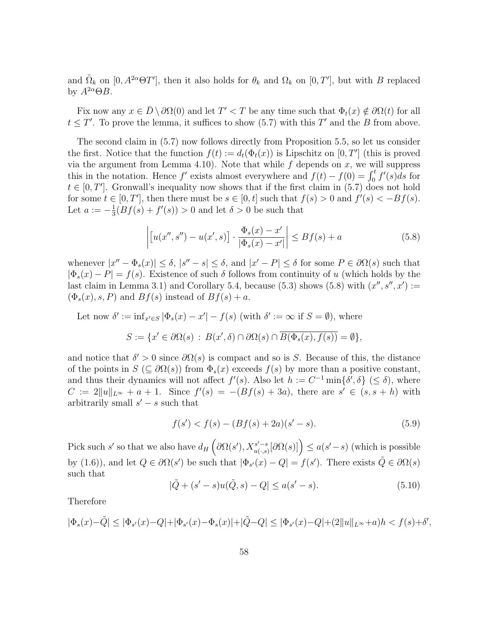and  $\tilde{\Omega}_k$  on  $[0, A^{2\alpha} \Theta T']$ , then it also holds for  $\theta_k$  and  $\Omega_k$  on  $[0, T']$ , but with B replaced by  $A^{2\alpha} \Theta B$ .

Fix now any  $x \in \overline{D} \setminus \partial \Omega(0)$  and let  $T' < T$  be any time such that  $\Phi_t(x) \notin \partial \Omega(t)$  for all  $t \leq T'$ . To prove the lemma, it suffices to show (5.7) with this T' and the B from above.

The second claim in (5.7) now follows directly from Proposition 5.5, so let us consider the first. Notice that the function  $f(t) := d_t(\Phi_t(x))$  is Lipschitz on  $[0, T']$  (this is proved via the argument from Lemma 4.10). Note that while  $f$  depends on  $x$ , we will suppress this in the notation. Hence f' exists almost everywhere and  $f(t) - f(0) = \int_0^t f'(s)ds$  for  $t \in [0, T']$ . Gronwall's inequality now shows that if the first claim in (5.7) does not hold for some  $t \in [0, T']$ , then there must be  $s \in [0, t]$  such that  $f(s) > 0$  and  $f'(s) < -Bf(s)$ . Let  $a := -\frac{1}{3}$  $\frac{1}{3}(Bf(s) + f'(s)) > 0$  and let  $\delta > 0$  be such that

$$
\left| \left[ u(x'', s'') - u(x', s) \right] \cdot \frac{\Phi_s(x) - x'}{|\Phi_s(x) - x'|} \right| \le B f(s) + a \tag{5.8}
$$

whenever  $|x'' - \Phi_s(x)| \leq \delta$ ,  $|s'' - s| \leq \delta$ , and  $|x' - P| \leq \delta$  for some  $P \in \partial \Omega(s)$  such that  $|\Phi_s(x) - P| = f(s)$ . Existence of such  $\delta$  follows from continuity of u (which holds by the last claim in Lemma 3.1) and Corollary 5.4, because (5.3) shows (5.8) with  $(x'', s'', x') :=$  $(\Phi_s(x), s, P)$  and  $Bf(s)$  instead of  $Bf(s) + a$ .

Let now  $\delta' := \inf_{x' \in S} |\Phi_s(x) - x'| - f(s)$  (with  $\delta' := \infty$  if  $S = \emptyset$ ), where

$$
S := \{ x' \in \partial\Omega(s) : B(x', \delta) \cap \partial\Omega(s) \cap \overline{B(\Phi_s(x), f(s))} = \emptyset \},\
$$

and notice that  $\delta' > 0$  since  $\partial \Omega(s)$  is compact and so is S. Because of this, the distance of the points in  $S$  ( $\subseteq \partial \Omega(s)$ ) from  $\Phi_s(x)$  exceeds  $f(s)$  by more than a positive constant, and thus their dynamics will not affect  $f'(s)$ . Also let  $h := C^{-1} \min\{\delta', \delta\} \leq \delta$ , where  $C := 2||u||_{L^{\infty}} + a + 1$ . Since  $f'(s) = -(Bf(s) + 3a)$ , there are  $s' \in (s, s + h)$  with arbitrarily small  $s' - s$  such that

$$
f(s') < f(s) - (Bf(s) + 2a)(s' - s). \tag{5.9}
$$

Pick such s' so that we also have  $d_H\left(\partial\Omega(s'), X^{s'-s}_{u(s)}\right)$  $\left(\begin{matrix} s'-s\\ u(\cdot,s)\end{matrix}\right)\leq a(s'-s)$  (which is possible by (1.6)), and let  $Q \in \partial \Omega(s')$  be such that  $|\Phi_{s'}(x) - Q| = f(s')$ . There exists  $\tilde{Q} \in \partial \Omega(s)$ such that

$$
|\tilde{Q} + (s' - s)u(\tilde{Q}, s) - Q| \le a(s' - s).
$$
\n(5.10)

,

Therefore

$$
|\Phi_s(x)-\tilde{Q}|\leq |\Phi_{s'}(x)-Q|+|\Phi_{s'}(x)-\Phi_s(x)|+|\tilde{Q}-Q|\leq |\Phi_{s'}(x)-Q|+(2\|u\|_{L^\infty}+a)h
$$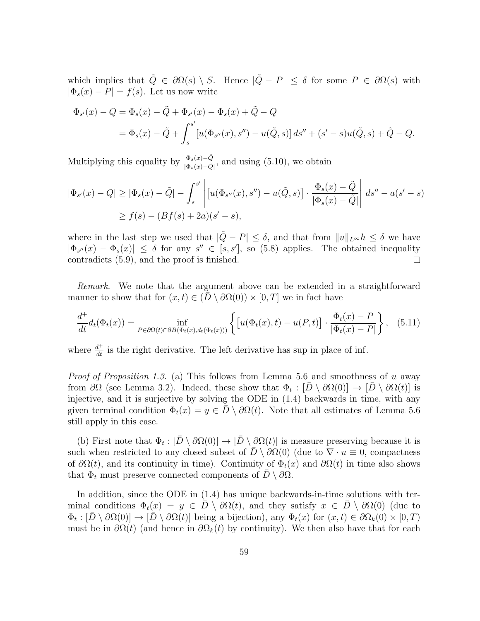which implies that  $\tilde{Q} \in \partial \Omega(s) \setminus S$ . Hence  $|\tilde{Q} - P| \leq \delta$  for some  $P \in \partial \Omega(s)$  with  $|\Phi_s(x) - P| = f(s)$ . Let us now write

$$
\Phi_{s'}(x) - Q = \Phi_s(x) - \tilde{Q} + \Phi_{s'}(x) - \Phi_s(x) + \tilde{Q} - Q
$$
  
=  $\Phi_s(x) - \tilde{Q} + \int_s^{s'} [u(\Phi_{s''}(x), s'') - u(\tilde{Q}, s)] ds'' + (s' - s)u(\tilde{Q}, s) + \tilde{Q} - Q.$ 

Multiplying this equality by  $\frac{\Phi_s(x) - \tilde{Q}}{|\Phi_s(x) - \tilde{Q}|}$ , and using (5.10), we obtain

$$
|\Phi_{s'}(x) - Q| \ge |\Phi_s(x) - \tilde{Q}| - \int_s^{s'} \left| [u(\Phi_{s''}(x), s'') - u(\tilde{Q}, s)] \cdot \frac{\Phi_s(x) - \tilde{Q}}{|\Phi_s(x) - \tilde{Q}|} \right| ds'' - a(s' - s)
$$
  
 
$$
\ge f(s) - (Bf(s) + 2a)(s' - s),
$$

where in the last step we used that  $|\tilde{Q} - P| \leq \delta$ , and that from  $||u||_{L^{\infty}} h \leq \delta$  we have  $|\Phi_{s''}(x) - \Phi_s(x)| \leq \delta$  for any  $s'' \in [s, s']$ , so (5.8) applies. The obtained inequality contradicts (5.9), and the proof is finished.  $\Box$ 

Remark. We note that the argument above can be extended in a straightforward manner to show that for  $(x, t) \in (\overline{D} \setminus \partial \Omega(0)) \times [0, T]$  we in fact have

$$
\frac{d^+}{dt}d_t(\Phi_t(x)) = \inf_{P \in \partial \Omega(t) \cap \partial B(\Phi_t(x), d_t(\Phi_t(x)))} \left\{ \left[ u(\Phi_t(x), t) - u(P, t) \right] \cdot \frac{\Phi_t(x) - P}{|\Phi_t(x) - P|} \right\}, \quad (5.11)
$$

where  $\frac{d^+}{dt}$  is the right derivative. The left derivative has sup in place of inf.

*Proof of Proposition 1.3.* (a) This follows from Lemma 5.6 and smoothness of u away from  $\partial\Omega$  (see Lemma 3.2). Indeed, these show that  $\Phi_t: [\bar{D} \setminus \partial\Omega(0)] \to [\bar{D} \setminus \partial\Omega(t)]$  is injective, and it is surjective by solving the ODE in (1.4) backwards in time, with any given terminal condition  $\Phi_t(x) = y \in D \setminus \partial \Omega(t)$ . Note that all estimates of Lemma 5.6 still apply in this case.

(b) First note that  $\Phi_t : [\overline{D} \setminus \partial \Omega(0)] \to [\overline{D} \setminus \partial \Omega(t)]$  is measure preserving because it is such when restricted to any closed subset of  $\overline{D} \setminus \partial \Omega(0)$  (due to  $\nabla \cdot u \equiv 0$ , compactness of  $\partial\Omega(t)$ , and its continuity in time). Continuity of  $\Phi_t(x)$  and  $\partial\Omega(t)$  in time also shows that  $\Phi_t$  must preserve connected components of  $D \setminus \partial \Omega$ .

In addition, since the ODE in (1.4) has unique backwards-in-time solutions with terminal conditions  $\Phi_t(x) = y \in D \setminus \partial \Omega(t)$ , and they satisfy  $x \in D \setminus \partial \Omega(0)$  (due to  $\Phi_t : [\bar{D} \setminus \partial \Omega(0)] \to [\bar{D} \setminus \partial \Omega(t)]$  being a bijection), any  $\Phi_t(x)$  for  $(x, t) \in \partial \Omega_k(0) \times [0, T)$ must be in  $\partial\Omega(t)$  (and hence in  $\partial\Omega_k(t)$  by continuity). We then also have that for each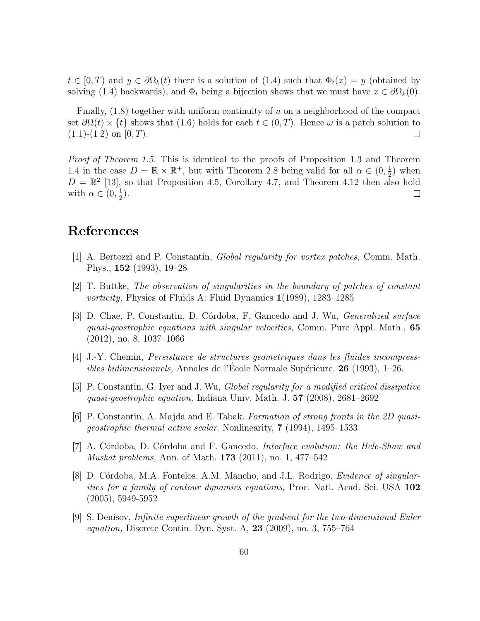$t \in [0, T)$  and  $y \in \partial \Omega_k(t)$  there is a solution of  $(1.4)$  such that  $\Phi_t(x) = y$  (obtained by solving (1.4) backwards), and  $\Phi_t$  being a bijection shows that we must have  $x \in \partial \Omega_k(0)$ .

Finally,  $(1.8)$  together with uniform continuity of u on a neighborhood of the compact set  $\partial\Omega(t) \times \{t\}$  shows that (1.6) holds for each  $t \in (0, T)$ . Hence  $\omega$  is a patch solution to  $(1.1)-(1.2)$  on  $[0, T)$ .  $\Box$ 

Proof of Theorem 1.5. This is identical to the proofs of Proposition 1.3 and Theorem 1.4 in the case  $D = \mathbb{R} \times \mathbb{R}^+$ , but with Theorem 2.8 being valid for all  $\alpha \in (0, \frac{1}{2})$  $(\frac{1}{2})$  when  $D = \mathbb{R}^2$  [13], so that Proposition 4.5, Corollary 4.7, and Theorem 4.12 then also hold with  $\alpha \in (0, \frac{1}{2})$  $(\frac{1}{2})$ .  $\Box$ 

## References

- [1] A. Bertozzi and P. Constantin, Global regularity for vortex patches, Comm. Math. Phys., 152 (1993), 19–28
- [2] T. Buttke, The observation of singularities in the boundary of patches of constant *vorticity*, Physics of Fluids A: Fluid Dynamics  $1(1989)$ , 1283–1285
- [3] D. Chae, P. Constantin, D. Córdoba, F. Gancedo and J. Wu, *Generalized surface* quasi-geostrophic equations with singular velocities, Comm. Pure Appl. Math., 65 (2012), no. 8, 1037–1066
- [4] J.-Y. Chemin, Persistance de structures geometriques dans les fluides incompressibles bidimensionnels, Annales de l'Ecole Normale Supérieure,  $26$  (1993), 1–26.
- [5] P. Constantin, G. Iyer and J. Wu, Global regularity for a modified critical dissipative quasi-geostrophic equation, Indiana Univ. Math. J. 57 (2008), 2681–2692
- [6] P. Constantin, A. Majda and E. Tabak. Formation of strong fronts in the 2D quasigeostrophic thermal active scalar. Nonlinearity, 7 (1994), 1495–1533
- [7] A. Córdoba, D. Córdoba and F. Gancedo, *Interface evolution: the Hele-Shaw and* Muskat problems, Ann. of Math. 173 (2011), no. 1, 477–542
- [8] D. Córdoba, M.A. Fontelos, A.M. Mancho, and J.L. Rodrigo, *Evidence of singular*ities for a family of contour dynamics equations, Proc. Natl. Acad. Sci. USA 102 (2005), 5949-5952
- [9] S. Denisov, Infinite superlinear growth of the gradient for the two-dimensional Euler equation, Discrete Contin. Dyn. Syst. A, 23 (2009), no. 3, 755–764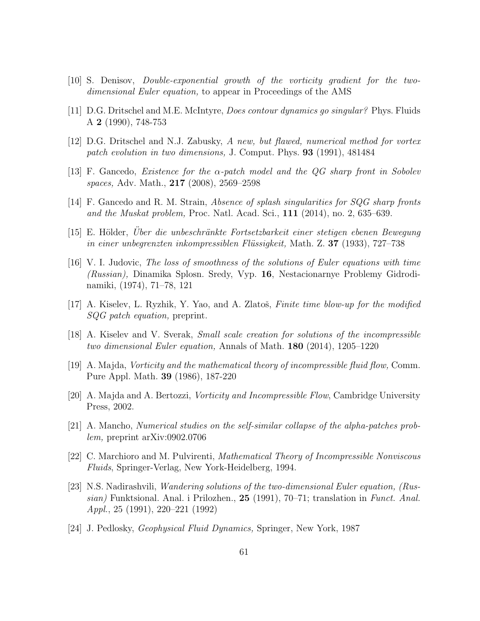- [10] S. Denisov, Double-exponential growth of the vorticity gradient for the twodimensional Euler equation, to appear in Proceedings of the AMS
- [11] D.G. Dritschel and M.E. McIntyre, Does contour dynamics go singular? Phys. Fluids A 2 (1990), 748-753
- [12] D.G. Dritschel and N.J. Zabusky, A new, but flawed, numerical method for vortex patch evolution in two dimensions, J. Comput. Phys. 93 (1991), 481484
- [13] F. Gancedo, *Existence for the*  $\alpha$ *-patch model and the QG sharp front in Sobolev* spaces, Adv. Math., 217 (2008), 2569–2598
- [14] F. Gancedo and R. M. Strain, Absence of splash singularities for SQG sharp fronts and the Muskat problem, Proc. Natl. Acad. Sci., 111 (2014), no. 2, 635–639.
- [15] E. Hölder, Uber die unbeschränkte Fortsetzbarkeit einer stetigen ebenen Bewegung in einer unbegrenzten inkompressiblen Flüssigkeit, Math. Z. **37** (1933), 727–738
- [16] V. I. Judovic, The loss of smoothness of the solutions of Euler equations with time (Russian), Dinamika Splosn. Sredy, Vyp. 16, Nestacionarnye Problemy Gidrodinamiki, (1974), 71–78, 121
- [17] A. Kiselev, L. Ryzhik, Y. Yao, and A. Zlatoš, *Finite time blow-up for the modified* SQG patch equation, preprint.
- [18] A. Kiselev and V. Sverak, Small scale creation for solutions of the incompressible two dimensional Euler equation, Annals of Math. 180 (2014), 1205–1220
- [19] A. Majda, Vorticity and the mathematical theory of incompressible fluid flow, Comm. Pure Appl. Math. 39 (1986), 187-220
- [20] A. Majda and A. Bertozzi, Vorticity and Incompressible Flow, Cambridge University Press, 2002.
- [21] A. Mancho, Numerical studies on the self-similar collapse of the alpha-patches problem, preprint arXiv:0902.0706
- [22] C. Marchioro and M. Pulvirenti, Mathematical Theory of Incompressible Nonviscous Fluids, Springer-Verlag, New York-Heidelberg, 1994.
- [23] N.S. Nadirashvili, Wandering solutions of the two-dimensional Euler equation, (Russian) Funktsional. Anal. i Prilozhen., 25 (1991), 70–71; translation in Funct. Anal. Appl., 25 (1991), 220–221 (1992)
- [24] J. Pedlosky, Geophysical Fluid Dynamics, Springer, New York, 1987